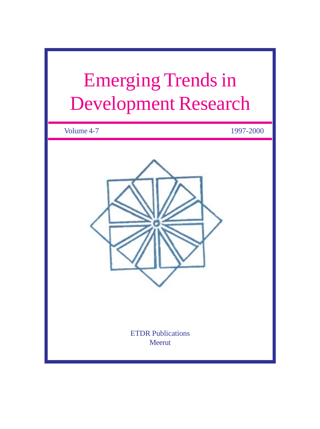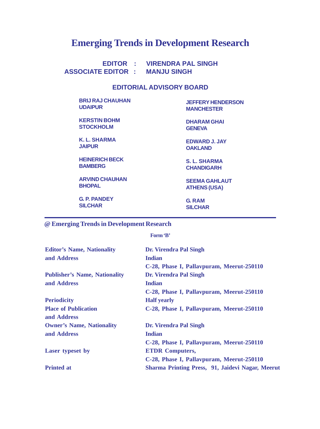# **Emerging Trends in Development Research**

 **EDITOR : VIRENDRA PAL SINGH ASSOCIATE EDITOR : MANJU SINGH**

# **EDITORIAL ADVISORY BOARD**

**BRIJ RAJ CHAUHAN UDAIPUR**

**KERSTIN BOHM STOCKHOLM**

**K. L. SHARMA JAIPUR**

**HEINERICH BECK BAMBERG**

**ARVIND CHAUHAN BHOPAL**

**G. P. PANDEY SILCHAR**

**JEFFERY HENDERSON MANCHESTER**

**DHARAM GHAI GENEVA**

**EDWARD J. JAY OAKLAND**

**S. L. SHARMA CHANDIGARH**

**SEEMA GAHLAUT ATHENS (USA)**

**G. RAM SILCHAR**

**@ Emerging Trends in Development Research**

**Form 'B'**

| <b>Editor's Name, Nationality</b>    | <b>Dr. Virendra Pal Singh</b>                    |  |
|--------------------------------------|--------------------------------------------------|--|
| and Address                          | <b>Indian</b>                                    |  |
|                                      | C-28, Phase I, Pallavpuram, Meerut-250110        |  |
| <b>Publisher's Name, Nationality</b> | <b>Dr. Virendra Pal Singh</b>                    |  |
| and Address                          | <b>Indian</b>                                    |  |
|                                      | C-28, Phase I, Pallavpuram, Meerut-250110        |  |
| <b>Periodicity</b>                   | <b>Half</b> yearly                               |  |
| <b>Place of Publication</b>          | C-28, Phase I, Pallavpuram, Meerut-250110        |  |
| and Address                          |                                                  |  |
| <b>Owner's Name, Nationality</b>     | <b>Dr. Virendra Pal Singh</b>                    |  |
| and Address                          | <b>Indian</b>                                    |  |
|                                      | C-28, Phase I, Pallavpuram, Meerut-250110        |  |
| <b>Laser typeset by</b>              | <b>ETDR Computers,</b>                           |  |
|                                      | C-28, Phase I, Pallavpuram, Meerut-250110        |  |
| <b>Printed at</b>                    | Sharma Printing Press, 91, Jaidevi Nagar, Meerut |  |
|                                      |                                                  |  |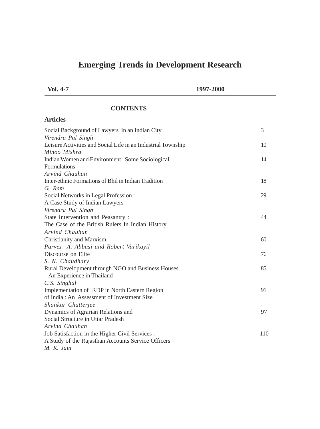# **Emerging Trends in Development Research**

 **Vol. 4-7 1997-2000**

# **CONTENTS**

| <b>Articles</b>                                              |     |
|--------------------------------------------------------------|-----|
| Social Background of Lawyers in an Indian City               | 3   |
| Virendra Pal Singh                                           |     |
| Leisure Activities and Social Life in an Industrial Township | 10  |
| Minoo Mishra                                                 |     |
| Indian Women and Environment: Some Sociological              | 14  |
| <b>Formulations</b>                                          |     |
| Arvind Chauhan                                               |     |
| Inter-ethnic Formations of Bhil in Indian Tradition          | 18  |
| G. Ram                                                       |     |
| Social Networks in Legal Profession:                         | 29  |
| A Case Study of Indian Lawyers                               |     |
| Virendra Pal Singh                                           |     |
| State Intervention and Peasantry :                           | 44  |
| The Case of the British Rulers In Indian History             |     |
| Arvind Chauhan                                               |     |
| Christianity and Marxism                                     | 60  |
| Parvez A. Abbasi and Robert Varikayil                        |     |
| Discourse on Elite                                           | 76  |
| S. N. Chaudhary                                              |     |
| Rural Development through NGO and Business Houses            | 85  |
| - An Experience in Thailand                                  |     |
| C.S. Singhal                                                 |     |
| Implementation of IRDP in North Eastern Region               | 91  |
| of India: An Assessment of Investment Size                   |     |
| Shankar Chatterjee                                           |     |
| Dynamics of Agrarian Relations and                           | 97  |
| Social Structure in Uttar Pradesh                            |     |
| Arvind Chauhan                                               |     |
| Job Satisfaction in the Higher Civil Services :              | 110 |
| A Study of the Rajasthan Accounts Service Officers           |     |
| M. K. Jain                                                   |     |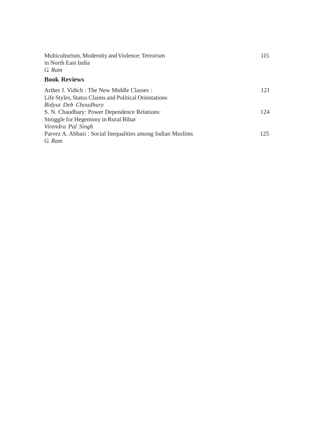| Multiculturism, Modernity and Violence: Terrorism<br>in North East India | 115 |
|--------------------------------------------------------------------------|-----|
| G. Ram                                                                   |     |
|                                                                          |     |
| <b>Book Reviews</b>                                                      |     |
| Arther J. Vidich : The New Middle Classes :                              | 121 |
| Life Styles, Status Claims and Political Orientations                    |     |
| Bidyut Deb Choudhury                                                     |     |
| S. N. Chaudhary: Power Dependence Relations:                             | 124 |
| Struggle for Hegemony in Rural Bihar                                     |     |
| Virendra Pal Singh                                                       |     |
| Parvez A. Abbasi: Social Inequalities among Indian Muslims               | 125 |
| G. Ram                                                                   |     |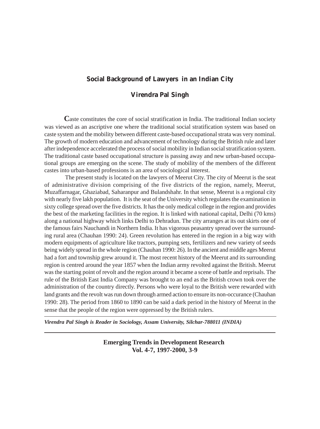# **Social Background of Lawyers in an Indian City**

# **Virendra Pal Singh**

**C**aste constitutes the core of social stratification in India. The traditional Indian society was viewed as an ascriptive one where the traditional social stratification system was based on caste system and the mobility between different caste-based occupational strata was very nominal. The growth of modern education and advancement of technology during the British rule and later after independence accelerated the process of social mobility in Indian social stratification system. The traditional caste based occupational structure is passing away and new urban-based occupational groups are emerging on the scene. The study of mobility of the members of the different castes into urban-based professions is an area of sociological interest.

 The present study is located on the lawyers of Meerut City. The city of Meerut is the seat of administrative division comprising of the five districts of the region, namely, Meerut, Muzaffarnagar, Ghaziabad, Saharanpur and Bulandshahr. In that sense, Meerut is a regional city with nearly five lakh population. It is the seat of the University which regulates the examination in sixty college spread over the five districts. It has the only medical college in the region and provides the best of the marketing facilities in the region. It is linked with national capital, Delhi (70 kms) along a national highway which links Delhi to Dehradun. The city arranges at its out skirts one of the famous fairs Nauchandi in Northern India. It has vigorous peasantry spread over the surrounding rural area (Chauhan 1990: 24). Green revolution has entered in the region in a big way with modern equipments of agriculture like tractors, pumping sets, fertilizers and new variety of seeds being widely spread in the whole region (Chauhan 1990: 26). In the ancient and middle ages Meerut had a fort and township grew around it. The most recent history of the Meerut and its surrounding region is centred around the year 1857 when the Indian army revolted against the British. Meerut was the starting point of revolt and the region around it became a scene of battle and reprisals. The rule of the British East India Company was brought to an end as the British crown took over the administration of the country directly. Persons who were loyal to the British were rewarded with land grants and the revolt was run down through armed action to ensure its non-occurance (Chauhan 1990: 28). The period from 1860 to 1890 can be said a dark period in the history of Meerut in the sense that the people of the region were oppressed by the British rulers.

*Virendra Pal Singh is Reader in Sociology, Assam University, Silchar-788011 (INDIA)*

**Emerging Trends in Development Research Vol. 4-7, 1997-2000, 3-9**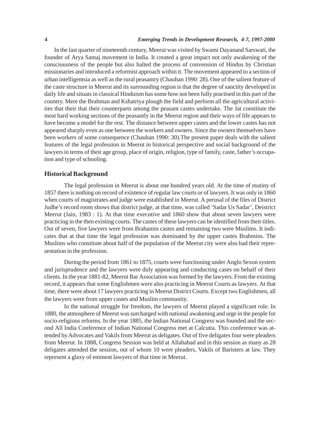#### **4** *Emerging Trends in Development Research, 4-7, 1997-2000*

In the last quarter of nineteenth century, Meerut was visited by Swami Dayanand Sarswati, the founder of Arya Samaj movement in India. It created a great impact not only awakening of the consciousness of the people but also halted the process of convension of Hindus by Christian missionaries and introduced a reformist approach within it. The movement appeared to a section of urban intelligentsia as well as the rural peasantry (Chauhan 1990: 28). One of the salient feature of the caste structure in Meerut and its surrounding region is that the degree of sanctity developed in daily life and situats in classical Hinduism has some how not been fully practised in this part of the country. Mere the Brahman and Kshatriya plough the field and perform all the agricultural activities that their that their counterparts among the peasant castes undertake. The Jat constitute the most hard working sections of the peasantly in the Meerut region and their ways of life appears to have become a model for the rest. The distance between upper castes and the lower castes has not appeared sharply even as one between the workers and owners. Since the owners themselves have been workers of some consequence (Chauhan 1990: 30).The present paper deals with the salient features of the legal profession in Meerut in historical perspective and social background of the lawyers in terms of their age group, place of origin, religion, type of family, caste, father's occupation and type of schooling.

#### **Historical Background**

The legal profession in Meerut is about one hundred years old. At the time of mutiny of 1857 there is nothing on record of existence of regular law courts or of lawyers. It was only in 1860 when courts of magistrates and judge were established in Meerut. A perusal of the files of District Judhe's record room shows that district judge, at that time, was called 'Sadar Us Sadar', Deistrict Meerut (Jain, 1983 : 1). At that time executive and 1860 show that about seven lawyers were practicing in the then existing courts. The castes of these lawyers can be identified from their titles. Out of seven, five lawyers were from Brahamin castes and remaining two were Muslims. It indicates that at that time the legal profession was dominated by the upper castes Brahmins. The Muslims who constitute about half of the population of the Meerut city were also had their representation in the profession.

During the period from 1861 to 1875, courts were functioning under Anglo Sexon system and jurisprudence and the lawyers were duly appearing and conducting cases on behalf of their clients. In the year 1881-82, Meerut Bar Association was formed by the lawyers. From the existing record, it appears that some Englishmen were also practicing in Meerut Courts as lawyers. At that time, there were about 17 lawyers practicing in Meerut District Courts. Except two Englishmen, all the lawyers were from upper castes and Muslim community.

In the national struggle for freedom, the lawyers of Meerut played a significant role. In 1880, the atmosphere of Meerut was surcharged with national awakening and urge in the people for socio-religious reforms. In the year 1885, the Indian National Congress was founded and the second All India Conference of Indian National Congress met at Calcutta. This conference was attended by Advocates and Vakils from Meerut as deligates. Out of five deligates four were pleaders from Meerut. In 1888, Congress Session was held at Allahabad and in this session as many as 28 deligates attended the session, out of whom 10 were pleaders, Vakils of Baristers at law. They represent a glaxy of eminent lawyers of that time in Meerut.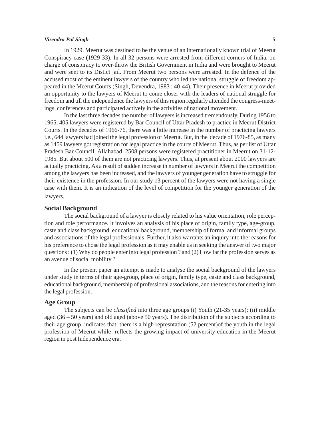#### *Virendra Pal Singh* **5**

In 1929, Meerut was destined to be the venue of an internationally known trial of Meerut Conspiracy case (1929-33). In all 32 persons were arrested from different corners of India, on charge of conspiracy to over-throw the British Government in India and were brought to Meerut and were sent to its Distict jail. From Meerut two persons were arrested. In the defence of the accused most of the eminent lawyers of the country who led the national struggle of freedom appeared in the Meerut Courts (Singh, Devendra, 1983 : 40-44). Their presence in Meerut provided an opportunity to the lawyers of Meerut to come closer with the leaders of national struggle for freedom and till the independence the lawyers of this region regularly attended the congress-meetings, conferences and participated actively in the activities of national movement.

In the last three decades the number of lawyers is increased tremendously. During 1956 to 1965, 405 lawyers were registered by Bar Council of Uttar Pradesh to practice in Meerut District Courts. In the decades of 1966-76, there was a little increase in the number of practicing lawyers i.e., 644 lawyers had joined the legal profession of Meerut. But, in the decade of 1976-85, as many as 1459 lawyers got registration for legal practice in the courts of Meerut. Thus, as per list of Uttar Pradesh Bar Council, Allahabad, 2508 persons were registered practitioner in Meerut on 31-12- 1985. But about 500 of them are not practicing lawyers. Thus, at present about 2000 lawyers are actually practicing. As a result of sudden increase in number of lawyers in Meerut the competition among the lawyers has been increased, and the lawyers of younger generation have to struggle for their existence in the profession. In our study 13 percent of the lawyers were not having a single case with them. It is an indication of the level of competition for the younger generation of the lawyers.

#### **Social Background**

The social background of a lawyer is closely related to his value orientation, role perception and role performance. It involves an analysis of his place of origin, family type, age-group, caste and class background, educational background, membership of formal and informal groups and associations of the legal professionals. Further, it also warrants an inquiry into the reasons for his preference to chose the legal profession as it may enable us in seeking the answer of two major questions : (1) Why do people enter into legal profession ? and (2) How far the profession serves as an avenue of social mobility ?

In the present paper an attempt is made to analyse the social background of the lawyers under study in terms of their age-group, place of origin, family type, caste and class background, educational background, membership of professional associations, and the reasons for entering into the legal profession.

# **Age Group**

The subjects can be *classified* into three age groups (i) Youth (21-35 years); (ii) middle aged (36 – 50 years) and old aged (above 50 years). The distribution of the subjects according to their age group indicates that there is a high represntation (52 percent)of the youth in the legal profession of Meerut while reflects the growing impact of university education in the Meerut region in post Independence era.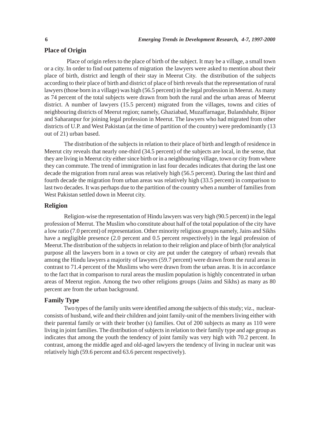# **Place of Origin**

Place of origin refers to the place of birth of the subject. It may be a village, a small town or a city. In order to find out patterns of migration the lawyers were asked to mention about their place of birth, district and length of their stay in Meerut City. the distribution of the subjects according to their place of birth and district of place of birth reveals that the representation of rural lawyers (those born in a village) was high (56.5 percent) in the legal profession in Meerut. As many as 74 percent of the total subjects were drawn from both the rural and the urban areas of Meerut district. A number of lawyers (15.5 percent) migrated from the villages, towns and cities of neighbouring districts of Meerut region; namely, Ghaziabad, Muzaffarnagar, Bulandshahr, Bijnor and Saharanpur for joining legal profession in Meerut. The lawyers who had migrated from other districts of U.P. and West Pakistan (at the time of partition of the country) were predominantly (13 out of 21) urban based.

The distribution of the subjects in relation to their place of birth and length of residence in Meerut city reveals that nearly one-third (34.5 percent) of the subjects are local, in the sense, that they are living in Meerut city either since birth or in a neighbouring village, town or city from where they can commute. The trend of immigration in last four decades indicates that during the last one decade the migration from rural areas was relatively high (56.5 percent). During the last third and fourth decade the migration from urban areas was relatively high (33.5 percent) in comparison to last two decades. It was perhaps due to the partition of the country when a number of families from West Pakistan settled down in Meerut city.

#### **Religion**

Religion-wise the representation of Hindu lawyers was very high (90.5 percent) in the legal profession of Merrut. The Muslim who constitute about half of the total population of the city have a low ratio (7.0 percent) of representation. Other minority religious groups namely, Jains and Sikhs have a negligible presence (2.0 percent and 0.5 percent respectively) in the legal profession of Meerut.The distribution of the subjects in relation to their religion and place of birth (for analytical purpose all the lawyers born in a town or city are put under the category of urban) reveals that among the Hindu lawyers a majority of lawyers (59.7 percent) were drawn from the rural areas in contrast to 71.4 percent of the Muslims who were drawn from the urban areas. It is in accordance to the fact that in comparison to rural areas the muslim population is highly concentrated in urban areas of Meerut region. Among the two other religions groups (Jains and Sikhs) as many as 80 percent are from the urban background.

# **Family Type**

Two types of the family units were identified among the subjects of this study; viz., nuclearconsists of husband, wife and their children and joint family-unit of the members living either with their parental family or with their brother (s) families. Out of 200 subjects as many as 110 were living in joint families. The distribution of subjects in relation to their family type and age group as indicates that among the youth the tendency of joint family was very high with 70.2 percent. In contrast, among the middle aged and old-aged lawyers the tendency of living in nuclear unit was relatively high (59.6 percent and 63.6 percent respectively).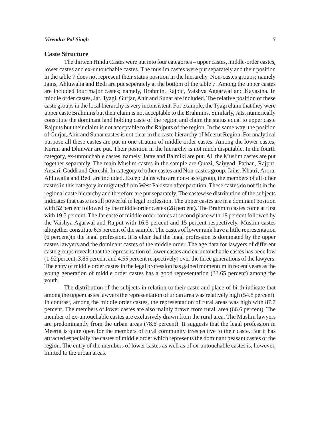#### *Virendra Pal Singh* **7**

#### **Caste Structure**

The thirteen Hindu Castes were put into four categories – upper castes, middle-order castes, lower castes and ex-untouchable castes. The muslim castes were put separately and their position in the table 7 does not represent their status position in the hierarchy. Non-castes groups; namely Jains, Ahluwalia and Bedi are put seperately at the bottom of the table 7. Among the upper castes are included four major castes; namely, Brahmin, Rajput, Vaishya Aggarwal and Kayastha. In middle order castes, Jat, Tyagi, Gurjar, Ahir and Sunar are included. The relative position of these caste groups in the local hierarchy is very inconsistent. For example, the Tyagi claim that they were upper caste Brahmins but their claim is not acceptable to the Brahmins. Similarly, Jats, numerically constitute the dominant land holding caste of the region and claim the status equal to upper caste Rajputs but their claim is not acceptable to the Rajputs of the region. In the same way, the position of Gurjar, Ahir and Sunar castes is not clear in the caste hierarchy of Meerut Region. For analytical purpose all these castes are put in one stratum of middle order castes. Among the lower castes, Kurmi and Dhinwar are put. Their position in the hierarchy is not much disputable. In the fourth category, ex-untouchable castes, namely, Jatav and Balmiki are put. All the Muslim castes are put together separately. The main Muslim castes in the sample are Quazi, Saiyyad, Pathan, Rajput, Ansari, Gaddi and Qureshi. In category of other castes and Non-castes group, Jains. Khatri, Arora, Ahluwalia and Bedi are included. Except Jains who are non-caste group, the members of all other castes in this category immigrated from West Pakistan after partition. These castes do not fit in the regional caste hierarchy and therefore are put separately. The castewise distribution of the subjects indicates that caste is still powerful in legal profession. The upper castes are in a dominant position with 52 percent followed by the middle order castes (28 percent). The Brahmin castes come at first with 19.5 percent. The Jat caste of middle order comes at second place with 18 percent followed by the Vaishya Agarwal and Rajput with 16.5 percent and 15 percent respectively. Muslim castes altogether constitute 6.5 percent of the sample. The castes of lower rank have a little representation (6 percent)in the legal profession. It is clear that the legal profession is dominated by the upper castes lawyers and the dominant castes of the middle order. The age data for lawyers of different caste groups reveals that the representation of lower castes and ex-untouchable castes has been low (1.92 percent, 3.85 percent and 4.55 percent respectively) over the three generations of the lawyers. The entry of middle order castes in the legal profession has gained momentum in recent years as the young generation of middle order castes has a good representation (33.65 percent) among the youth.

The distribution of the subjects in relation to their caste and place of birth indicate that among the upper castes lawyers the representation of urban area was relatively high (54.8 percent). In contrast, among the middle order castes, the representation of rural areas was high with 87.7 percent. The members of lower castes are also mainly drawn from rural area (66.6 percent). The member of ex-untouchable castes are exclusively drawn from the rural area. The Muslim lawyers are predominantly from the urban areas (78.6 percent). It suggests that the legal profession in Meerut is quite open for the members of rural community irrespective to their caste. But it has attracted especially the castes of middle order which represents the dominant peasant castes of the region. The entry of the members of lower castes as well as of ex-untouchable castes is, however, limited to the urban areas.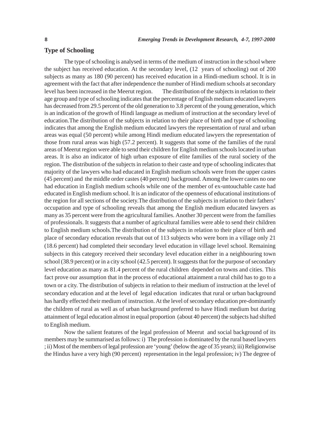# **Type of Schooling**

The type of schooling is analysed in terms of the medium of instruction in the school where the subject has received education. At the secondary level, (12 years of schooling) out of 200 subjects as many as 180 (90 percent) has received education in a Hindi-medium school. It is in agreement with the fact that after independence the number of Hindi medium schools at secondary level has been increased in the Meerut region. The distribution of the subjects in relation to their age group and type of schooling indicatesthat the percentage of English medium educated lawyers has decreased from 29.5 percent of the old generation to 3.8 percent of the young generation, which is an indication of the growth of Hindi language as medium of instruction at the secondary level of education.The distribution of the subjects in relation to their place of birth and type of schooling indicates that among the English medium educated lawyers the representation of rural and urban areas was equal (50 percent) while among Hindi medium educated lawyers the representation of those from rural areas was high (57.2 percent). It suggests that some of the families of the rural areas of Meerut region were able to send their children for English medium schools located in urban areas. It is also an indicator of high urban exposure of elite families of the rural society of the region. The distribution of the subjects in relation to their caste and type of schooling indicates that majority of the lawyers who had educated in English medium schools were from the upper castes (45 percent) and the middle order castes (40 percent) background. Among the lower castes no one had education in English medium schools while one of the member of ex-untouchable caste had educated in English medium school. It is an indicator of the openness of educational institutions of the region for all sections of the society.The distribution of the subjects in relation to their fathers' occupation and type of schooling reveals that among the English medium educated lawyers as many as 35 percent were from the agricultural families. Another 30 percent were from the families of professionals. It suggests that a number of agricultural families were able to send their children to English medium schools.The distribution of the subjects in relation to their place of birth and place of secondary education reveals that out of 113 subjects who were born in a village only 21 (18.6 percent) had completed their secondary level education in village level school. Remaining subjects in this category received their secondary level education either in a neighbouring town school (38.9 percent) or in a city school (42.5 percent). It suggests that for the purpose of secondary level education as many as 81.4 percent of the rural children depended on towns and cities. This fact prove our assumption that in the process of educational attainment a rural child has to go to a town or a city. The distribution of subjects in relation to their medium of instruction at the level of secondary education and at the level of legal education indicates that rural or urban background has hardly effected their medium of instruction. At the level of secondary education pre-dominantly the children of rural as well as of urban background preferred to have Hindi medium but during attainment of legal education almost in equal proportion (about 40 percent) the subjects had shifted to English medium.

Now the salient features of the legal profession of Meerut and social background of its members may be summarised as follows: i) The profession is dominated by the rural based lawyers ; ii) Most of the members of legal profession are 'young' (below the age of 35 years); iii) Religionwise the Hindus have a very high (90 percent) representation in the legal profession; iv) The degree of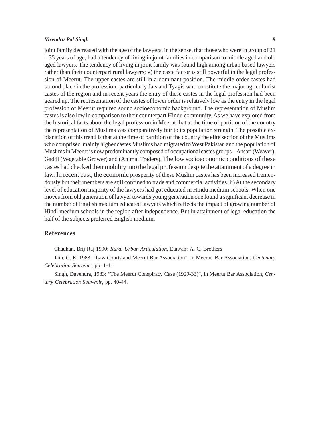#### *Virendra Pal Singh* **9**

joint family decreased with the age of the lawyers, in the sense, that those who were in group of 21 – 35 years of age, had a tendency of living in joint families in comparison to middle aged and old aged lawyers. The tendency of living in joint family was found high among urban based lawyers rather than their counterpart rural lawyers; v) the caste factor is still powerful in the legal profession of Meerut. The upper castes are still in a dominant position. The middle order castes had second place in the profession, particularly Jats and Tyagis who constitute the major agriculturist castes of the region and in recent years the entry of these castes in the legal profession had been geared up. The representation of the castes of lower order is relatively low as the entry in the legal profession of Meerut required sound socioeconomic background. The representation of Muslim castes is also low in comparison to their counterpart Hindu community. As we have explored from the historical facts about the legal profession in Meerut that at the time of partition of the country the representation of Muslims was comparatively fair to its population strength. The possible explanation of this trend is that at the time of partition of the country the elite section of the Muslims who comprised mainly higher castes Muslims had migrated to West Pakistan and the population of Muslims in Meerut is now predominantly composed of occupational castes groups – Ansari (Weaver), Gaddi (Vegetable Grower) and (Animal Traders). The low socioeconomic conditions of these castes had checked their mobility into the legal profession despite the attainment of a degree in law. In recent past, the economic prosperity of these Muslim castes has been increased tremendously but their members are still confined to trade and commercial activities. ii) At the secondary level of education majority of the lawyers had got educated in Hindu medium schools. When one moves from old generation of lawyer towards young generation one found a significant decrease in the number of English medium educated lawyers which reflects the impact of growing number of Hindi medium schools in the region after independence. But in attainment of legal education the half of the subjects preferred English medium.

#### **References**

Chauhan, Brij Raj 1990: *Rural Urban Articulation,* Etawah: A. C. Brothers

Jain, G. K. 1983: "Law Courts and Meerut Bar Association", in Meerut Bar Association, *Centenary Celebration Sonvenir*, pp. 1-11.

Singh, Davendra, 1983: "The Meerut Conspiracy Case (1929-33)", in Meerut Bar Association, *Century Celebration Souvenir*, pp. 40-44.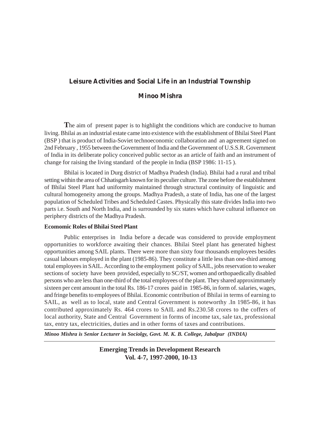# **Leisure Activities and Social Life in an Industrial Township**

# **Minoo Mishra**

The aim of present paper is to highlight the conditions which are conducive to human living. Bhilai as an industrial estate came into existence with the establishment of Bhilai Steel Plant (BSP ) that is product of India-Soviet technoeconomic collaboration and an agreement signed on 2nd February , 1955 between the Government of India and the Government of U.S.S.R. Government of India in its deliberate policy conceived public sector as an article of faith and an instrument of change for raising the living standard of the people in India (BSP 1986: 11-15 ).

Bhilai is located in Durg district of Madhya Pradesh (India). Bhilai had a rural and tribal setting within the area of Chhatisgarh known for its peculier culture. The zone before the establishment of Bhilai Steel Plant had uniformity maintained through structural continuity of linguistic and cultural homogeneity among the groups. Madhya Pradesh, a state of India, has one of the largest population of Scheduled Tribes and Scheduled Castes. Physically this state divides India into two parts i.e. South and North India, and is surrounded by six states which have cultural influence on periphery districts of the Madhya Pradesh.

#### **Ecomomic Roles of Bhilai Steel Plant**

Public enterprises in India before a decade was considered to provide employment opportunities to workforce awaiting their chances. Bhilai Steel plant has generated highest opportunities among SAIL plants. There were more than sixty four thousands employees besides casual labours employed in the plant (1985-86). They constitute a little less than one-third among total employees in SAIL. According to the employment policy of SAIL, jobs reservation to weaker sections of society have been provided, especially to SC/ST, women and orthopaedically disabled persons who are less than one-third of the total employees of the plant. They shared approximmately sixteen per cent amount in the total Rs. 186-17 crores paid in 1985-86, in form of. salaries, wages, and fringe benefits to employees of Bhilai. Economic contribution of Bhilai in terms of earning to SAIL, as well as to local, state and Central Government is noteworthy .In 1985-86, it has contributed approximately Rs. 464 crores to SAIL and Rs.230.58 crores to the coffers of local authority, State and Central Government in forms of income tax, sale tax, professional tax, entry tax, electricities, duties and in other forms of taxes and contributions.

*Minoo Mishra is Senior Lecturer in Sociolgy, Govt. M. K. B. College, Jabalpur (INDIA)*

**Emerging Trends in Development Research Vol. 4-7, 1997-2000, 10-13**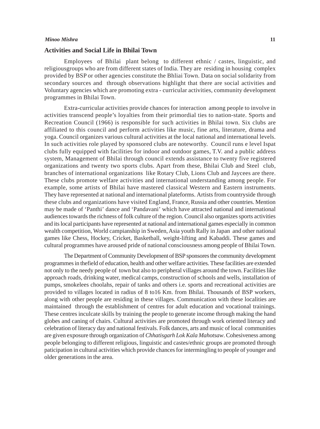#### *Minoo Mishra* **11**

#### **Activities and Social Life in Bhilai Town**

Employees of Bhilai plant belong to different ethnic / castes, linguistic, and religiousgroups who are from different states of India. They are residing in housing complex provided by BSP or other agencies constitute the Bhliai Town. Data on social solidarity from secondary sources and through observations highlight that there are social activities and Voluntary agencies which are promoting extra - curricular activities, community development programmes in Bhilai Town.

Extra-curricular activities provide chances for interaction among people to involve in activities transcend people's loyalties from their primordial ties to nation-state. Sports and Recreation Council (1966) is responsible for such activities in Bhilai town. Six clubs are affiliated to this council and perform activities like music, fine arts, literature, drama and yoga. Council organizes various cultural activities at the local national and international levels. In such activities role played by sponsored clubs are noteworthy. Council runs e level Ispat clubs fully equipped with facilities for indoor and outdoor games, T.V. and a public address system, Management of Bhilai through council extends assistance to twenty five registered organizations and twenty two sports clubs. Apart from these, Bhilai Club and Steel club, branches of international organizations like Rotary Club, Lions Club and Jaycees are there. These clubs promote welfare activities and international understanding among people. For example, some artists of Bhilai have mastered classical Western and Eastern instruments. They have represented at national and international plateforms. Artists from countryside through these clubs and organizations have visited England, France, Russia and other countries. Mention may be made of 'Panthi' dance and 'Pandavani' which have attracted national and international audiences towards the richness of folk culture of the region. Council also organizes sports activities and its local participants have represented at national and international games especially in common wealth competition, World campianship in Sweden, Asia youth Rally in Japan and other national games like Chess, Hockey, Cricket, Basketball, weight-lifting and Kabaddi. These games and cultural programmes have aroused pride of national consciousness among people of Bhilai Town.

The Department of Community Development of BSP sponsores the community development programmes in thefield of education, health and other welfare activities. These facilities are extended not only to the needy people of town but also to peripheral villages around the town. Facilities like approach roads, drinking water, medical camps, construction of schools and wells, installation of pumps, smokelees choolahs, repair of tanks and others i.e. sports and recreational activities are provided to villages located in radius of 8 to16 Km. from Bhilai. Thousands of BSP workers, along with other people are residing in these villages. Communication with these localities are maintained through the establishment of centres for adult education and vocational trainings. These centres inculcate skills by training the people to generate income through making the hand globes and caning of chairs. Cultural activities are promoted through work oriented literacy and celebration of literacy day and national festivals. Folk dances, arts and music of local communities are given exposure through organization of *Chhatisgarh Lok Kala Mahotsaw*. Cohesiveness among people belonging to different religious, linguistic and castes/ethnic groups are promoted through paticipation in cultural activities which provide chances for intermingling to people of younger and older generations in the area.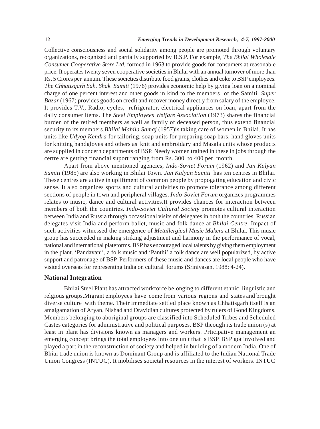Collective consciousness and social solidarity among people are promoted through voluntary organizations, recognized and partially supported by B.S.P. For example, *The Bhilai Wholesale Consumer Cooperative Store Ltd.* formed in 1963 to provide goods for consumers at reasonable price. It operates twenty seven cooperative societies in Bhilai with an annual turnover of more than Rs. 5 Crores per annum. These societies distribute food grains, clothes and coke to BSP employees. *The Chhatisgarh Sah. Shak Samiti* (1976) provides economic help by giving loan on a nominal charge of one percent interest and other goods in kind to the members of the Samiti. *Super Bazar* (1967) provides goods on credit and recover money directly from salary of the employee. It provides T.V., Radio, cycles, refrigerator, electrical appliances on loan, apart from the daily consumer items. The *Steel Employees Welfare Association* (1973) shares the financial burden of the retired members as well as family of deceased person, thus extend financial security to its members.*Bhilai Mahila Samaj* (1957)is taking care of women in Bhilai. It has units like *Udyog Kendra* for tailoring, soap units for preparing soap bars, hand gloves units for knitting handgloves and others as knit and embroidary and Masala units whose products are supplied in concern departments of BSP. Needy women trained in these in jobs through the certre are getting financial suport ranging from Rs. 300 to 400 per month.

Apart from above mentioned agencies, *Indo-Soviet Forum* (1962) and *Jan Kalyan Samiti* (1985) are also working in Bhilai Town. *Jan Kalyan Samiti* has ten centres in Bhilai. These centres are active in upliftment of common people by propogating education and civic sense. It also organizes sports and cultural activities to promote tolerance among different sections of people in town and peripheral villages. *Indo-Soviet Forum* organizes programmes relates to music, dance and cultural activities.It provides chances for interaction between members of both the countries. *Indo-Soviet Cultural Society* promotes cultural interaction between India and Russia through occassional visits of delegates in both the countries. Russian delegates visit India and perform ballet, music and folk dance at *Bhilai Centre*. Impact of such activities witnessed the emergence of *Metallergical Music Makers* at Bhilai. This music group has succeeded in making striking adjustment and harmony in the performance of vocal, national and international plateforms. BSP has encouraged local talents by giving them employment in the plant. 'Pandavani', a folk music and 'Panthi' a folk dance are well popularized, by active support and patronage of BSP. Performers of these music and dances are local people who have visited overseas for representing India on cultural forums (Srinivasan, 1988: 4-24).

#### **National Integration**

Bhilai Steel Plant has attracted workforce belonging to different ethnic, linguistic and relgious groups.Migrant employees have come from various regions and states and brought diverse culture with theme. Their immediate settled place known as Chhatisgarh itself is an amalgamation of Aryan, Nishad and Dravidian cultures protected by rulers of Gond Kingdoms. Members belonging to aboriginal groups are classified into Scheduled Tribes and Scheduled Castes categories for administrative and political purposes. BSP theough its trade union (s) at least in plant has divisions known as managers and workers. Prticipative management an emerging concept brings the total employees into one unit that is BSP. BSP got involved and played a part in the reconstruction of society and helped in building of a modern India. One of Bhiai trade union is known as Dominant Group and is affiliated to the Indian National Trade Union Congress (INTUC). It mobilises societal resources in the interest of workers. INTUC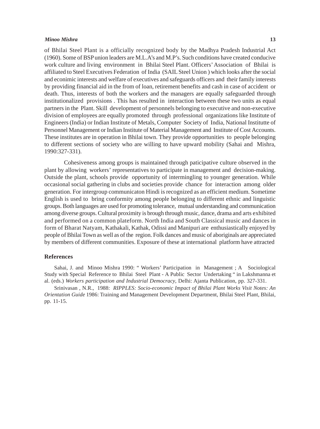#### *Minoo Mishra* **13**

of Bhilai Steel Plant is a officially recognized body by the Madhya Pradesh Industrial Act (1960). Some of BSP union leaders are M.L.A's and M.P's. Such conditions have created conducive work culture and living environment in Bhilai Steel Plant. Officers' Association of Bhilai is affiliated to Steel Executives Federation of India (SAIL Steel Union ) which looks after the social and econimic interests and welfare of executives and safeguards officers and their family interests by providing financial aid in the from of loan, retirement benefits and cash in case of accident or death. Thus, interests of both the workers and the managers are equally safeguarded through institutionalized provisions . This has resulted in interaction between these two units as equal partners in the Plant. Skill development of personnels belonging to executive and non-executive division of employees are equally promoted through professional organizations like Institute of Engineers (India) or Indian Institute of Metals, Computer Society of India, National Institutte of Personnel Management or Indian Institute of Material Management and Institute of Cost Accounts. These institutes are in operation in Bhilai town. They provide opportunities to people belonging to different sections of society who are willing to have upward mobility (Sahai and Mishra, 1990:327-331).

Cohesiveness among groups is maintained through paticipative culture observed in the plant by allowing workers' representatives to participate in management and decision-making. Outside the plant, schools provide opportunity of intermingling to younger generation. While occasional social gathering in clubs and societies provide chance for interaction among older generation. For intergroup communicaton Hindi is recognized as an efficient medium. Sometime English is used to bring conformity among people belonging to different ethnic and linguistic groups. Both languages are used for promoting tolerance, mutual understanding and communication among diverse groups. Cultural proximity is brough through music, dance, drama and arts exhibited and performed on a common plateform. North India and South Classical music and dances in form of Bharat Natyam, Kathakali, Kathak, Odissi and Manipuri are enthusiastically enjoyed by people of Bhilai Town as well as of the region. Folk dances and music of aboriginals are appreciated by members of different communities. Exposure of these at international platform have attracted

#### **References**

Sahai, J. and Minoo Mishra 1990: " Workers' Participation in Management ; A Sociological Study with Special Reference to Bhilai Steel Plant - A Public Sector Undertaking " in Lakshmanna et al. (eds.) *Workers participation and Industrial Democracy*, Delhi: Ajanta Publication, pp. 327-331.

Srinivasan , N.R., 1988: *RIPPLES: Socio-economic Impact of Bhilai Plant Works Visit Notes: An Orientation Guide* 1986: Training and Management Development Department, Bhilai Steel Plant, Bhilai, pp. 11-15.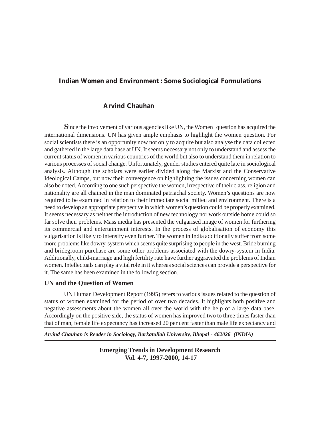# **Indian Women and Environment : Some Sociological Formulations**

# **Arvind Chauhan**

**S**ince the involvement of various agencies like UN, the Women question has acquired the international dimensions. UN has given ample emphasis to highlight the women question. For social scientists there is an opportunity now not only to acquire but also analyse the data collected and gathered in the large data base at UN. It seems necessary not only to understand and assess the current status of women in various countries of the world but also to understand them in relation to various processes of social change. Unfortunately, gender studies entered quite late in sociological analysis. Although the scholars were earlier divided along the Marxist and the Conservative Ideological Camps, but now their convergence on highlighting the issues concerning women can also be noted. According to one such perspective the women, irrespective of their class, religion and nationality are all chained in the man dominated patriachal society. Women's questions are now required to be examined in relation to their immediate social milieu and environment. There is a need to develop an appropriate perspective in which women's question could be properly examined. It seems necessary as neither the introduction of new technology nor work outside home could so far solve their problems. Mass media has presented the vulgarised image of women for furthering its commercial and entertainment interests. In the process of globalisation of economy this vulgarisation is likely to intensify even further. The women in India additionally suffer from some more problems like dowry-system which seems quite surprising to people in the west. Bride burning and bridegroom purchase are some other problems associated with the dowry-system in India. Additionally, child-marriage and high fertility rate have further aggravated the problems of Indian women. Intellectuals can play a vital role in it whereas social sciences can provide a perspective for it. The same has been examined in the following section.

# **UN and the Question of Women**

UN Human Development Report (1995) refers to various issues related to the question of status of women examined for the period of over two decades. It highlights both positive and negative assessments about the women all over the world with the help of a large data base. Accordingly on the positive side, the status of women has improved two to three times faster than that of man, female life expectancy has increased 20 per cent faster than male life expectancy and

*Arvind Chauhan is Reader in Sociology, Barkatullah University, Bhopal - 462026 (INDIA)*

**Emerging Trends in Development Research Vol. 4-7, 1997-2000, 14-17**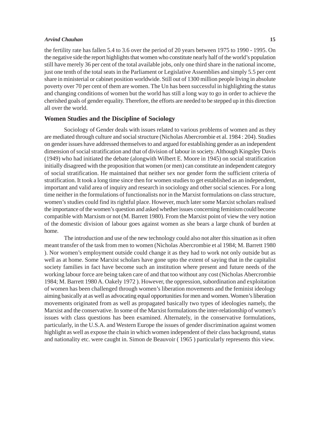#### *Arvind Chauhan* **15**

the fertility rate has fallen 5.4 to 3.6 over the period of 20 years between 1975 to 1990 - 1995. On the negative side the report highlights that women who constitute nearly half of the world's population still have merely 36 per cent of the total available jobs, only one third share in the national income, just one tenth of the total seats in the Parliament or Legislative Assemblies and simply 5.5 per cent share in ministerial or cabinet position worldwide. Still out of 1300 million people living in absolute poverty over 70 per cent of them are women. The Un has been successful in highlighting the status and changing conditions of women but the world has still a long way to go in order to achieve the cherished goals of gender equality. Therefore, the efforts are needed to be stepped up in this direction all over the world.

### **Women Studies and the Discipline of Sociology**

Sociology of Gender deals with issues related to various problems of women and as they are mediated through culture and social structure (Nicholas Abercrombie et al. 1984 : 204). Studies on gender issues have addressed themselves to and argued for establishing gender as an independent dimension of social stratification and that of division of labour in society. Although Kingsley Davis (1949) who had initiated the debate (alongwith Wilbert E. Moore in 1945) on social stratification initially disagreed with the proposition that women (or men) can constitute an independent category of social stratification. He maintained that neither sex nor gender form the sufficient criteria of stratification. It took a long time since then for women studies to get established as an independent, important and valid area of inquiry and research in sociology and other social sciences. For a long time neither in the formulations of functionalists nor in the Marxist formulations on class structure, women's studies could find its rightful place. However, much later some Marxist scholars realised the importance of the women's question and asked whether issues concerning feminism could become compatible with Marxism or not (M. Barrett 1980). From the Marxist point of view the very notion of the domestic division of labour goes against women as she bears a large chunk of burden at home.

The introduction and use of the new technology could also not alter this situation as it often meant transfer of the task from men to women (Nicholas Abercrombie et al 1984; M. Barrett 1980 ). Nor women's employment outside could change it as they had to work not only outside but as well as at home. Some Marxist scholars have gone upto the extent of saying that in the capitalist society families in fact have become such an institution where present and future needs of the working labour force are being taken care of and that too without any cost (Nicholas Abercrombie 1984; M. Barrett 1980 A. Oakely 1972 ). However, the oppression, subordination and exploitation of women has been challenged through women's liberation movements and the feminist ideology aiming basically at as well as advocating equal opportunities for men and women. Women's liberation movements originated from as well as propagated basically two types of ideologies namely, the Marxist and the conservative. In some of the Marxist formulations the inter-relationship of women's issues with class questions has been examined. Alternately, in the conservative formulations, particularly, in the U.S.A. and Western Europe the issues of gender discrimination against women highlight as well as expose the chain in which women independent of their class background, status and nationality etc. were caught in. Simon de Beauvoir ( 1965 ) particularly represents this view.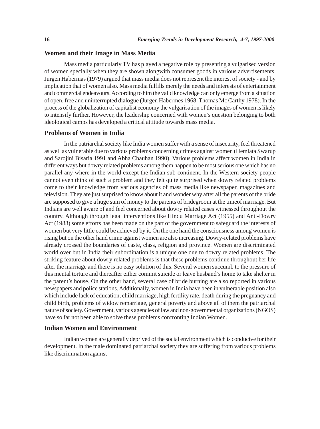#### **Women and their Image in Mass Media**

Mass media particularly TV has played a negative role by presenting a vulgarised version of women specially when they are shown alongwith consumer goods in various advertisements. Jurgen Habermas (1979) argued that mass media does not represent the interest of society - and by implication that of women also. Mass media fulfills merely the needs and interests of entertainment and commercial endeavours. According to him the valid knowledge can only emerge from a situation of open, free and uninterrupted dialogue (Jurgen Habermes 1968, Thomas Mc Carthy 1978). In the process of the globalization of capitalist economy the vulgarisation of the images of women is likely to intensify further. However, the leadership concerned with women's question belonging to both ideological camps has developed a critical attitude towards mass media.

#### **Problems of Women in India**

In the patriarchal society like India women suffer with a sense of insecurity, feel threatened as well as vulnerable due to various problems concerning crimes against women (Hemlata Swarup and Sarojini Bisaria 1991 and Abha Chauhan 1990). Various problems affect women in India in different ways but dowry related problems among them happen to be most serious one which has no parallel any where in the world except the Indian sub-continent. In the Western society people cannot even think of such a problem and they felt quite surprised when dowry related problems come to their knowledge from various agencies of mass media like newspaper, magazines and television. They are just surprised to know about it and wonder why after all the parents of the bride are supposed to give a huge sum of money to the parents of bridegroom at the timeof marriage. But Indians are well aware of and feel concerned about dowry related cases witnessed throughout the country. Although through legal interventions like Hindu Marriage Act (1955) and Anti-Dowry Act (1988) some efforts has been made on the part of the government to safeguard the interests of women but very little could be achieved by it. On the one hand the consciousness among women is rising but on the other hand crime against women are also increasing. Dowry-related problems have already crossed the boundaries of caste, class, religion and province. Women are discriminated world over but in India their subordination is a unique one due to dowry related problems. The striking feature about dowry related problems is that these problems continue throughout her life after the marriage and there is no easy solution of this. Several women succumb to the pressure of this mental torture and thereafter either commit suicide or leave husband's home to take shelter in the parent's house. On the other hand, several case of bride burning are also reported in various newspapers and police stations. Additionally, women in India have been in vulnerable position also which include lack of education, child marriage, high fertility rate, death during the pregnancy and child birth, problems of widow remarriage, general poverty and above all of them the patriarchal nature of society. Government, various agencies of law and non-governmental organizations (NGOS) have so far not been able to solve these problems confronting Indian Women.

#### **Indian Women and Environment**

Indian women are generally deprived of the social environment which is conducive for their development. In the male dominated patriarchal society they are suffering from various problems like discrimination against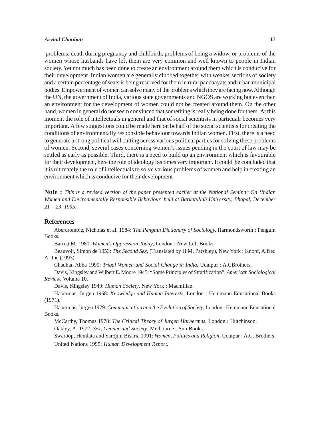#### *Arvind Chauhan* **17**

 problems, death during pregnancy and childbirth, problems of being a widow, or problems of the women whose husbands have left them are very common and well known to people in Indian society. Yet not much has been done to create an environment around them which is conducive for their development. Indian women are generally clubbed together with weaker sections of society and a certain percentage of seats is being reserved for them in rural panchayats and urban municipal bodies. Empowerment of women can solve many of the problems which they are facing now. Although the UN, the government of India, various state governments and NGOS are working but even then an environment for the development of women could not be created around them. On the other hand, women in general do not seem convinced that something is really being done for them. At this moment the role of intellectuals in general and that of social scientists in particualr becomes very important. A few suggestions could be made here on behalf of the social scientists for creating the conditions of environmentally responsible behaviour towards Indian women. First, there is a need to generate a strong political will cutting across various political parties for solving these problems of women. Second, several cases concerning women's issues pending in the court of law may be settled as early as possible. Third, there is a need to build up an environment which is favourable for their development, here the role of ideology becomes very important. It could be concluded that it is ultimately the role of intellectuals to solve various problems of women and help in creating an environment which is conducive for their development

**Note :** *This is a revised version of the paper presented earlier at the National Seminar On 'Indian Women and Environmentally Responsible Behaviour' held at Barkatullah University, Bhopal, December 21 – 23, 1995*.

#### **References**

Abercrombie, Nicholas et al. 1984: *The Penguin Dictionary of Sociology,* Harmondsworth : Penguin Books.

Barrett,M. 1980: *Women's Oppression Today,* London : New Left Books.

Beauvoir, Simon de 1953: *The Second Sex,* (Translated by H.M. Parshley), New York : Knopf, Alfred A. Inc.(1993).

Chauhan Abha 1990: *Tribal Women and Social Change in India*, Udaipur : A.CBrothers.

Davis, Kingsley and Wilbert E. Moore 1945: "Some Principles of Stratification", *American Sociological Review*, Volume 10.

Davis, Kingsley 1949: *Human Society*, New York : Macmillan.

Habermas, Jurgen 1968: *Knowledge and Human Interests*, London : Heinmann Educational Books (1971).

Habermas, Jurgen 1979: *Communication and the Evolution of Society*, London : Heinmann Educational Books.

McCarthy, Thomas 1978: *The Critical Theory of Jurgen Harbermas*, London : Hutchinson. Oakley, A. 1972: *Sex, Gender and Society*, Melbourne : Sun Books.

Swaroop, Hemlata and Sarojini Bisaria 1991: *Women, Politics and Religion,* Udaipur : A.C. Brothers. United Nations 1995: *Human Development Report*.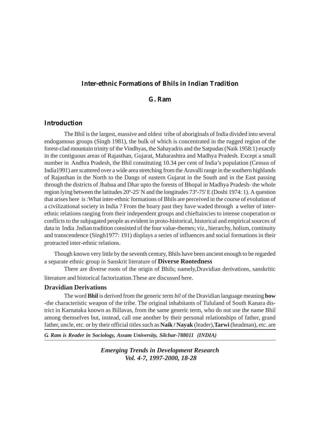# **Inter-ethnic Formations of Bhils in Indian Tradition**

# **G. Ram**

# **Introduction**

The Bhil is the largest, massive and oldest tribe of aboriginals of India divided into several endogamous groups (Singh 1981), the bulk of which is concentrated in the rugged region of the forest-clad mountain trinity of the Vindhyas, the Sahayadris and the Satpudas (Naik 1958:1) exactly in the contiguous areas of Rajasthan, Gujarat, Maharashtra and Madhya Pradesh. Except a small number in Andhra Pradesh, the Bhil constituting 10.34 per cent of India's population (Census of India1991) are scattered over a wide area stretching from the Aravalli range in the southern highlands of Rajasthan in the North to the Dangs of eastern Gujarat in the South and in the East passing through the districts of Jhabua and Dhar upto the forests of Bhopal in Madhya Pradesh- the whole region lying between the latitudes 20º-25' N and the longitudes 73º-75' E (Doshi 1974: 1). A question that arises here is :What inter-ethnic formations of Bhils are perceived in the course of evolution of a civilizational society in India ? From the hoary past they have waded through a welter of interethnic relations ranging from their independent groups and chieftaincies to intense cooperation or conflicts to the subjugated people as evident in proto-historical, historical and empirical sources of data in India .Indian tradition consisted of the four value-themes; viz., hierarchy, holism, continuity and transcendence (Singh1977: 191) displays a series of influences and social formations in their protracted inter-ethnic relations.

Though known very little by the seventh century, Bhils have been ancient enough to be regarded a separate ethnic group in Sanskrit literature of **Diverse Rootedness**

There are diverse roots of the origin of Bhils; namely,Dravidian derivations, sanskritic literature and historical factorization.These are discussed here.

#### **Dravidian Derivations**

The word **Bhil** is derived from the generic term *bil* of the Dravidian language meaning **bow** -the characteristic weapon of the tribe. The original inhabitants of Tululand of South Kanara district in Karnataka known as Billavas, from the same generic term, who do not use the name Bhil among themselves but, instead, call one another by their personal relationships of father, grand father, uncle, etc. or by their official titles such as **Naik / Nayak** (leader),**Tarwi** (headman), etc. are

*G. Ram is Reader in Sociology, Assam University, Silchar-788011 (INDIA)*

*Emerging Trends in Development Research Vol. 4-7, 1997-2000, 18-28*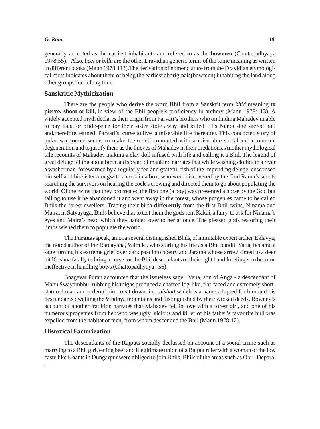#### *G. Ram* **19**

generally accepted as the earliest inhabitants and refered to as the **bowmen** (Chattopadhyaya 1978:55). Also*, beel* or *billu* are the other Dravidian generic terms of the same meaning as written in different books (Mann 1978:113).The derivation of nomenclature from the Dravidian etymological roots indicates about them of being the earliest aboriginals(bowmen) inhabiting the land along other groups for a long time.

# **Sanskritic Mythicization**

There are the people who derive the word **Bhil** from a Sanskrit term *bhid* meaning **to pierce, shoot** or **kill,** in view of the Bhil people's proficiency in archery (Mann 1978:113). A widely accepted myth declares their origin from Parvati's brothers who on finding Mahadev unable to pay dapa or bride-price for their sister stole away and killed His Nandi -the sacred bull and,therefore, earned Parvati's curse to live a miserable life thereafter. This concocted story of unknown source seems to make them self-contented with a miserable social and economic degeneration and to justify them as the thieves of Mahadev in their predations. Another mythological tale recounts of Mahadev making a clay doll infused with life and calling it a Bhil. The legend of great deluge telling about birth and spread of mankind narrates that while washing clothes in a river a washerman forewarned by a regularly fed and grateful fish of the impending deluge ensconsed himself and his sister alongwith a cock in a box, who were discovered by the God Rama's scouts searching the survivors on hearing the cock's crowing and directed them to go about populating the world. Of the twins that they procreated the first one (a boy) was presented a horse by the God but failing to use it he abandoned it and went away in the forest, whose progenies came to be called Bhils-the forest dwellers. Tracing their birth **differently** from the first Bhil twins, Ninama and Maira, in Satyayuga, Bhils believe that to test them the gods sent Kakai, a fairy, to ask for Ninama's eyes and Maira's head which they handed over to her at once. The pleased gods restoring their limbs wished them to populate the world.

The **Puranas** speak, among several distinguished Bhils, of inimitable expert archer, Eklavya; the noted author of the Ramayana, Valmiki, who starting his life as a Bhil bandit, Valia, became a sage turning his extreme grief over dark past into poetry and Jaratha whose arrow aimed to a deer hit Krishna fatally to bring a curse for the Bhil descendants of their right hand forefinger to become ineffective in handling bows (Chattopadhyaya : 56).

Bhagavat Puran accounted that the issueless sage, Vena, son of Anga - a descendant of Manu Swayambhu- rubbing his thighs produced a charred log-like, flat-faced and extremely shortstatured man and ordered him to sit down, i.e., *nishad* which is a name adopted for him and his descendants dwelling the Vindhya mountains and distinguished by their wicked deeds. Rowney's account of another tradition narrates that Mahadev fell in love with a forest girl, and one of his numerous progenies from her who was ugly, vicious and killer of his father's favourite bull was expelled from the habitat of men, from whom descended the Bhil (Mann 1978:12).

# **Historical Factorization**

.

The descendants of the Rajputs socially declassed on account of a social crime such as marrying to a Bhil girl, eating beef and illegitimate union of a Rajput ruler with a woman of the low caste like Khants in Dungarpur were obliged to join Bhils. Bhils of the areas such as Obri, Depara,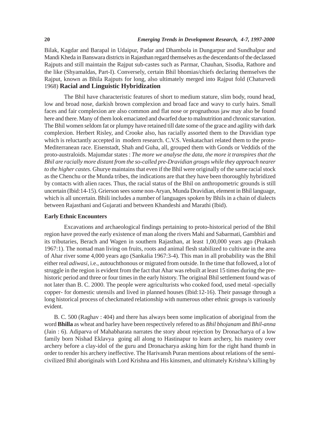Bilak, Kagdar and Barapal in Udaipur, Padar and Dhambola in Dungarpur and Sundhalpur and Mandi Kheda in Banswara districts in Rajasthan regard themselves as the descendants of the declassed Rajputs and still maintain the Rajput sub-castes such as Parmar, Chauhan, Sisodia, Rathore and the like (Shyamaldas, Part-I). Conversely, certain Bhil bhomias/chiefs declaring themselves the Rajput, known as Bhila Rajputs for long, also ultimately merged into Rajput fold (Chaturvedi 1968) **Racial and Linguistic Hybridization**

The Bhil have characteristic features of short to medium stature, slim body, round head, low and broad nose, darkish brown complexion and broad face and wavy to curly hairs. Small faces and fair complexion are also common and flat nose or prognathous jaw may also be found here and there. Many of them look emaciated and dwarfed due to malnutrition and chronic starvation. The Bhil women seldom fat or plumpy have retained till date some of the grace and agility with dark complexion. Herbert Risley, and Crooke also, has racially assorted them to the Dravidian type which is reluctantly accepted in modern research. C.V.S. Venkatachari related them to the proto-Mediterranean race. Eisenstadt, Shah and Guha, all, grouped them with Gonds or Veddids of the proto-australoids. Majumdar states : *The more we analyse the data, the more it transpires that the Bhil are racially more distant from the so-called pre-Dravidian groups while they approach nearer to the higher castes.* Ghurye maintains that even if the Bhil were originally of the same racial stock as the Chenchu or the Munda tribes, the indications are that they have been thoroughly hybridized by contacts with alien races. Thus, the racial status of the Bhil on anthropometric grounds is still uncertain (Ibid:14-15). Grierson sees some non-Aryan, Munda Dravidian, element in Bhil language, which is all uncertain. Bhili includes a number of languages spoken by Bhils in a chain of dialects between Rajasthani and Gujarati and between Khandeshi and Marathi (Ibid).

#### **Early Ethnic Encounters**

Excavations and archaeological findings pertaining to proto-historical period of the Bhil region have proved the early existence of man along the rivers Mahi and Sabarmati, Gambhiri and its tributaries, Berach and Wagen in southern Rajasthan, at least 1,00,000 years ago (Prakash 1967:1). The nomad man living on fruits, roots and animal flesh stabilized to cultivate in the area of Ahar river some 4,000 years ago (Sankalia 1967:3-4). This man in all probability was the Bhil either real *adiwasi*, i.e., autouchthonous or migrated from outside. In the time that followed, a lot of struggle in the region is evident from the fact that Ahar was rebuilt at least 15 times during the prehistoric period and three or four times in the early history. The original Bhil settlement found was of not later than B. C. 2000. The people were agriculturists who cooked food, used metal -specially copper- for domestic utensils and lived in planned houses (Ibid:12-16). Their passage through a long historical process of checkmated relationship with numerous other ethnic groups is variously evident.

B. C. 500 (Raghav : 404) and there has always been some implication of aboriginal from the word **Bhilla** as wheat and barley have been respectively refered to as *Bhil bhojanam* and *Bhil-anna* (Jain : 6). Adiparva of Mahabharata narrates the story about rejection by Dronacharya of a low family born Nishad Eklavya going all along to Hastinapur to learn archery, his mastery over archery before a clay-idol of the guru and Dronacharya asking him for the right hand thumb in order to render his archery ineffective. The Harivansh Puran mentions about relations of the semicivilized Bhil aboriginals with Lord Krishna and His kinsmen, and ultimately Krishna's killing by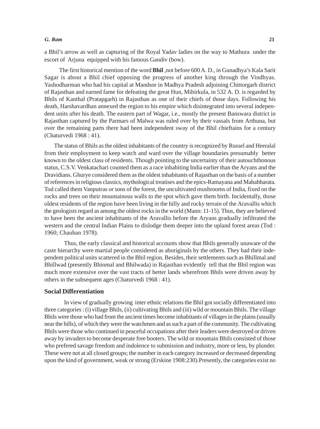#### *G. Ram* **21**

a Bhil's arrow as well as capturing of the Royal Yadav ladies on the way to Mathura under the escort of Arjuna equipped with his famous Gandiv (bow).

The first historical mention of the word **Bhil** ,not before 600 A. D., in Gunadhya's Kala Sarit Sagar is about a Bhil chief opposing the progress of another king through the Vindhyas. Yashodharman who had his capital at Mandsor in Madhya Pradesh adjoining Chittorgarh district of Rajasthan and earned fame for defeating the great Hun, Mihirkula, in 532 A. D. is regarded by Bhils of Kanthal (Pratapgarh) in Rajasthan as one of their chiefs of those days. Following his death, Harshavardhan annexed the region to his empire which disintegrated into several independent units after his death. The eastern part of Wagar, i.e., mostly the present Banswara district in Rajasthan captured by the Parmars of Malwa was ruled over by their vassals from Arthuna, but over the remaining parts there had been independent sway of the Bhil chieftains for a century (Chaturvedi 1968 : 41).

The status of Bhils as the oldest inhabitants of the country is recognized by Russel and Heeralal from their employment to keep watch and ward over the village boundaries presumably better known to the oldest class of residents. Though pointing to the uncertainty of their autouchthonous status, C.S.V. Venkatachari counted them as a race inhabiting India earlier than the Aryans and the Dravidians. Ghurye considered them as the oldest inhabitants of Rajasthan on the basis of a number of references in religious classics, mythological treatises and the epics-Ramayana and Mahabharata. Tod called them Vanputras or sons of the forest, the uncultivated mushrooms of India, fixed on the rocks and trees on their mountainous walls to the spot which gave them birth. Incidentally, those oldest residents of the region have been living in the hilly and rocky terrain of the Aravallis which the geologists regard as among the oldest rocks in the world (Mann: 11-15). Thus, they are believed to have been the ancient inhabitants of the Aravallis before the Aryans gradually infiltrated the western and the central Indian Plains to dislodge them deeper into the upland forest areas (Tod : 1960; Chauhan 1978).

Thus, the early classical and historical accounts show that Bhils generally unaware of the caste hierarchy were martial people considered as aboriginals by the others. They had their independent political units scattered in the Bhil region. Besides, their settlements such as Bhillmal and Bhillwad (presently Bhinmal and Bhilwada) in Rajasthan evidently tell that the Bhil region was much more extensive over the vast tracts of better lands wherefrom Bhils were driven away by others in the subsequent ages (Chaturvedi 1968 : 41).

#### **Social Differentiation**

In view of gradually growing inter ethnic relations the Bhil got socially differentiated into three categories : (i) village Bhils, (ii) cultivating Bhils and (iii) wild or mountain Bhils. The village Bhils were those who had from the ancient times become inhabitants of villages in the plains (usually near the hills), of which they were the watchmen and as such a part of the community. The cultivating Bhils were those who continued in peaceful occupations after their leaders were destroyed or driven away by invaders to become desperate free booters. The wild or mountain Bhils consisted of those who prefered savage freedom and indolence to submission and industry, more or less, by plunder. These were not at all closed groups; the number in each category increased or decreased depending upon the kind of government, weak or strong (Erskine 1908:230).Presently, the categories exist no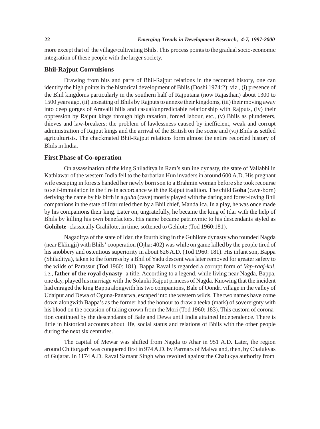more except that of the village/cultivating Bhils. This process points to the gradual socio-economic integration of these people with the larger society.

# **Bhil-Rajput Convulsions**

Drawing from bits and parts of Bhil-Rajput relations in the recorded history, one can identify the high points in the historical development of Bhils (Doshi 1974:2); viz., (i) presence of the Bhil kingdoms particularly in the southern half of Rajputana (now Rajasthan) about 1300 to 1500 years ago, (ii) unseating of Bhils by Rajputs to annexe their kingdoms, (iii) their moving away into deep gorges of Aravalli hills and casual/unpredictable relationship with Rajputs, (iv) their oppression by Rajput kings through high taxation, forced labour, etc., (v) Bhils as plunderers, thieves and law-breakers; the problem of lawlessness caused by inefficient, weak and corrupt administration of Rajput kings and the arrival of the British on the scene and (vi) Bhils as settled agriculturists. The checkmated Bhil-Rajput relations form almost the entire recorded history of Bhils in India.

# **First Phase of Co-operation**

On assassination of the king Shiladitya in Ram's sunline dynasty, the state of Vallabhi in Kathiawar of the western India fell to the barbarian Hun invaders in around 600 A.D. His pregnant wife escaping in forests handed her newly born son to a Brahmin woman before she took recourse to self-immolation in the fire in accordance with the Rajput tradition. The child **Goha** (cave-born) deriving the name by his birth in a *guha* (cave) mostly played with the daring and forest-loving Bhil companions in the state of Idar ruled then by a Bhil chief, Mandalica. In a play, he was once made by his companions their king. Later on, ungratefully, he became the king of Idar with the help of Bhils by killing his own benefactors. His name became patrinymic to his descendants styled as **Gohilote** -classically Grahilote, in time, softened to Gehlote (Tod 1960:181).

Nagaditya of the state of Idar, the fourth king in the Guhilote dynasty who founded Nagda (near Eklingji) with Bhils' cooperation (Ojha: 402) was while on game killed by the people tired of his snobbery and ostentious superiority in about 626 A.D. (Tod 1960: 181). His infant son, Bappa (Shiladitya), taken to the fortress by a Bhil of Yadu descent was later removed for greater safety to the wilds of Parassur (Tod 1960: 181). Bappa Raval is regarded a corrupt form of *Vap-raaj-kul*, i.e., **father of the royal dynasty** -a title. According to a legend, while living near Nagda, Bappa, one day, played his marriage with the Solanki Rajput princess of Nagda. Knowing that the incident had enraged the king Bappa alongwith his two companions, Bale of Oondri village in the valley of Udaipur and Dewa of Oguna-Panarwa, escaped into the western wilds. The two names have come down alongwith Bappa's as the former had the honour to draw a teeka (mark) of sovereignty with his blood on the occasion of taking crown from the Mori (Tod 1960: 183). This custom of coronation continued by the descendants of Bale and Dewa until India attained Independence. There is little in historical accounts about life, social status and relations of Bhils with the other people during the next six centuries.

The capital of Mewar was shifted from Nagda to Ahar in 951 A.D. Later, the region around Chittorgarh was conquered first in 974 A.D. by Parmars of Malwa and, then, by Chalukyas of Gujarat. In 1174 A.D. Raval Samant Singh who revolted against the Chalukya authority from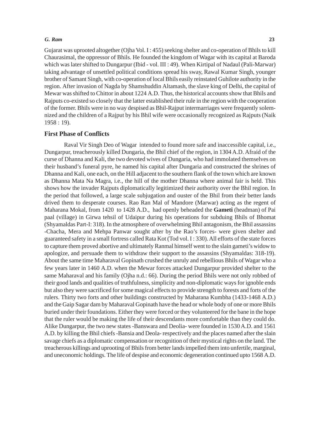#### *G. Ram* **23**

Gujarat was uprooted altogether (Ojha Vol. I : 455) seeking shelter and co-operation of Bhils to kill Chaurasimal, the oppressor of Bhils. He founded the kingdom of Wagar with its capital at Baroda which was later shifted to Dungarpur (Ibid - vol. III : 49). When Kirtipal of Nadaul (Pali-Marwar) taking advantage of unsettled political conditions spread his sway, Rawal Kumar Singh, younger brother of Samant Singh, with co-operation of local Bhils easily reinstated Guhilote authority in the region. After invasion of Nagda by Shamshuddin Altamash, the slave king of Delhi, the capital of Mewar was shifted to Chittor in about 1224 A.D. Thus, the historical accounts show that Bhils and Rajputs co-existed so closely that the latter established their rule in the region with the cooperation of the former. Bhils were in no way despised as Bhil-Rajput intermarriages were frequently solemnized and the children of a Rajput by his Bhil wife were occasionally recognized as Rajputs (Naik 1958 : 19).

### **First Phase of Conflicts**

Raval Vir Singh Deo of Wagar intended to found more safe and inaccessible capital, i.e., Dungarpur, treacherously killed Dungaria, the Bhil chief of the region, in 1304 A.D. Afraid of the curse of Dhanna and Kali, the two devoted wives of Dungaria, who had immolated themselves on their husband's funeral pyre, he named his capital after Dungaria and constructed the shrines of Dhanna and Kali, one each, on the Hill adjacent to the southern flank of the town which are known as Dhanna Mata Na Magra, i.e., the hill of the mother Dhanna where animal fair is held. This shows how the invader Rajputs diplomatically legitimized their authority over the Bhil region. In the period that followed, a large scale subjugation and ouster of the Bhil from their better lands drived them to desperate courses. Rao Ran Mal of Mandore (Marwar) acting as the regent of Maharana Mokal, from 1420 to 1428 A.D., had openly beheaded the **Gameti** (headman) of Pai paal (village) in Girwa tehsil of Udaipur during his operations for subduing Bhils of Bhomat (Shyamaldas Part-I: 318). In the atmosphere of overwhelming Bhil antagonism, the Bhil assassins -Chacha, Mera and Mehpa Panwar sought after by the Rao's forces- were given shelter and guaranteed safety in a small fortress called Rata Kot (Tod vol. I : 330). All efforts of the state forces to capture them proved abortive and ultimately Ranmal himself went to the slain gameti's widow to apologize, and persuade them to withdraw their support to the assassins (Shyamaldas: 318-19). About the same time Maharaval Gopinath crushed the unruly and rebellious Bhils of Wagar who a few years later in 1460 A.D. when the Mewar forces attacked Dungarpur provided shelter to the same Maharaval and his family (Ojha n.d.: 66). During the period Bhils were not only robbed of their good lands and qualities of truthfulness, simplicity and non-diplomatic ways for ignoble ends but also they were sacrificed for some magical effects to provide strength to forests and forts of the rulers. Thirty two forts and other buildings constructed by Maharana Kumbha (1433-1468 A.D.) and the Gaip Sagar dam by Maharaval Gopinath have the head or whole body of one or more Bhils buried under their foundations. Either they were forced or they volunteered for the bane in the hope that the ruler would be making the life of their descendants more comfortable than they could do. Alike Dungarpur, the two new states -Banswara and Deolia- were founded in 1530 A.D. and 1561 A.D. by killing the Bhil chiefs -Bansia and Deola- respectively and the places named after the slain savage chiefs as a diplomatic compensation or recognition of their mystical rights on the land. The treacherous killings and uprooting of Bhils from better lands impelled them into unfertile, marginal, and uneconomic holdings. The life of despise and economic degeneration continued upto 1568 A.D.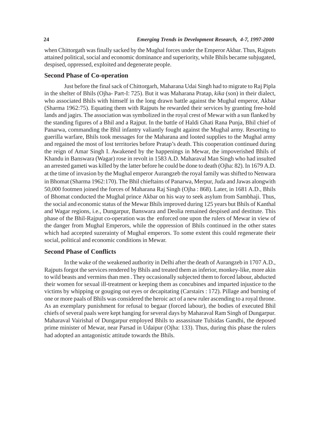when Chittorgath was finally sacked by the Mughal forces under the Emperor Akbar. Thus, Rajputs attained political, social and economic dominance and superiority, while Bhils became subjugated, despised, oppressed, exploited and degenerate people.

## **Second Phase of Co-operation**

Just before the final sack of Chittorgarh, Maharana Udai Singh had to migrate to Raj Pipla in the shelter of Bhils (Ojha- Part-I: 725). But it was Maharana Pratap, *kika* (son) in their dialect, who associated Bhils with himself in the long drawn battle against the Mughal emperor, Akbar (Sharma 1962:75). Equating them with Rajputs he rewarded their services by granting free-hold lands and jagirs. The association was symbolized in the royal crest of Mewar with a sun flanked by the standing figures of a Bhil and a Rajput. In the battle of Haldi Ghati Rana Punja, Bhil chief of Panarwa, commanding the Bhil infantry valiantly fought against the Mughal army. Resorting to guerilla warfare, Bhils took messages for the Maharana and looted supplies to the Mughal army and regained the most of lost territories before Pratap's death. This cooperation continued during the reign of Amar Singh I. Awakened by the happenings in Mewar, the impoverished Bhils of Khandu in Banswara (Wagar) rose in revolt in 1583 A.D. Maharaval Man Singh who had insulted an arrested gameti was killed by the latter before he could be done to death (Ojha: 82). In 1679 A.D. at the time of invasion by the Mughal emperor Aurangzeb the royal family was shifted to Nenwara in Bhomat (Sharma 1962:170). The Bhil chieftains of Panarwa, Merpur, Juda and Jawas alongwith 50,000 footmen joined the forces of Maharana Raj Singh (Ojha : 868). Later, in 1681 A.D., Bhils of Bhomat conducted the Mughal prince Akbar on his way to seek asylum from Sambhaji. Thus, the social and economic status of the Mewar Bhils improved during 125 years but Bhils of Kanthal and Wagar regions, i.e., Dungarpur, Banswara and Deolia remained despised and destitute. This phase of the Bhil-Rajput co-operation was the enforced one upon the rulers of Mewar in view of the danger from Mughal Emperors, while the oppression of Bhils continued in the other states which had accepted suzerainty of Mughal emperors. To some extent this could regenerate their social, political and economic conditions in Mewar.

#### **Second Phase of Conflicts**

In the wake of the weakened authority in Delhi after the death of Aurangzeb in 1707 A.D., Rajputs forgot the services rendered by Bhils and treated them as inferior, monkey-like, more akin to wild beasts and vermins than men . They occasionally subjected them to forced labour, abducted their women for sexual ill-treatment or keeping them as concubines and imparted injustice to the victims by whipping or gouging out eyes or decapitating (Carstairs : 172). Pillage and burning of one or more paals of Bhils was considered the heroic act of a new ruler ascending to a royal throne. As an exemplary punishment for refusal to begaar (forced labour), the bodies of executed Bhil chiefs of several paals were kept hanging for several days by Maharaval Ram Singh of Dungarpur. Maharaval Vairishal of Dungarpur employed Bhils to assassinate Tulsidas Gandhi, the deposed prime minister of Mewar, near Parsad in Udaipur (Ojha: 133). Thus, during this phase the rulers had adopted an antagonistic attitude towards the Bhils.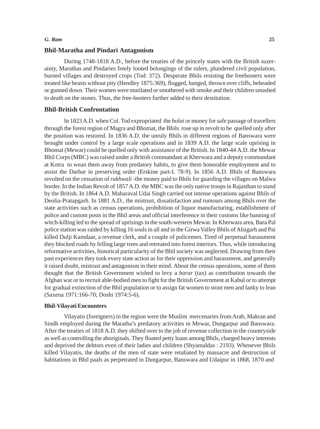#### *G. Ram* **25**

#### **Bhil-Maratha and Pindari Antagonism**

During 1748-1818 A.D., before the treaties of the princely states with the British suzerainty, Marathas and Pindaries freely looted belongings of the rulers, plundered civil population, burned villages and destroyed crops (Tod: 372). Desperate Bhils resisting the freebooters were treated like beasts without pity (Hendley 1875:369), flogged, hanged, thrown over cliffs, beheaded or gunned down. Their women were mutilated or smothered with smoke and their children smashed to death on the stones. Thus, the free-booters further added to their destitution.

#### **Bhil-British Confrontation**

In 1823 A.D. when Col. Tod expropriated the *bolai* or money for safe passage of travellers through the forest region of Magra and Bhomat, the Bhils rose up in revolt to be quelled only after the position was restored. In 1836 A.D. the unruly Bhils in different regions of Banswara were brought under control by a large scale operations and in 1839 A.D. the large scale uprising in Bhomat (Mewar) could be quelled only with assistance of the British. In 1840-44 A.D. the Mewar Bhil Corps (MBC) was raised under a British commandant at Kherwara and a deputy commandant at Kotra to wean them away from predatory habits, to give them honorable employment and to assist the Darbar in preserving order (Erskine part-I. 78-9). In 1856 A.D. Bhils of Banswara revolted on the cessation of *rakhwali* -the money paid to Bhils for guarding the villages on Malwa border. In the Indian Revolt of 1857 A.D. the MBC was the only native troops in Rajasthan to stand by the British. In 1864 A.D. Maharaval Udai Singh carried out intense operations against Bhils of Deolia-Pratapgarh. In 1881 A.D., the mistrust, dissatisfaction and rumours among Bhils over the state activities such as census operations, prohibition of liquor manufacturing, establishment of police and custom posts in the Bhil areas and official interference in their customs like banning of witch-killing led to the spread of uprisings in the south-western Mewar. In Kherwara area, Bara Pal police station was raided by killing 16 souls in all and in the Girwa Valley Bhils of Alsigarh and Pai killed Dulji Kamdaar, a revenue clerk, and a couple of policemen. Tired of perpetual harassment they blocked roads by felling large trees and retreated into forest interiors. Thus, while introducing reformative activities, historical particularity of the Bhil society was neglected. Drawing from their past experiences they took every state action as for their oppression and harassment, and generally it raised doubt, mistrust and antagonism in their mind. About the census operations, some of them thought that the British Government wished to levy a *barar* (tax) as contribution towards the Afghan war or to recruit able-bodied men to fight for the British Government at Kabul or to attempt for gradual extinction of the Bhil population or to assign fat women to stout men and lanky to lean (Saxena 1971:166-70; Doshi 1974:5-6).

### **Bhil-Vilayati Encounters**

Vilayatis (foreigners) in the region were the Muslim mercenaries from Arab, Makran and Sindh employed during the Maratha's predatory activities in Mewar, Dungarpur and Banswara. After the treaties of 1818 A.D. they shifted over to the job of revenue collection in the countryside as well as controlling the aboriginals. They floated petty loans among Bhils, charged heavy interests and deprived the debtors even of their ladies and children (Shyamaldas : 2193). Whenever Bhils killed Vilayatis, the deaths of the men of state were retaliated by massacre and destruction of habitations in Bhil paals as perpetrated in Dungarpur, Banswara and Udaipur in 1868, 1870 and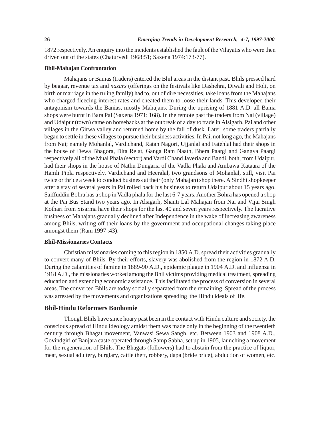1872 respectively. An enquiry into the incidents established the fault of the Vilayatis who were then driven out of the states (Chaturvedi 1968:51; Saxena 1974:173-77).

#### **Bhil-Mahajan Confrontation**

Mahajans or Banias (traders) entered the Bhil areas in the distant past. Bhils pressed hard by begaar, revenue tax and *nazars* (offerings on the festivals like Dashehra, Diwali and Holi, on birth or marriage in the ruling family) had to, out of dire necessities, take loans from the Mahajans who charged fleecing interest rates and cheated them to loose their lands. This developed their antagonism towards the Banias, mostly Mahajans. During the uprising of 1881 A.D. all Bania shops were burnt in Bara Pal (Saxena 1971: 168). In the remote past the traders from Nai (village) and Udaipur (town) came on horsebacks at the outbreak of a day to trade in Alsigarh, Pai and other villages in the Girwa valley and returned home by the fall of dusk. Later, some traders partially began to settle in these villages to pursue their business activities. In Pai, not long ago, the Mahajans from Nai; namely Mohanlal, Vardichand, Ratan Nagori, Ujjanlal and Fatehlal had their shops in the house of Dewa Bhagora, Dita Relat, Ganga Ram Naath, Bhera Paargi and Gangya Paargi respectively all of the Mual Phala (sector) and Vardi Chand Javeria and Bandi, both, from Udaipur, had their shops in the house of Nathu Dungaria of the Vadla Phala and Ambawa Kataara of the Hamli Pipla respectively. Vardichand and Heeralal, two grandsons of Mohanlal, still, visit Pai twice or thrice a week to conduct business at their (only Mahajan) shop there. A Sindhi shopkeeper after a stay of several years in Pai rolled back his business to return Udaipur about 15 years ago. Saiffuddin Bohra has a shop in Vadla phala for the last 6-7 years. Another Bohra has opened a shop at the Pai Bus Stand two years ago. In Alsigarh, Shanti Lal Mahajan from Nai and Vijai Singh Kothari from Sisarma have their shops for the last 40 and seven years respectively. The lucrative business of Mahajans gradually declined after Independence in the wake of increasing awareness among Bhils, writing off their loans by the government and occupational changes taking place amongst them (Ram 1997 :43).

### **Bhil-Missionaries Contacts**

Christian missionaries coming to this region in 1850 A.D. spread their activities gradually to convert many of Bhils. By their efforts, slavery was abolished from the region in 1872 A.D. During the calamities of famine in 1889-90 A.D., epidemic plague in 1904 A.D. and influenza in 1918 A.D., the missionaries worked among the Bhil victims providing medical treatment, spreading education and extending economic assistance. This facilitated the process of conversion in several areas. The converted Bhils are today socially separated from the remaining. Spread of the process was arrested by the movements and organizations spreading the Hindu ideals of life.

## **Bhil-Hindu Reformers Bonhomie**

Though Bhils have since hoary past been in the contact with Hindu culture and society, the conscious spread of Hindu ideology amidst them was made only in the beginning of the twentieth century through Bhagat movement, Vanwasi Sewa Sangh, etc. Between 1903 and 1908 A.D., Govindgiri of Banjara caste operated through Samp Sabha, set up in 1905, launching a movement for the regeneration of Bhils. The Bhagats (followers) had to abstain from the practice of liquor, meat, sexual adultery, burglary, cattle theft, robbery, dapa (bride price), abduction of women, etc.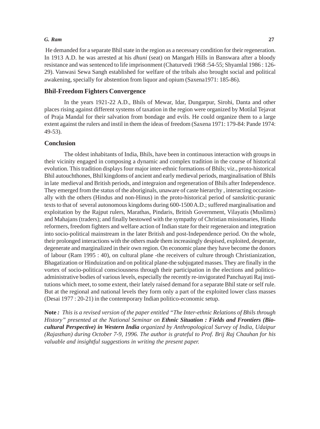#### *G. Ram* **27**

 He demanded for a separate Bhil state in the region as a necessary condition for their regeneration. In 1913 A.D. he was arrested at his *dhuni* (seat) on Mangarh Hills in Banswara after a bloody resistance and was sentenced to life imprisonment (Chaturvedi 1968 :54-55; Shyamlal 1986 : 126- 29). Vanwasi Sewa Sangh established for welfare of the tribals also brought social and political awakening, specially for abstention from liquor and opium (Saxena1971: 185-86).

# **Bhil-Freedom Fighters Convergence**

In the years 1921-22 A.D., Bhils of Mewar, Idar, Dungarpur, Sirohi, Danta and other places rising against different systems of taxation in the region were organized by Motilal Tejavat of Praja Mandal for their salvation from bondage and evils. He could organize them to a large extent against the rulers and instil in them the ideas of freedom (Saxena 1971: 179-84: Pande 1974: 49-53).

#### **Conclusion**

The oldest inhabitants of India, Bhils, have been in continuous interaction with groups in their vicinity engaged in composing a dynamic and complex tradition in the course of historical evolution. This tradition displays four major inter-ethnic formations of Bhils; viz., proto-historical Bhil autouchthones, Bhil kingdoms of ancient and early medieval periods, marginalisation of Bhils in late medieval and British periods, and integraion and regeneration of Bhils after Independence. They emerged from the status of the aboriginals, unaware of caste hierarchy , interacting occasionally with the others (Hindus and non-Hinus) in the proto-historical period of sanskritic-puranic texts to that of several autonomous kingdoms during 600-1500 A.D.; suffered marginalisation and exploitation by the Rajput rulers, Marathas, Pindaris, British Government, Vilayatis (Muslims) and Mahajans (traders); and finally bestowed with the sympathy of Christian missionaries, Hindu reformers, freedom fighters and welfare action of Indian state for their regeneraion and integration into socio-political mainstream in the later British and post-Independence period. On the whole, their prolonged interactions with the others made them increasingly despised, exploited, desperate, degenerate and marginalized in their own region. On economic plane they have become the donors of labour (Ram 1995 : 40), on cultural plane -the receivers of culture through Christianization, Bhagatization or Hinduization and on political plane-the subjugated masses. They are finally in the vortex of socio-political consciousness through their participation in the elections and politicoadministrative bodies of various levels, especially the recently re-invigorated Panchayati Raj institutions which meet, to some extent, their lately raised demand for a separate Bhil state or self rule. But at the regional and national levels they form only a part of the exploited lower class masses (Desai 1977 : 20-21) in the contemporary Indian politico-economic setup.

**Note** *: This is a revised version of the paper entitled "The Inter-ethnic Relations of Bhils through History" presented at the National Seminar on Ethnic Situation : Fields and Frontiers (Biocultural Perspective) in Western India organized by Anthropological Survey of India, Udaipur (Rajasthan) during October 7-9, 1996. The author is grateful to Prof. Brij Raj Chauhan for his valuable and insightful suggestions in writing the present paper.*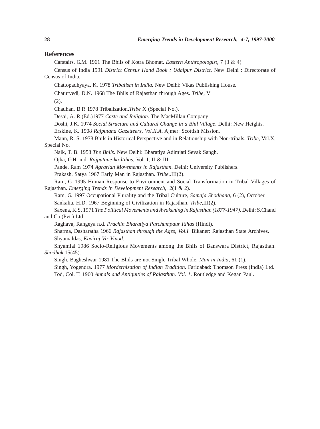#### **References**

Carstairs, G.M. 1961 The Bhils of Kotra Bhomat. *Eastern Anthropologist*, 7 (3 & 4).

Census of India 1991 *District Census Hand Book : Udaipur District*. New Delhi : Directorate of Census of India.

Chattopadhyaya, K. 1978 *Tribalism in India.* New Delhi: Vikas Publishing House.

Chaturvedi, D.N. 1968 The Bhils of Rajasthan through Ages. *Tribe*, V

(2).

Chauhan, B.R 1978 Tribalization.*Tribe* X (Special No.).

Desai, A. R.(Ed.)1977 *Caste and Religion*. The MacMillan Company

Doshi, J.K. 1974 *Social Structure and Cultural Change in a Bhil Village*. Delhi: New Heights.

Erskine, K. 1908 *Rajputana Gazetteers, Vol.II.A*. Ajmer: Scottish Mission.

Mann, R. S. 1978 Bhils in Historical Perspective and in Relationship with Non-tribals. *Tribe*, Vol.X, Special No.

Naik, T. B. 1958 *The Bhils*. New Delhi: Bharatiya Adimjati Sevak Sangh.

Ojha, G.H. n.d. *Rajputane-ka-ltihas*, Vol. I, II & III.

Pande, Ram 1974 *Agrarian Movements in Rajasthan*. Delhi: University Publishers.

Prakash, Satya 1967 Early Man in Rajasthan. *Tribe*,.III(2).

Ram, G. 1995 Human Response to Environment and Social Transformation in Tribal Villages of Rajasthan. *Emerging Trends in Development Research*,. 2(1 & 2).

Ram, G. 1997 Occupational Plurality and the Tribal Culture, *Samaja Shodhana,* 6 (2), October. Sankalia, H.D. 1967 Beginning of Civilization in Rajasthan. *Tribe*,III(2).

Saxena, K.S. 1971 *The Political Movements and Awakening in Rajasthan (1877-1947)*. Delhi: S.Chand and Co.(Pvt.) Ltd.

Raghava, Rangeya n.d. *Prachin Bharatiya Parchumpaur Itihas* (Hindi).

Sharma, Dasharatha 1966 *Rajasthan through the Ages, Vol.I.* Bikaner: Rajasthan State Archives. Shyamaldas, *Kaviraj Vir Vinod.*

Shyamlal 1986 Socio-Religious Movements among the Bhils of Banswara District, Rajasthan. *Shodhak*,15(45).

Singh, Bagheshwar 1981 The Bhils are not Single Tribal Whole. *Man in India*, 61 (1).

Singh, Yogendra. 1977 *Mordernization of Indian Tradition*. Faridabad: Thomson Press (India) Ltd. Tod, Col. T. 1960 *Annals and Antiquities of Rajasthan. Vol. 1*. Routledge and Kegan Paul.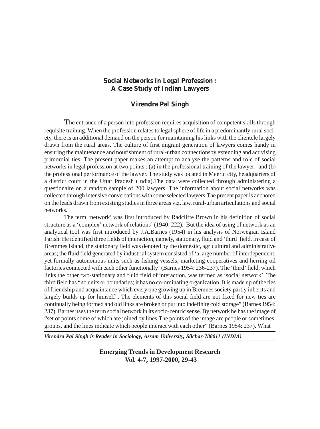# **Social Networks in Legal Profession : A Case Study of Indian Lawyers**

# **Virendra Pal Singh**

**T**he entrance of a person into profession requires acquisition of competent skills through requisite training. When the profession relates to legal sphere of life in a predominantly rural society, there is an additional demand on the person for maintaining his links with the clientele largely drawn from the rural areas. The culture of first migrant generation of lawyers comes handy in ensuring the maintenance and nourishment of rural-urban connectionsby extending and activising primordial ties. The present paper makes an attempt to analyse the patterns and role of social networks in legal profession at two points : (a) in the professional training of the lawyer; and (b) the professional performance of the lawyer. The study was located in Meerut city, headquarters of a district court in the Uttar Pradesh (India).The data were collected through administering a questionaire on a random sample of 200 lawyers. The information about social networks was collected through intensive conversations with some selected lawyers.The present paper is anchored on the leads drawn from existing studies in three areas viz. law, rural-urban articulations and social networks.

The term 'network' was first introduced by Radcliffe Brown in his definition of social structure as a 'complex' network of relations' (1940: 222). But the idea of using of network as an analytical tool was first introduced by J.A.Barnes (1954) in his analysis of Norwegian Island Parish. He identified three fields of interaction, namely, stationary, fluid and 'third' field. In case of Bremmes Island, the stationary field was denoted by the domestic, agricultural and administrative areas; the fluid field generated by industrial system consisted of 'a large number of interdependent, yet formally autonomous units such as fishing vessels, marketing cooperatives and herring oil factories connected with each other functionally' (Barnes 1954: 236-237). The 'third' field, which links the other two-stationary and fluid field of interaction, was termed as 'social network'. The third field has "no units or boundaries; it has no co-ordinating organization. It is made up of the ties of friendship and acquaintance which every one growing up in Bremnes society partly inherits and largely builds up for himself". The elements of this social field are not fixed for new ties are continually being formed and old links are broken or put into indefinite cold storage" (Barnes 1954: 237). Barnes uses the term social network in its socio-centric sense. By network he has the image of "set of points some of which are joined by lines.The points of the image are people or sometimes, groups, and the lines indicate which people interact with each other" (Barnes 1954: 237). What

*Virendra Pal Singh is Reader in Sociology, Assam University, Silchar-788011 (INDIA)*

**Emerging Trends in Development Research Vol. 4-7, 1997-2000, 29-43**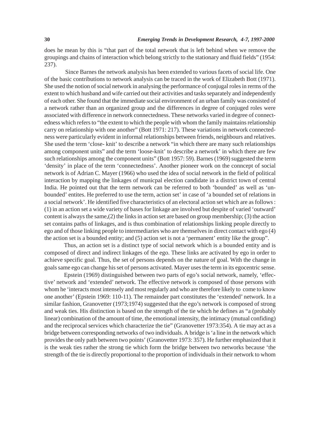does he mean by this is "that part of the total network that is left behind when we remove the groupings and chains of interaction which belong strictly to the stationary and fluid fields" (1954: 237).

 Since Barnes the network analysis has been extended to various facets of social life. One of the basic contributions to network analysis can be traced in the work of Elizabeth Bott (1971). She used the notion of social network in analysing the performance of conjugal roles in rerms of the extent to which husband and wife carried out their activities and tasks separately and independently of each other. She found that the immediate social environment of an urban family was consisted of a network rather than an organized group and the differences in degree of conjuged roles were associated with difference in network connectedness. These networks varied in degree of connectedness which refers to "the extent to which the people with whom the family maintains relationship carry on relationship with one another" (Bott 1971: 217). These variations in network connectedness were particularly evident in informal relationships between friends, neighbours and relatives. She used the term 'close- knit' to describe a network "in which there are many such relationships among component units" and the term 'loose-knit' to describe a network' in which there are few such relationships among the component units" (Bott 1957: 59). Barnes (1969) suggested the term 'density' in place of the term 'connectedness'. Another pioneer work on the conncept of social network is of Adrian C. Mayer (1966) who used the idea of social network in the field of political interaction by mapping the linkages of municpal election candidate in a district town of central India. He pointed out that the term network can be referred to both 'bounded' as well as 'unbounded' entites. He preferred to use the term, action set' in case of 'a bounded set of relations in a social network'. He identified five characteristics of an electoral action set which are as follows : (1) in an action set a wide variety of bases for linkage are involved but despite of varied 'outward' content is always the same,(2) the links in action set are based on group membership; (3) the action set contains paths of linkages, and is thus combination of relationships linking people directly to ego and of those linking people to intermediaries who are themselves in direct contact with ego (4) the action set is a bounded entity; and (5) action set is not a 'permanent' entity like the group".

Thus, an action set is a distinct type of social network which is a bounded entity and is composed of direct and indirect linkages of the ego. These links are activated by ego in order to achieve specific goal. Thus, the set of persons depends on the nature of goal. With the change in goals same ego can change his set of persons activated. Mayer uses the term in its egocentric sense.

Epstein (1969) distinguished between two parts of ego's social network, namely, 'effective' network and 'extended' network. The effective network is composed of those persons with whom he 'interacts most intensely and most regularly and who are therefore likely to come to know one another' (Epstein 1969: 110-11). The remainder part constitutes the 'extended' network. In a similar fashion, Granovetter (1973;1974) suggested that the ego's network is composed of strong and weak ties. His distinction is based on the strength of the tie which he defines as "a (probably linear) combination of the amount of time, the emotional intensity, the intimacy (mutual confiding) and the reciprocal services which characterize the tie" (Granovetter 1973:354). A tie may act as a bridge between corresponding networks of two individuals. A bridge is 'a line in the network which provides the only path between two points' (Granovetter 1973: 357). He further emphasized that it is the weak ties rather the strong tie which form the bridge between two networks because 'the strength of the tie is directly proportional to the proportion of individuals in their network to whom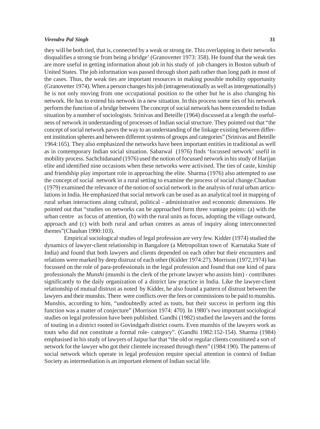#### *Virendra Pal Singh* **31**

they will be both tied, that is, connected by a weak or strong tie. This overlapping in their networks disqualifies a strong tie from being a bridge' (Granovetter 1973: 358). He found that the weak ties are more useful in getting information about job in his study of job changers in Boston suburb of United States. The job information was passed through short path rather than long path in most of the cases. Thus, the weak ties are important resources in making possible mobility opportunity (Granovetter 1974). When a person changes his job (intragenerationally as well as intergenationally) he is not only moving from one occupational position to the other but he is also changing his network. He has to extend his network in a new situation. In this process some ties of his network perform the function of a bridge between The concept of social network has been extended to Indian situation by a number of sociologists. Srinivas and Beteille (1964) discussed at a length the usefulness of network in understanding of processes of Indian social structure. They pointed out that "the concept of social network paves the way to an understanding of the linkage existing between different institution spheres and between different systems of groups and categories" (Srinivas and Beteille 1964:165). They also emphasized the networks have been important entities in traditional as well as in contemporary Indian social situation. Sabarwal (1976) finds 'focussed network' usefil in mobility process. Sachchidanand (1976) used the notion of focussed network in his study of Harijan elite and identified nine occasions when these networks were activised. The ties of caste, kinship and friendship play important role in approaching the elite. Sharma (1976) also attempted to use the concept of social network in a rural setting to examine the process of social change.Chauhan (1979) examined the relevance of the notion of social network in the analysis of rural urban articulations in India. He emphasized that social network can be used as an analytical tool in mapping of rural urban interactions along cultural, political - administrative and economic dimensions. He pointed out that "studies on networks can be approached form three vantage points: (a) with the urban centre as focus of attention, (b) with the rural units as focus, adopting the village outward, approach and (c) with both rural and urban centres as areas of inquiry along interconnected themes"(Chauhan 1990:103).

Empirical sociological studies of legal profession are very few. Kidder (1974) studied the dynamics of lawyer-client relationship in Bangalore (a Metropolitan town of Karnataka State of India) and found that both lawyers and clients depended on each other but their encounters and relations were marked by deep distrust of each other (Kidder 1974:27). Morrison (1972,1974) has focussed on the role of para-professionals in the legal profession and found that one kind of para professionals the *Munshi* (munshi is the clerk of the private lawyer who assists him) - contributes significantly to the daily organization of a district law practice in India. Like the lawyer-client relationship of mutual distrust as noted by Kidder, he also found a pattern of distrust between the lawyers and their munshis. There were conflicts over the fees or commissions to be paid to munshis. Munshis, according to him, "undoubtedly acted as touts, but their success in perform ing this function was a matter of conjecture" (Morrison 1974: 470). In 1980's two important sociological studies on legal profession have been published. Gandhi (1982) studied the lawyers and the forms of touting in a district rooted in Govindgarh district courts. Even munshis of the lawyers work as touts who did not constitute a formal role- category". (Gandhi 1982:152-154). Sharma (1984) emphasised in his study of lawyers of Jaipur bar that "the old or regular clients constituted a sort of network for the lawyer who got their clientele increased through them" (1984:190). The patterns of social network which operate in legal profession require special attention in context of Indian Society as intermediation is an important element of Indian social life.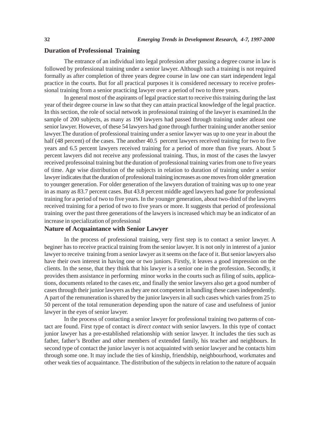# **Duration of Professional Training**

The entrance of an individual into legal profession after passing a degree course in law is followed by professional training under a senior lawyer. Although such a training is not required formally as after completion of three years degree course in law one can start independent legal practice in the courts. But for all practical purposes it is considered necessary to receive professional training from a senior practicing lawyer over a period of two to three years.

In general most of the aspirants of legal practice start to receive this training during the last year of their degree course in law so that they can attain practical knowledge of the legal practice. In this section, the role of social network in professional training of the lawyer is examined.In the sample of 200 subjects, as many as 190 lawyers had passed through training under atleast one senior lawyer. However, of these 54 lawyers had gone through further training under another senior lawyer.The duration of professional training under a senior lawyer was up to one year in about the half (48 percent) of the cases. The another 40.5 percent lawyers received training for two to five years and 6.5 percent lawyers received training for a period of more than five years. About 5 percent lawyers did not receive any professional training. Thus, in most of the cases the lawyer received professoinal training but the duration of professional training varies from one to five years of time. Age wise distribution of the subjects in relation to duration of training under a senior lawyer indicates that the duration of professional training increases as one moves from older grneration to younger generation. For older generation of the lawyers duration of training was up to one year in as many as 83.7 percent cases. But 43.8 percent middle aged lawyers had gone for professional training for a period of two to five years. In the younger generation, about two-third of the lawyers received training for a period of two to five years or more. It suggests that period of professional training over the past three generations of the lawyers is increased which may be an indicator of an increase in specialization of professional

#### **Nature of Acquaintance with Senior Lawyer**

In the process of professional training, very first step is to contact a senior lawyer. A beginer has to receive practical training from the senior lawyer. It is not only in interest of a junior lawyer to receive training from a senior lawyer as it seems on the face of it. But senior lawyers also have their own interest in having one or two juniors. Firstly, it leaves a good impression on the clients. In the sense, that they think that his lawyer is a senior one in the profession. Secondly, it provides them assistance in performing minor works in the courts such as filing of suits, applications, documents related to the cases etc, and finally the senior lawyers also get a good number of cases through their junior lawyers as they are not competent in handling these cases independently. A part of the remuneration is shared by the junior lawyers in all such cases which varies from 25 to 50 percent of the total remuneration depending upon the nature of case and usefulness of junior lawyer in the eyes of senior lawyer.

In the process of contacting a senior lawyer for professional training two patterns of contact are found. First type of contact is *direct contact* with senior lawyers. In this type of contact junior lawyer has a pre-established relationship with senior lawyer. It includes the ties such as father, father's Brother and other members of extended family, his teacher and neighbours. In second type of contact the junior lawyer is not acquainted with senior lawyer and he contacts him through some one. It may include the ties of kinship, friendship, neighbourhood, workmates and other weak ties of acquaintance. The distribution of the subjects in relation to the nature of acquain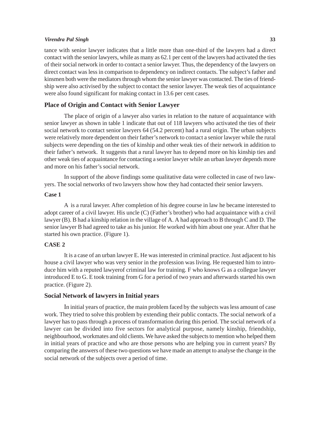#### *Virendra Pal Singh* **33**

tance with senior lawyer indicates that a little more than one-third of the lawyers had a direct contact with the senior lawyers, while as many as 62.1 per cent of the lawyers had activated the ties of their social network in order to contact a senior lawyer. Thus, the dependency of the lawyers on direct contact was less in comparison to dependency on indirect contacts. The subject's father and kinsmen both were the mediators through whom the senior lawyer was contacted. The ties of friendship were also activised by the subject to contact the senior lawyer. The weak ties of acquaintance were also found significant for making contact in 13.6 per cent cases.

# **Place of Origin and Contact with Senior Lawyer**

The place of origin of a lawyer also varies in relation to the nature of acquaintance with senior lawyer as shown in table 1 indicate that out of 118 lawyers who activated the ties of their social network to contact senior lawyers 64 (54.2 percent) had a rural origin. The urban subjects were relatively more dependent on their father's network to contact a senior lawyer while the rural subjects were depending on the ties of kinship and other weak ties of their network in addition to their father's network. It suggests that a rural lawyer has to depend more on his kinship ties and other weak ties of acquaintance for contacting a senior lawyer while an urban lawyer depends more and more on his father's social network.

In support of the above findings some qualitative data were collected in case of two lawyers. The social networks of two lawyers show how they had contacted their senior lawyers.

#### **Case 1**

A is a rural lawyer. After completion of his degree course in law he became interested to adopt career of a civil lawyer. His uncle (C) (Father's brother) who had acquaintance with a civil lawyer (B). B had a kinship relation in the village of A. A had approach to B through C and D. The senior lawyer B had agreed to take as his junior. He worked with him about one year. After that he started his own practice. (Figure 1).

# **CASE 2**

It is a case of an urban lawyer E. He was interested in criminal practice. Just adjacent to his house a civil lawyer who was very senior in the profession was living. He requested him to introduce him with a reputed lawyerof criminal law for training. F who knows G as a collegue lawyer introduced E to G. E took training from G for a period of two years and afterwards started his own practice. (Figure 2).

# **Social Network of lawyers in Initial years**

In initial years of practice, the main problem faced by the subjects was less amount of case work. They tried to solve this problem by extending their public contacts. The social network of a lawyer has to pass through a process of transformation during this period. The social network of a lawyer can be divided into five sectors for analytical purpose, namely kinship, friendship, neighbourhood, workmates and old clients. We have asked the subjects to mention who helped them in initial years of practice and who are those persons who are helping you in current years? By comparing the answers of these two questions we have made an attempt to analyse the change in the social network of the subjects over a period of time.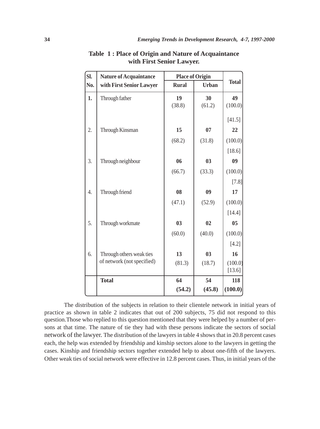| SI. | <b>Nature of Acquaintance</b> | <b>Place of Origin</b> |              |                   |
|-----|-------------------------------|------------------------|--------------|-------------------|
| No. | with First Senior Lawyer      | <b>Rural</b>           | <b>Urban</b> | <b>Total</b>      |
| 1.  | Through father                | 19<br>(38.8)           | 30<br>(61.2) | 49<br>(100.0)     |
|     |                               |                        |              | [41.5]            |
| 2.  | Through Kinsman               | 15                     | 07           | 22                |
|     |                               | (68.2)                 | (31.8)       | (100.0)           |
|     |                               |                        |              | [18.6]            |
| 3.  | Through neighbour             | 06                     | 03           | 09                |
|     |                               | (66.7)                 | (33.3)       | (100.0)           |
|     |                               |                        |              | $[7.8]$           |
| 4.  | Through friend                | 08                     | 09           | 17                |
|     |                               | (47.1)                 | (52.9)       | (100.0)           |
|     |                               |                        |              | [14.4]            |
| 5.  | Through workmate              | 0 <sub>3</sub>         | 02           | 0 <sub>5</sub>    |
|     |                               | (60.0)                 | (40.0)       | (100.0)           |
|     |                               |                        |              | [4.2]             |
| 6.  | Through others weak ties      | 13                     | 03           | 16                |
|     | of network (not specified)    | (81.3)                 | (18.7)       | (100.0)<br>[13.6] |
|     | <b>Total</b>                  | 64                     | 54           | 118               |
|     |                               | (54.2)                 | (45.8)       | (100.0)           |

**Table 1 : Place of Origin and Nature of Acquaintance with First Senior Lawyer.**

The distribution of the subjects in relation to their clientele network in initial years of practice as shown in table 2 indicates that out of 200 subjects, 75 did not respond to this question.Those who replied to this question mentioned that they were helped by a number of persons at that time. The nature of tie they had with these persons indicate the sectors of social network of the lawyer. The distribution of the lawyers in table 4 shows that in 20.8 percent cases each, the help was extended by friendship and kinship sectors alone to the lawyers in getting the cases. Kinship and friendship sectors together extended help to about one-fifth of the lawyers. Other weak ties of social network were effective in 12.8 percent cases. Thus, in initial years of the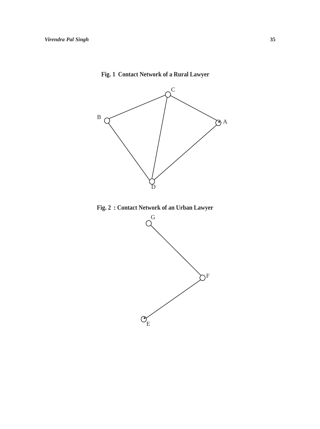

# **Fig. 1 Contact Network of a Rural Lawyer**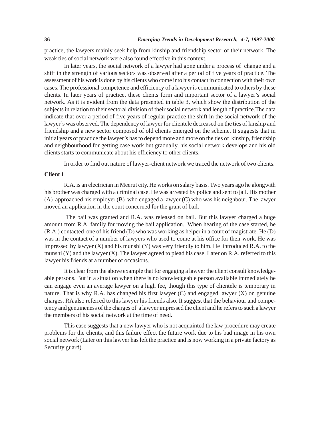practice, the lawyers mainly seek help from kinship and friendship sector of their network. The weak ties of social network were also found effective in this context.

In later years, the social network of a lawyer had gone under a process of change and a shift in the strength of various sectors was observed after a period of five years of practice. The assessment of his work is done by his clients who come into his contact in connection with their own cases. The professional competence and efficiency of a lawyer is communicated to others by these clients. In later years of practice, these clients form and important sector of a lawyer's social network. As it is evident from the data presented in table 3, which show the distribution of the subjects in relation to their sectoral division of their social network and length of practice.The data indicate that over a period of five years of regular practice the shift in the social network of the lawyer's was observed. The dependency of lawyer for clientele decreased on the ties of kinship and friendship and a new sector composed of old clients emerged on the scheme. It suggests that in initial years of practice the lawyer's has to depend more and more on the ties of kinship, friendship and neighbourhood for getting case work but gradually, his social network develops and his old clients starts to communicate about his efficiency to other clients.

In order to find out nature of lawyer-client network we traced the network of two clients.

## **Client 1**

R.A. is an electrician in Meerut city. He works on salary basis. Two years ago he alongwith his brother was charged with a criminal case. He was arrested by police and sent to jail. His mother (A) approached his employer (B) who engaged a lawyer (C) who was his neighbour. The lawyer moved an application in the court concerned for the grant of bail.

 The bail was granted and R.A. was released on bail. But this lawyer charged a huge amount from R.A. family for moving the bail application.. When hearing of the case started, he (R.A.) contacted one of his friend (D) who was working as helper in a court of magistrate. He (D) was in the contact of a number of lawyers who used to come at his office for their work. He was impressed by lawyer  $(X)$  and his munshi  $(Y)$  was very friendly to him. He introduced R.A. to the munshi (Y) and the lawyer (X). The lawyer agreed to plead his case. Later on R.A. referred to this lawyer his friends at a number of occasions.

It is clear from the above example that for engaging a lawyer the client consult knowledgeable persons. But in a situation when there is no knowledgeable person available immediately he can engage even an average lawyer on a high fee, though this type of clientele is temporary in nature. That is why R.A. has changed his first lawyer (C) and engaged lawyer (X) on genuine charges. RA also referred to this lawyer his friends also. It suggest that the behaviour and competency and genuineness of the charges of a lawyer impressed the client and he refers to such a lawyer the members of his social network at the time of need.

This case suggests that a new lawyer who is not acquainted the law procedure may create problems for the clients, and this failure effect the future work due to his bad image in his own social network (Later on this lawyer has left the practice and is now working in a private factory as Security guard).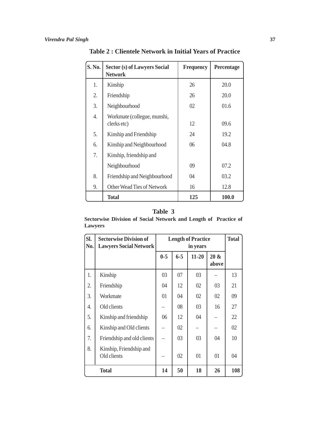| <b>S. No.</b> | Sector (s) of Lawyers Social<br><b>Network</b> | <b>Frequency</b> | Percentage   |
|---------------|------------------------------------------------|------------------|--------------|
| 1.            | Kinship                                        | 26               | 20.0         |
| 2.            | Friendship                                     | 26               | 20.0         |
| 3.            | Neighbourhood                                  | 02               | 01.6         |
| 4.            | Workmate (collegue, munshi,<br>clerks etc)     | 12               | 09.6         |
| 5.            | Kinship and Friendship                         | 24               | 19.2         |
| 6.            | Kinship and Neighbourhood                      | 06               | 04.8         |
| 7.            | Kinship, friendship and                        |                  |              |
|               | Neighbourhood                                  | 09               | 07.2         |
| 8.            | Friendship and Neighbourhood                   | 04               | 03.2         |
| 9.            | Other Wead Ties of Network                     | 16               | 12.8         |
|               | <b>Total</b>                                   | 125              | <b>100.0</b> |

**Table 2 : Clientele Network in Initial Years of Practice**

# **Table 3**

**Sectorwise Division of Social Network and Length of Practice of Lawyers**

| SI.<br>No.   | <b>Sectorwise Division of</b><br><b>Lawyers Social Network</b> | <b>Length of Practice</b><br>in years |                |           | <b>Total</b>     |     |
|--------------|----------------------------------------------------------------|---------------------------------------|----------------|-----------|------------------|-----|
|              |                                                                | $0-5$                                 | $6 - 5$        | $11 - 20$ | $20 \&$<br>above |     |
| 1.           | Kinship                                                        | 03                                    | 07             | 03        |                  | 13  |
| 2.           | Friendship                                                     | 04                                    | 12             | 02        | 03               | 21  |
| 3.           | Workmate                                                       | 01                                    | 04             | 02        | 02               | 09  |
| 4.           | Old clients                                                    |                                       | 08             | 03        | 16               | 27  |
| 5.           | Kinship and friendship                                         | 06                                    | 12             | 04        |                  | 22  |
| 6.           | Kinship and Old clients                                        |                                       | 02             |           |                  | 02  |
| 7.           | Friendship and old clients                                     |                                       | 0 <sub>3</sub> | 03        | 04               | 10  |
| 8.           | Kinship, Friendship and<br>Old clients                         |                                       | 02             | 01        | 01               | 04  |
| <b>Total</b> |                                                                | 14                                    | 50             | 18        | 26               | 108 |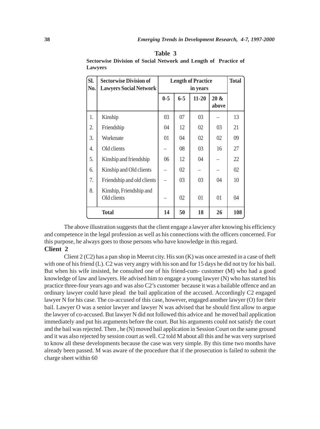| SI.<br>No.   | <b>Sectorwise Division of</b><br><b>Lawyers Social Network</b> | <b>Length of Practice</b><br>in years |         |           | <b>Total</b>     |     |
|--------------|----------------------------------------------------------------|---------------------------------------|---------|-----------|------------------|-----|
|              |                                                                | $0 - 5$                               | $6 - 5$ | $11 - 20$ | $20 \&$<br>above |     |
| 1.           | Kinship                                                        | 03                                    | 07      | 03        |                  | 13  |
| 2.           | Friendship                                                     | 04                                    | 12      | 02        | 03               | 21  |
| 3.           | Workmate                                                       | 01                                    | 04      | 02        | 02               | 09  |
| 4.           | Old clients                                                    |                                       | 08      | 03        | 16               | 27  |
| 5.           | Kinship and friendship                                         | 06                                    | 12      | 04        |                  | 22  |
| 6.           | Kinship and Old clients                                        |                                       | 02      |           |                  | 02  |
| 7.           | Friendship and old clients                                     |                                       | 03      | 03        | 04               | 10  |
| 8.           | Kinship, Friendship and<br>Old clients                         |                                       | 02      | 01        | 01               | 04  |
| <b>Total</b> |                                                                | 14                                    | 50      | 18        | 26               | 108 |

**Sectorwise Division of Social Network and Length of Practice of Lawyers**

The above illustration suggests that the client engage a lawyer after knowing his efficiency and competence in the legal profession as well as his connections with the officers concerned. For this purpose, he always goes to those persons who have knowledge in this regard. **Client 2**

Client 2 (C2) has a pan shop in Meerut city. His son  $(K)$  was once arrested in a case of theft with one of his friend (L). C2 was very angry with his son and for 15 days he did not try for his bail. But when his wife insisted, he consulted one of his friend-cum- customer (M) who had a good knowledge of law and lawyers. He advised him to engage a young lawyer (N) who has started his practice three-four years ago and was also C2's customer because it was a bailable offence and an ordinary lawyer could have plead the bail application of the accused. Accordingly C2 engaged lawyer N for his case. The co-accused of this case, however, engaged another lawyer (O) for their bail. Lawyer O was a senior lawyer and lawyer N was advised that he should first allow to argue the lawyer of co-accused. But lawyer N did not followed this advice and he moved bail application immediately and put his arguments before the court. But his arguments could not satisfy the court and the bail was rejected. Then , he (N) moved bail application in Session Court on the same ground and it was also rejected by session court as well. C2 told M about all this and he was very surprised to know all these developments because the case was very simple. By this time two months have already been passed. M was aware of the procedure that if the prosecution is failed to submit the charge sheet within 60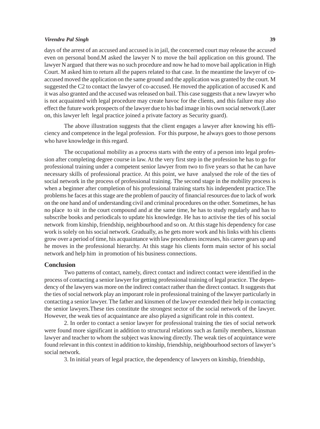#### *Virendra Pal Singh* **39**

days of the arrest of an accused and accused is in jail, the concerned court may release the accused even on personal bond.M asked the lawyer N to move the bail application on this ground. The lawyer N argued that there was no such procedure and now he had to move bail application in High Court. M asked him to return all the papers related to that case. In the meantime the lawyer of coaccused moved the application on the same ground and the application was granted by the court. M suggested the C2 to contact the lawyer of co-accused. He moved the application of accused K and it was also granted and the accused was released on bail. This case suggests that a new lawyer who is not acquainted with legal procedure may create havoc for the clients, and this failure may also effect the future work prospects of the lawyer due to his bad image in his own social network (Later on, this lawyer left legal practice joined a private factory as Security guard).

The above illustration suggests that the client engages a lawyer after knowing his efficiency and competence in the legal profession. For this purpose, he always goes to those persons who have knowledge in this regard.

The occupational mobility as a process starts with the entry of a person into legal profession after completing degree course in law. At the very first step in the profession he has to go for professional training under a competent senior lawyer from two to five years so that he can have necessary skills of professional practice. At this point, we have analysed the role of the ties of social network in the process of professional training. The second stage in the mobility process is when a beginner after completion of his professional training starts his independent practice.The problems he faces at this stage are the problem of paucity of financial resources due to lack of work on the one hand and of understanding civil and criminal procedures on the other. Sometimes, he has no place to sit in the court compound and at the same time, he has to study regularly and has to subscribe books and periodicals to update his knowledge. He has to activise the ties of his social network from kinship, friendship, neighbourhood and so on. At this stage his dependency for case work is solely on his social network. Gradually, as he gets more work and his links with his clients grow over a period of time, his acquaintance with law procedures increases, his career gears up and he moves in the professional hierarchy. At this stage his clients form main sector of his social network and help him in promotion of his business connections.

## **Conclusion**

Two patterns of contact, namely, direct contact and indirect contact were identified in the process of contacting a senior lawyer for getting professional training of legal practice. The dependency of the lawyers was more on the indirect contact rather than the direct contact. It suggests that the ties of social network play an imporant role in professional training of the lawyer particularly in contacting a senior lawyer. The father and kinsmen of the lawyer extended their help in contacting the senior lawyers.These ties constitute the strongest sector of the social network of the lawyer. However, the weak ties of acquaintance are also played a significant role in this context.

2. In order to contact a senior lawyer for professional training the ties of social network were found more significant in addition to structural relations such as family members, kinsman lawyer and teacher to whom the subject was knowing directly. The weak ties of acquintance were found relevant in this context in addition to kinship, friendship, neighbourhood sectors of lawyer's social network.

3. In initial years of legal practice, the dependency of lawyers on kinship, friendship,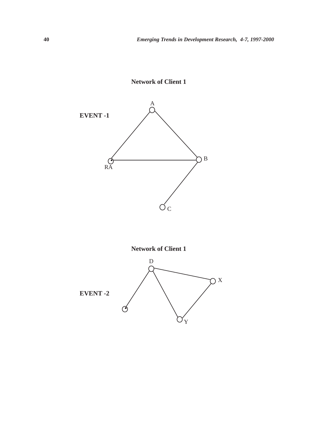

**Network of Client 1**

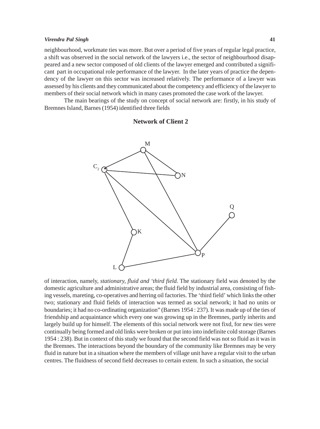#### *Virendra Pal Singh* **41**

neighbourhood, workmate ties was more. But over a period of five years of regular legal practice, a shift was observed in the social network of the lawyers i.e., the sector of neighbourhood disappeared and a new sector composed of old clients of the lawyer emerged and contributed a significant part in occupational role performance of the lawyer. In the later years of practice the dependency of the lawyer on this sector was increased relatively. The performance of a lawyer was assessed by his clients and they communicated about the competency and efficiency of the lawyer to members of their social network which in many cases promoted the case work of the lawyer.

The main bearings of the study on concept of social network are: firstly, in his study of Bremnes Island, Barnes (1954) identified three fields

# **Network of Client 2**



of interaction, namely, *stationary, fluid and 'third field.* The stationary field was denoted by the domestic agriculture and administrative areas; the fluid field by industrial area, consisting of fishing vessels, mareting, co-operatives and herring oil factories. The 'third field' which links the other two; stationary and fluid fields of interaction was termed as social network; it had no units or boundaries; it had no co-ordinating organization" (Barnes 1954 : 237). It was made up of the ties of friendship and acquaintance which every one was growing up in the Bremnes, partly inherits and largely build up for himself. The elements of this social network were not fixd, for new ties were continually being formed and old links were broken or put into into indefinite cold storage (Barnes 1954 : 238). But in context of this study we found that the second field was not so fluid as it was in the Bremnes. The interactions beyond the boundary of the community like Bremnes may be very fluid in nature but in a situation where the members of village unit have a regular visit to the urban centres. The fluidness of second field decreases to certain extent. In such a situation, the social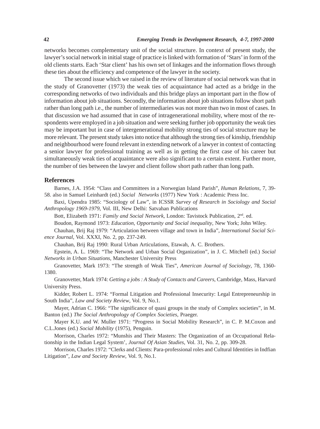networks becomes complementary unit of the social structure. In context of present study, the lawyer's social network in initial stage of practice is linked with formation of 'Stars' in form of the old clients starts. Each 'Star client' has his own set of linkages and the information flows through these ties about the efficiency and competence of the lawyer in the society.

The second issue which we raised in the review of literature of social network was that in the study of Granovetter (1973) the weak ties of acquaintance had acted as a bridge in the corresponding networks of two individuals and this bridge plays an important part in the flow of information about job situations. Secondly, the information about job situations follow short path rather than long path i.e., the number of intermediaries was not more than two in most of cases. In that discussion we had assumed that in case of intragenerational mobility, where most of the respondents were employed in a job situation and were seeking further job opportunity the weak ties may be important but in case of intergenerational mobility strong ties of social structure may be more relevant. The present study takes into notice that although the strong ties of kinship, friendship and neighbourhood were found relevant in extending network of a lawyer in context of contacting a senior lawyer for professional training as well as in getting the first case of his career but simultaneously weak ties of acquaintance were also significant to a certain extent. Further more, the number of ties between the lawyer and client follow short path rather than long path.

#### **References**

Barnes, J.A. 1954: "Class and Committees in a Norwegian Island Parish", *Human Relations*, 7, 39- 58. also in Samuel Leinhardt (ed.) *Social Networks* (1977) New York : Academic Press Inc.

Baxi, Upendra 1985: "Sociology of Law", in ICSSR *Survey of Research in Sociology and Social Anthropology 1969-1979*, Vol. III, New Delhi: Satvahan Publications

Bott, Elizabeth 1971: *Family and Social Network*, London: Tavistock Publication, 2nd. ed.

Boudon, Raymond 1973: *Education, Opportunity and Social inequality*, New York; John Wiley.

Chauhan, Brij Raj 1979: "Articulation between village and town in India", *International Social Science Journal*, Vol. XXXI, No. 2, pp. 237-249.

Chauhan, Brij Raj 1990: Rural Urban Articulations, Etawah, A. C. Brothers.

Epstein, A. L. 1969: "The Network and Urban Social Organization", in J. C. Mitchell (ed.) *Social Networks in Urban Situations*, Manchester University Press

Granovetter, Mark 1973: "The strength of Weak Ties", *American Journal of Sociology*, 78, 1360- 1380.

Granovetter, Mark 1974: *Getting a jobs : A Study of Contacts and Careers*, Cambridge, Mass, Harvard University Press.

Kidder, Robert L. 1974: "Formal Litigation and Professional Insecurity: Legal Entrepreneurship in South India", *Law and Society Review*, Vol. 9, No.1.

Mayer, Adrian C. 1966: "The significance of quasi groups in the study of Complex societies", in M. Banton (ed.) *The Social Anthropology of Complex Societies*, Praeger.

Mayer K.U. and W. Muller 1971: "Progress in Social Mobility Research", in C. P. M.Coxon and C.L.Jones (ed.) *Social Mobility* (1975), Penguin.

Morrison, Charles 1972: "Munshis and Their Masters: The Organization of an Occupational Relationship in the Indian Legal System', *Journal Of Asian Studies*, Vol. 31, No. 2, pp. 309-28.

Morrison, Charles 1972: "Clerks and Clients: Para-professional roles and Cultural Identities in Indfian Litigation", *Law and Society Review*, Vol. 9, No.1.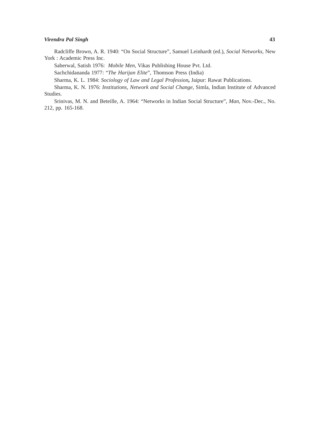## *Virendra Pal Singh* **43**

Radcliffe Brown, A. R. 1940: "On Social Structure", Samuel Leinhardt (ed.), *Social Networks*, New York : Academic Press Inc.

Saberwal, Satish 1976: *Mobile Men*, Vikas Publishing House Pvt. Ltd.

Sachchidananda 1977: "*The Harijan Elite*", Thomson Press (India)

Sharma, K. L. 1984: *Sociology of Law and Legal Profession***,** Jaipur: Rawat Publications.

Sharma, K. N. 1976: *Institutions, Network and Social Change*, Simla, Indian Institute of Advanced Studies.

Srinivas, M. N. and Beteille, A. 1964: "Networks in Indian Social Structure", *Man*, Nov.-Dec., No. 212, pp. 165-168.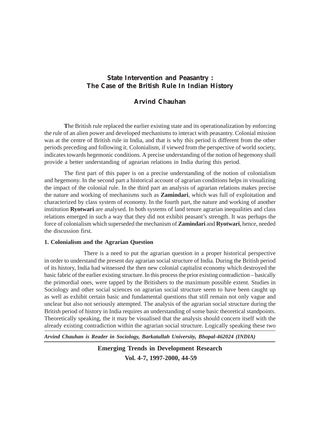# **State Intervention and Peasantry : The Case of the British Rule In Indian History**

# **Arvind Chauhan**

**T**he British rule replaced the earlier existing state and its operationalization by enforcing the rule of an alien power and developed mechanisms to interact with peasantry. Colonial mission was at the centre of British rule in India, and that is why this period is different from the other periods preceding and following it. Colonialism, if viewed from the perspective of world society, indicates towards hegemonic conditions. A precise understanding of the notion of hegemony shall provide a better understanding of agearian relations in India during this period.

The first part of this paper is on a precise understanding of the notion of colonialism and hegemony. In the second part a historical account of agrarian conditions helps in visualizing the impact of the colonial rule. In the third part an analysis of agrarian relations makes precise the nature and working of mechanisms such as **Zamindari**, which was full of exploitation and characterized by class system of economy. In the fourth part, the nature and working of another institution **Ryotwari** are analysed. In both systems of land tenure agrarian inequalities and class relations emerged in such a way that they did not exhibit peasant's strength. It was perhaps the force of colonialism which superseded the mechanism of **Zamindari** and **Ryotwari**, hence, needed the discussion first.

# **1. Colonialism and the Agrarian Question**

There is a need to put the agrarian question in a proper historical perspective in order to understand the present day agrarian social structure of India. During the British period of its history, India had witnessed the then new colonial capitalist economy which destroyed the basic fabric of the earlier existing structure. In this process the prior existing contradiction – basically the primordial ones, were tapped by the Britishers to the maximum possible extent. Studies in Sociology and other social sciences on agrarian social structure seem to have been caught up as well as exhibit certain basic and fundamental questions that still remain not only vague and unclear but also not seriously attempted. The analysis of the agrarian social structure during the British period of history in India requires an understanding of some basic theoretical standpoints. Theoretically speaking, the it may be visualised that the analysis should concern itself with the already existing contradiction within the agrarian social structure. Logically speaking these two

*Arvind Chauhan is Reader in Sociology, Barkatullah University, Bhopal-462024 (INDIA)*

**Emerging Trends in Development Research Vol. 4-7, 1997-2000, 44-59**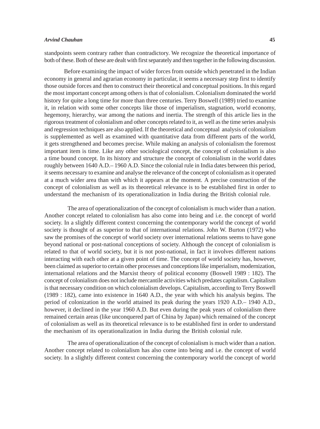standpoints seem contrary rather than contradictory. We recognize the theoretical importance of both of these. Both of these are dealt with first separately and then together in the following discussion.

Before examining the impact of wider forces from outside which penetrated in the Indian economy in general and agrarian economy in particular, it seems a necessary step first to identify those outside forces and then to construct their theoretical and conceptual positions. In this regard the most important concept among others is that of colonialism. Colonialism dominated the world history for quite a long time for more than three centuries. Terry Boswell (1989) tried to examine it, in relation with some other concepts like those of imperialism, stagnation, world economy, hegemony, hierarchy, war among the nations and inertia. The strength of this article lies in the rigorous treatment of colonialism and other concepts related to it, as well as the time series analysis and regression techniques are also applied. If the theoretical and conceptual analysis of colonialism is supplemented as well as examined with quantitative data from different parts of the world, it gets strengthened and becomes precise. While making an analysis of colonialism the foremost important item is time. Like any other sociological concept, the concept of colonialism is also a time bound concept. In its history and structure the concept of colonialism in the world dates roughly between 1640 A.D.– 1960 A.D. Since the colonial rule in India dates between this period, it seems necessary to examine and analyse the relevance of the concept of colonialism as it operated at a much wider area than with which it appears at the moment. A precise construction of the concept of colonialism as well as its theoretical relevance is to be established first in order to understand the mechanism of its operationalization in India during the British colonial rule.

The area of operationalization of the concept of colonialism is much wider than a nation. Another concept related to colonialism has also come into being and i.e. the concept of world society. In a slightly different context concerning the contemporary world the concept of world society is thought of as superior to that of international relations. John W. Burton (1972) who saw the promises of the concept of world society over international relations seems to have gone beyond national or post-national conceptions of society. Although the concept of colonialism is related to that of world society, but it is not post-national, in fact it involves different nations interacting with each other at a given point of time. The concept of world society has, however, been claimed as superior to certain other processes and conceptions like imperialism, modernization, international relations and the Marxist theory of political economy (Boswell 1989 : 182). The concept of colonialism does not include mercantile activities which predates capitalism. Capitalism is that necessary condition on which colonialism develops. Capitalism, according to Terry Boswell (1989 : 182), came into existence in 1640 A.D., the year with which his analysis begins. The period of colonization in the world attained its peak during the years 1920 A.D.– 1940 A.D., however, it declined in the year 1960 A.D. But even during the peak years of colonialism there remained certain areas (like unconquered part of China by Japan) which remained of the concept of colonialism as well as its theoretical relevance is to be established first in order to understand the mechanism of its operationalization in India during the British colonial rule.

The area of operationalization of the concept of colonialism is much wider than a nation. Another concept related to colonialism has also come into being and i.e. the concept of world society. In a slightly different context concerning the contemporary world the concept of world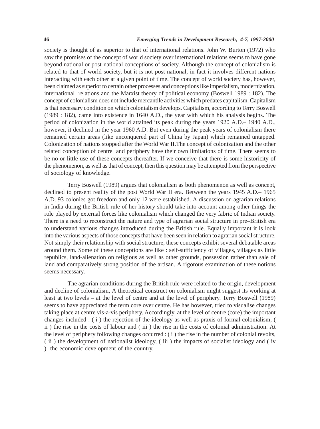#### **46** *Emerging Trends in Development Research, 4-7, 1997-2000*

society is thought of as superior to that of international relations. John W. Burton (1972) who saw the promises of the concept of world society over international relations seems to have gone beyond national or post-national conceptions of society. Although the concept of colonialism is related to that of world society, but it is not post-national, in fact it involves different nations interacting with each other at a given point of time. The concept of world society has, however, been claimed as superior to certain other processes and conceptions like imperialism, modernization, international relations and the Marxist theory of political economy (Boswell 1989 : 182). The concept of colonialism does not include mercantile activities which predates capitalism. Capitalism is that necessary condition on which colonialism develops. Capitalism, according to Terry Boswell (1989 : 182), came into existence in 1640 A.D., the year with which his analysis begins. The period of colonization in the world attained its peak during the years 1920 A.D.– 1940 A.D., however, it declined in the year 1960 A.D. But even during the peak years of colonialism there remained certain areas (like unconquered part of China by Japan) which remained untapped. Colonization of nations stopped after the World War II.The concept of colonization and the other related conception of centre and periphery have their own limitations of time. There seems to be no or little use of these concepts thereafter. If we conceive that there is some historicity of the phenomenon, as well as that of concept, then this question may be attempted from the perspective of sociology of knowledge.

Terry Boswell (1989) argues that colonialism as both phenomenon as well as concept, declined to present reality of the post World War II era. Between the years 1945 A.D.– 1965 A.D. 93 colonies got freedom and only 12 were established. A discussion on agrarian relations in India during the British rule of her history should take into account among other things the role played by external forces like colonialism which changed the very fabric of Indian society. There is a need to reconstruct the nature and type of agrarian social structure in pre–British era to understand various changes introduced during the British rule. Equally important it is look into the various aspects of those concepts that have been seen in relation to agrarian social structure. Not simply their relationship with social structure, these concepts exhibit several debatable areas around them. Some of these conceptions are like : self-sufficiency of villages, villages as little republics, land-alienation on religious as well as other grounds, possession rather than sale of land and comparatively strong position of the artisan. A rigorous examination of these notions seems necessary.

The agrarian conditions during the British rule were related to the origin, development and decline of colonialism, A theoretical construct on colonialism might suggest its working at least at two levels – at the level of centre and at the level of periphery. Terry Boswell (1989) seems to have appreciated the term core over centre. He has however, tried to visualise changes taking place at centre vis-a-vis periphery. Accordingly, at the level of centre (core) the important changes included :  $(i)$  the rejection of the ideology as well as praxis of formal colonialism,  $(i)$ ii ) the rise in the costs of labour and ( iii ) the rise in the costs of colonial administration. At the level of periphery following changes occurred : ( i ) the rise in the number of colonial revolts, ( ii ) the development of nationalist ideology, ( iii ) the impacts of socialist ideology and ( iv ) the economic development of the country.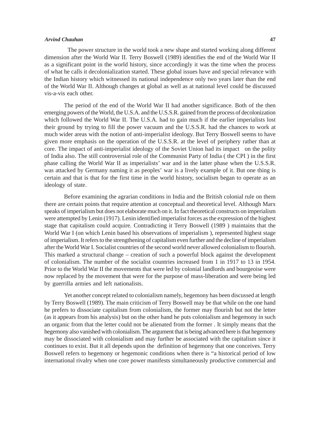The power structure in the world took a new shape and started working along different dimension after the World War II. Terry Boswell (1989) identifies the end of the World War II as a significant point in the world history, since accordingly it was the time when the process of what he calls it decolonialization started. These global issues have and special relevance with the Indian history which witnessed its national independence only two years later than the end of the World War II. Although changes at global as well as at national level could be discussed vis-a-vis each other.

The period of the end of the World War II had another significance. Both of the then emerging powers of the World, the U.S.A. and the U.S.S.R. gained from the process of decolonization which followed the World War II. The U.S.A. had to gain much if the earlier imperialists lost their ground by trying to fill the power vacuum and the U.S.S.R. had the chances to work at much wider areas with the notion of anti-imperialist ideology. But Terry Boswell seems to have given more emphasis on the operation of the U.S.S.R. at the level of periphery rather than at core. The impact of anti-imperialist ideology of the Soviet Union had its impact on the polity of India also. The still controversial role of the Communist Party of India ( the CPI ) in the first phase calling the World War II as imperialists' war and in the latter phase when the U.S.S.R. was attacked by Germany naming it as peoples' war is a lively example of it. But one thing is certain and that is that for the first time in the world history, socialism began to operate as an ideology of state.

Before examining the agrarian conditions in India and the British colonial rule on them there are certain points that require attention at conceptual and theoretical level. Although Marx speaks of imperialism but does not elaborate much on it. In fact theoretical constructs on imperialism were attempted by Lenin (1917). Lenin identified imperialist forces as the expression of the highest stage that capitalism could acquire. Contradicting it Terry Boswell (1989 ) maintains that the World War I (on which Lenin based his observations of imperialism), represented highest stage of imperialism. It refers to the strengthening of capitalism even further and the decline of imperialism after the World War I. Socialist countries of the second world never allowed colonialism to flourish. This marked a structural change – creation of such a powerful block against the development of colonialism. The number of the socialist countries increased from 1 in 1917 to 13 in 1954. Prior to the World War II the movements that were led by colonial landlords and bourgeoise were now replaced by the movement that were for the purpose of mass-liberation and were being led by guerrilla armies and left nationalists.

Yet another concept related to colonialism namely, hegemony has been discussed at length by Terry Boswell (1989). The main criticism of Terry Boswell may be that while on the one hand he prefers to dissociate capitalism from colonialism, the former may flourish but not the letter (as it appears from his analysis) but on the other hand he puts colonialism and hegemony in such an organic from that the letter could not be alienated from the former . It simply means that the hegemony also vanished with colonialism. The argument that is being advanced here is that hegemony may be dissociated with colonialism and may further be associated with the capitalism since it continues to exist. But it all depends upon the definition of hegemony that one conceives. Terry Boswell refers to hegemony or hegemonic conditions when there is "a historical period of low international rivalry when one core power manifests simultaneously productive commercial and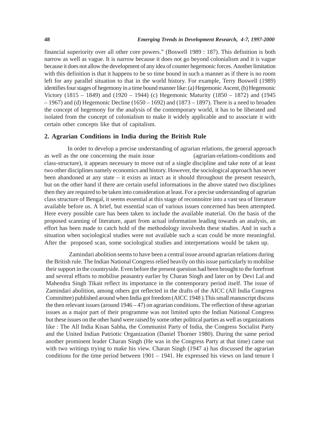financial superiority over all other core powers." (Boswell 1989 : 187). This definition is both narrow as well as vague. It is narrow because it does not go beyond colonialism and it is vague because it does not allow the development of any idea of counter hegemonic forces. Another limitation with this definition is that it happens to be so time bound in such a manner as if there is no room left for any parallel situation to that in the world history. For example, Terry Boswell (1989) identifies four stages of hegemony in a time bound manner like: (a) Hegemonic Ascent, (b) Hegemonic Victory (1815 – 1849) and (1920 – 1944) (c) Hegemonic Maturity (1850 – 1872) and (1945  $-1967$ ) and (d) Hegemonic Decline (1650 – 1692) and (1873 – 1897). There is a need to broaden the concept of hegemony for the analysis of the contemporary world, it has to be liberated and isolated from the concept of colonialism to make it widely applicable and to associate it with certain other concepts like that of capitalism.

# **2. Agrarian Conditions in India during the British Rule**

In order to develop a precise understanding of agrarian relations, the general approach as well as the one concerning the main issue (agrarian-relations-conditions and class-structure), it appears necessary to move out of a single discipline and take note of at least two other disciplines namely economics and history. However, the sociological approach has never been abandoned at any state  $-$  it exists as intact as it should throughout the present research, but on the other hand if there are certain useful informations in the above stated two disciplines then they are required to be taken into consideration at least. For a precise understanding of agrarian class structure of Bengal, it seems essential at this stage of reconnoitre into a vast sea of literature available before us. A brief, but essential scan of various issues concerned has been attempted. Here every possible care has been taken to include the available material. On the basis of the proposed scanning of literature, apart from actual information leading towards an analysis, an effort has been made to catch hold of the methodology involvedn these studies. And in such a situation when sociological studies were not available such a scan could be more meaningful. After the proposed scan, some sociological studies and interpretations would be taken up.

Zamindari abolition seems to have been a central issue around agrarian relations during the British rule. The Indian National Congress relied heavily on this issue particularly to mobilise their support in the countryside. Even before the present question had been brought to the forefront and several efforts to mobilise peasantry earlier by Charan Singh and later on by Devi Lal and Mahendra Singh Tikait reflect its importance in the contemporary period itself. The issue of Zamindari abolition, among others got reflected in the drafts of the AICC (All India Congress Committee) published around when India got freedom (AICC 1948 ).This small manuscript discuss the then relevant issues (around  $1946 - 47$ ) on agrarian conditions. The reflection of these agrarian issues as a major part of their programme was not limited upto the Indian National Congress but these issues on the other hand were raised by some other political parties as well as organizations like : The All India Kisan Sabha, the Communist Party of India, the Congress Socialist Party and the United Indian Patriotic Organization (Daniel Thorner 1980). During the same period another prominent leader Charan Singh (He was in the Congress Party at that time) came out with two writings trying to make his view. Charan Singh (1947 a) has discussed the agrarian conditions for the time period between 1901 – 1941. He expressed his views on land tenure I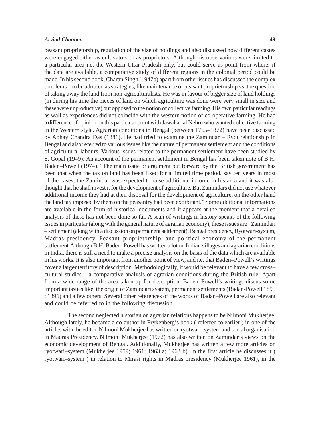peasant proprietorship, regulation of the size of holdings and also discussed how different castes were engaged either as cultivators or as proprietors. Although his observations were limited to a particular area i.e. the Western Uttar Pradesh only, but could serve as point from where, if the data are available, a comparative study of different regions in the colonial period could be made. In his second book, Charan Singh (1947b) apart from other issues has discussed the complex problems – to be adopted as strategies, like maintenance of peasant proprietorship vs. the question of taking away the land from non-agriculturalists. He was in favour of bigger size of land holdings (in during his time the pieces of land on which agriculture was done were very small in size and these were unproductive) but opposed to the notion of collective farming. His own particular readings as wall as experiences did not coincide with the western notion of co-operative farming. He had a difference of opinion on this particular point with Jawaharlal Nehru who wanted collective farming in the Western style. Agrarian conditions in Bengal (between 1765–1872) have been discussed by Abhay Chandra Das (1881). He had tried to examine the Zamindar – Ryot relationship in Bengal and also referred to various issues like the nature of permanent settlement and the conditions of agricultural labours. Various issues related to the permanent settlement have been studied by S. Gopal (1949). An account of the permanent settlement in Bengal has been taken note of B.H. Baden–Powell (1974). "The main issue or argument put forward by the British government has been that when the tax on land has been fixed for a limited time period, say ten years in most of the cases, the Zamindar was expected to raise additional income in his area and it was also thought that he shall invest it for the development of agriculture. But Zamindars did not use whatever additional income they had at their disposal for the development of agriculture, on the other hand the land tax imposed by them on the peasantry had been exorbitant." Some additional informations are available in the form of historical documents and it appears at the moment that a detailed analysis of these has not been done so far. A scan of writings in history speaks of the following issues in particular (along with the general nature of agrarian economy), these issues are : Zamindari – settlement (along with a discussion on permanent settlement), Bengal presidency, Ryotwari-system, Madras presidency, Peasant–proprietorship, and political economy of the permanent settlement.Although B.H. Baden–Powell has written a lot on Indian villages and agrarian conditions in India, there is still a need to make a precise analysis on the basis of the data which are available in his works. It is also important from another point of view, and i.e. that Baden–Powell's writings cover a larger territory of description. Methodologically, it would be relevant to have a few cross– cultural studies – a comparative analysis of agrarian conditions during the British rule. Apart from a wide range of the area taken up for description, Baden–Powell's writings discus some important issues like, the origin of Zamindari system, permanent settlements (Badan-Powell 1895 ; 1896) and a few others. Several other references of the works of Badan–Powell are also relevant and could be referred to in the following discussion.

The second neglected historian on agrarian relations happens to be Nilmoni Mukherjee. Although lately, he became a co-author in Frykenberg's book ( referred to earlier ) in one of the articles with the editor, Nilmoni Mukherjee has written on ryotwari–system and social organisation in Madras Presidency. Nilmoni Mukherjee (1972) has also written on Zamindar's views on the economic development of Bengal. Additionally, Mukherjee has written a few more articles on ryotwari–system (Mukherjee 1959; 1961; 1963 a; 1963 b). In the first article he discusses it ( ryotwari–system ) in relation to Mirasi rights in Madras presidency (Mukherjee 1961), in the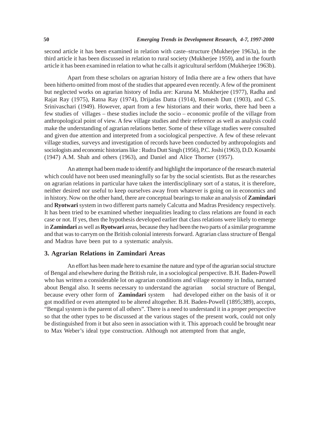second article it has been examined in relation with caste–structure (Mukherjee 1963a), in the third article it has been discussed in relation to rural society (Mukherjee 1959), and in the fourth article it has been examined in relation to what he calls it agricultural serfdom (Mukherjee 1963b).

Apart from these scholars on agrarian history of India there are a few others that have been hitherto omitted from most of the studies that appeared even recently. A few of the prominent but neglected works on agrarian history of India are: Karuna M. Mukherjee (1977), Radha and Rajat Ray (1975), Ratna Ray (1974), Drijadas Datta (1914), Romesh Dutt (1903), and C.S. Srinivaschari (1949). However, apart from a few historians and their works, there had been a few studies of villages – these studies include the socio – economic profile of the village from anthropological point of view. A few village studies and their reference as well as analysis could make the understanding of agrarian relations better. Some of these village studies were consulted and given due attention and interpreted from a sociological perspective. A few of these relevant village studies, surveys and investigation of records have been conducted by anthropologists and sociologists and economic historians like : Rudra Dutt Singh (1956), P.C. Joshi (1963), D.D. Kosambi (1947) A.M. Shah and others (1963), and Daniel and Alice Thorner (1957).

An attempt had been made to identify and highlight the importance of the research material which could have not been used meaningfully so far by the social scientists. But as the researches on agrarian relations in particular have taken the interdisciplinary sort of a status, it is therefore, neither desired nor useful to keep ourselves away from whatever is going on in economics and in history. Now on the other hand, there are conceptual bearings to make an analysis of **Zamindari** and **Ryotwari** system in two different parts namely Calcutta and Madras Presidency respectively. It has been tried to be examined whether inequalities leading to class relations are found in each case or not. If yes, then the hypothesis developed earlier that class relations were likely to emerge in **Zamindari** as well as **Ryotwari** areas, because they had been the two parts of a similar programme and that was to carrym on the British colonial interests forward. Agrarian class structure of Bengal and Madras have been put to a systematic analysis.

# **3. Agrarian Relations in Zamindari Areas**

An effort has been made here to examine the nature and type of the agrarian social structure of Bengal and elsewhere during the British rule, in a sociological perspective. B.H. Baden-Powell who has written a considerable lot on agrarian conditions and village economy in India, narrated about Bengal also. It seems necessary to understand the agrarian social structure of Bengal, because every other form of **Zamindari** system had developed either on the basis of it or got modified or even attempted to be altered altogether. B.H. Baden-Powell (1895;389), accepts, "Bengal system is the parent of all others". There is a need to understand it in a proper perspective so that the other types to be discussed at the various stages of the present work, could not only be distinguished from it but also seen in association with it. This approach could be brought near to Max Weber's ideal type construction. Although not attempted from that angle,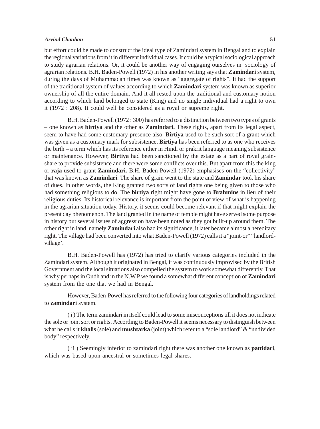but effort could be made to construct the ideal type of Zamindari system in Bengal and to explain the regional variations from it in different individual cases. It could be a typical sociological approach to study agrarian relations. Or, it could be another way of engaging ourselves in sociology of agrarian relations. B.H. Baden-Powell (1972) in his another writing says that **Zamindari** system, during the days of Muhammadan times was known as "aggregate of rights". It had the support of the traditional system of values according to which **Zamindari** system was known as superior ownership of all the entire domain. And it all rested upon the traditional and customary notion according to which land belonged to state (King) and no single individual had a right to own it (1972 : 208). It could well be considered as a royal or supreme right.

B.H. Baden-Powell (1972 : 300) has referred to a distinction between two types of grants – one known as **birtiya** and the other as **Zamindari.** These rights, apart from its legal aspect, seem to have had some customary presence also. **Birtiya** used to be such sort of a grant which was given as a customary mark for subsistence. **Birtiya** has been referred to as one who receives the birth – a term which has its reference either in Hindi or prakrit language meaning subsistence or maintenance. However, **Birtiya** had been sanctioned by the estate as a part of royal grainshare to provide subsistence and there were some conflicts over this. But apart from this the king or **raja** used to grant **Zamindari.** B.H. Baden-Powell (1972) emphasises on the "collectivity" that was known as **Zamindari**. The share of grain went to the state and **Zamindar** took his share of dues. In other words, the King granted two sorts of land rights one being given to those who had something religious to do. The **birtiya** right might have gone to **Brahmins** in lieu of their religious duties. Its historical relevance is important from the point of view of what is happening in the agrarian situation today. History, it seems could become relevant if that might explain the present day phenomenon. The land granted in the name of temple might have served some purpose in history but several issues of aggression have been noted as they got built-up around them. The other right in land, namely **Zamindari** also had its significance, it later became almost a hereditary right. The village had been converted into what Baden-Powell (1972) calls it a "joint-or" "landlordvillage'.

B.H. Baden-Powell has (1972) has tried to clarify various categories included in the Zamindari system. Although it originated in Bengal, it was continuously improvised by the British Government and the local situations also compelled the system to work somewhat differently. That is why perhaps in Oudh and in the N.W.P we found a somewhat different conception of **Zamindari** system from the one that we had in Bengal.

However, Baden-Powel has referred to the following four categories of landholdings related to **zamindari** system.

( i ) The term zamindari in itself could lead to some misconceptions till it does not indicate the sole or joint sort or rights. According to Baden-Powell it seems necessary to distinguish between what he calls it **khalis** (sole) and **mushtarka** (joint) which refer to a "sole landlord" & "undivided body" respectively.

( ii ) Seemingly inferior to zamindari right there was another one known as **pattidari**, which was based upon ancestral or sometimes legal shares.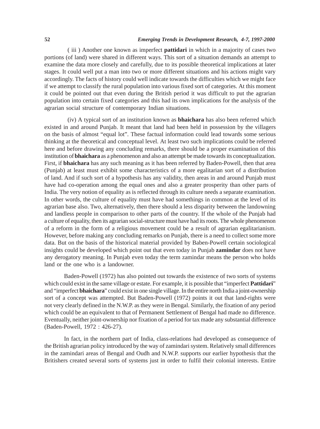# **52** *Emerging Trends in Development Research, 4-7, 1997-2000*

( iii ) Another one known as imperfect **pattidari** in which in a majority of cases two portions (of land) were shared in different ways. This sort of a situation demands an attempt to examine the data more closely and carefully, due to its possible theoretical implications at later stages. It could well put a man into two or more different situations and his actions might vary accordingly. The facts of history could well indicate towards the difficulties which we might face if we attempt to classify the rural population into various fixed sort of categories. At this moment it could be pointed out that even during the British period it was difficult to put the agrarian population into certain fixed categories and this had its own implications for the analysis of the agrarian social structure of contemporary Indian situations.

(iv) A typical sort of an institution known as **bhaichara** has also been referred which existed in and around Punjab. It meant that land had been held in possession by the villagers on the basis of almost "equal lot". These factual information could lead towards some serious thinking at the theoretical and conceptual level. At least two such implications could be referred here and before drawing any concluding remarks, there should be a proper examination of this institution of **bhaichara** as a phenomenon and also an attempt be made towards its conceptualization. First, if **bhaichara** has any such meaning as it has been referred by Baden-Powell, then that area (Punjab) at least must exhibit some characteristics of a more egalitarian sort of a distribution of land. And if such sort of a hypothesis has any validity, then areas in and around Punjab must have had co-operation among the equal ones and also a greater prosperity than other parts of India. The very notion of equality as is reflected through its culture needs a separate examination. In other words, the culture of equality must have had somethings in common at the level of its agrarian base also. Two, alternatively, then there should a less disparity between the landowning and landless people in comparison to other parts of the country. If the whole of the Punjab had a culture of equality, then its agrarian social-structure must have had its roots. The whole phenomenon of a reform in the form of a religious movement could be a result of agrarian egalitarianism. However, before making any concluding remarks on Punjab, there is a need to collect some more data. But on the basis of the historical material provided by Baben-Powell certain sociological insights could be developed which point out that even today in Punjab **zamindar** does not have any derogatory meaning. In Punjab even today the term zamindar means the person who holds land or the one who is a landowner.

Baden-Powell (1972) has also pointed out towards the existence of two sorts of systems which could exist in the same village or estate. For example, it is possible that "imperfect **Pattidari**" and "imperfect **bhaichara**" could exist in one single village. In the entire north India a joint-ownership sort of a concept was attempted. But Baden-Powell (1972) points it out that land-rights were not very clearly defined in the N.W.P. as they were in Bengal. Similarly, the fixation of any period which could be an equivalent to that of Permanent Settlement of Bengal had made no difference. Eventually, neither joint-ownership nor fixation of a period for tax made any substantial difference (Baden-Powell, 1972 : 426-27).

In fact, in the northern part of India, class-relations had developed as consequence of the British agrarian policy introduced by the way of zamindari system. Relatively small differences in the zamindari areas of Bengal and Oudh and N.W.P. supports our earlier hypothesis that the Britishers created several sorts of systems just in order to fulfil their colonial interests. Entire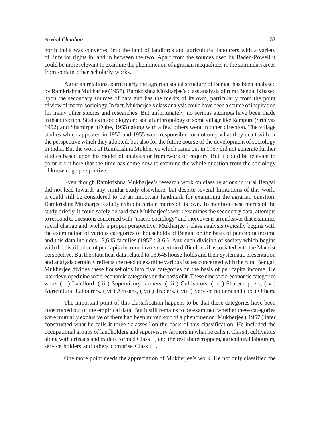north India was converted into the land of landlords and agricultural labourers with a variety of inferior rights in land in between the two. Apart from the sources used by Baden-Powell it could be more relevant to examine the phenomenon of agrarian inequalities in the zamindari areas from certain other scholarly works.

Agrarian relations, particularly the agrarian social structure of Bengal has been analysed by Ramkrishna Mukharjee (1957). Ramkrishna Mukharjee's class analysis of rural Bengal is based upon the secondary sources of data and has the merits of its own, particularly from the point of view of macro-sociology. In fact, Mukherjee's class analysis could have been a source of inspiration for many other studies and researches. But unfortunately, no serious attempts have been made in that direction. Studies in sociology and social anthropology of some village like Rampura (Srinivas 1952) and Shamirpet (Dube, 1955) along with a few others went in other direction. The village studies which appeared in 1952 and 1955 were responsible for not only what they dealt with or the perspective which they adopted, but also for the future course of the development of sociology in India. But the work of Ramkrishna Mukherjee which came out in 1957 did not generate further studies based upon his model of analysis or framework of enquiry. But it could be relevant to point it out here that the time has come now to examine the whole question from the sociology of knowledge perspective.

Even though Ramkrishna Mukharjee's research work on class relations in rural Bengal did not lead towards any similar study elsewhere, but despite several limitations of this work, it could still be considered to be an important landmark for examining the agrarian question. Ramkrishna Mukharjee's study exhibits certain merits of its own. To mention these merits of the study briefly, it could safely be said that Mukharjee's work examines the secondary data, attempts to respond to questions concerned with "macro-sociology" and moreover is an endeavor that examines social change and wields a proper perspective. Mukharjee's class analysis typically begins with the examination of various categories of households of Bengal on the basis of per capita income and this data includes 13,645 families (1957 : 3-6 ). Any such division of society which begins with the distribution of per capita income involves certain difficulties if associated with the Marxist perspective. But the statistical data related to 13,645 house-holds and their systematic presentation and analysis certainly reflects the need to examine various issues concerned with the rural Bengal. Mukherjee divides these households into five categories on the basis of per capita income. He later developed nine socio-economic categories on the basis of it. These nine socio-economic categories were: (i) Landlord, (ii) Supervisory farmers, (iii) Cultivators, (iv) Sharecroppers, (v) Agricultural Labourers, ( vi ) Artisans, ( vii ) Traders, ( viii ) Service holders and ( ix ) Others.

The important point of this classification happens to be that these categories have been constructed out of the empirical data. But it still remains to be examined whether these categories were mutually exclusive or there had been mixed sort of a phenomenon. Mukherjee ( 1957 ) later constructed what he calls it three "classes" on the basis of this classification. He included the occupational groups of landholders and supervisory farmers in what he calls it Class I, cultivators along with artisans and traders formed Class II, and the rest sharecroppers, agricultural labourers, service holders and others comprise Class III.

One more point needs the appreciation of Mukherjee's work. He not only classified the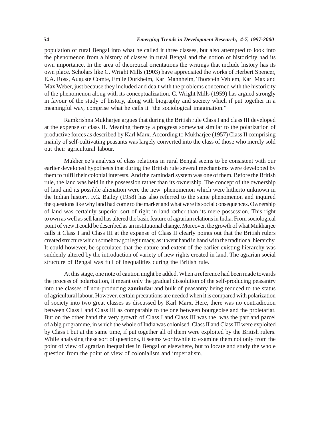population of rural Bengal into what he called it three classes, but also attempted to look into the phenomenon from a history of classes in rural Bengal and the notion of historicity had its own importance. In the area of theoretical orientations the writings that include history has its own place. Scholars like C. Wright Mills (1903) have appreciated the works of Herbert Spencer, E.A. Ross, Auguste Comte, Emile Durkheim, Karl Mannheim, Thorstein Veblem, Karl Max and Max Weber, just because they included and dealt with the problems concerned with the historicity of the phenomenon along with its conceptualization. C. Wright Mills (1959) has argued strongly in favour of the study of history, along with biography and society which if put together in a meaningful way, comprise what he calls it "the sociological imagination."

Ramkrishna Mukharjee argues that during the British rule Class I and class III developed at the expense of class II. Meaning thereby a progress somewhat similar to the polarization of productive forces as described by Karl Marx. According to Mukharjee (1957) Class II comprising mainly of self-cultivating peasants was largely converted into the class of those who merely sold out their agricultural labour.

Mukherjee's analysis of class relations in rural Bengal seems to be consistent with our earlier developed hypothesis that during the British rule several mechanisms were developed by them to fulfil their colonial interests. And the zamindari system was one of them. Before the British rule, the land was held in the possession rather than its ownership. The concept of the ownership of land and its possible alienation were the new phenomenon which were hitherto unknown in the Indian history. F.G. Bailey (1958) has also referred to the same phenomenon and inquired the questions like why land had come to the market and what were its social consequences. Ownership of land was certainly superior sort of right in land rather than its mere possession. This right to own as well as sell land has altered the basic feature of agrarian relations in India. From sociological point of view it could be described as an institutional change. Moreover, the growth of what Mukharjee calls it Class I and Class III at the expanse of Class II clearly points out that the British rulers created structure which somehow got legitimacy, as it went hand in hand with the traditional hierarchy. It could however, be speculated that the nature and extent of the earlier existing hierarchy was suddenly altered by the introduction of variety of new rights created in land. The agrarian social structure of Bengal was full of inequalities during the British rule.

At this stage, one note of caution might be added. When a reference had been made towards the process of polarization, it meant only the gradual dissolution of the self-producing peasantry into the classes of non-producing **zamindar** and bulk of peasantry being reduced to the status of agricultural labour. However, certain precautions are needed when it is compared with polarization of society into two great classes as discussed by Karl Marx. Here, there was no contradiction between Class I and Class III as comparable to the one between bourgeoise and the proletariat. But on the other hand the very growth of Class I and Class III was the was the part and parcel of a big programme, in which the whole of India was colonised. Class II and Class III were exploited by Class I but at the same time, if put together all of them were exploited by the British rulers. While analysing these sort of questions, it seems worthwhile to examine them not only from the point of view of agrarian inequalities in Bengal or elsewhere, but to locate and study the whole question from the point of view of colonialism and imperialism.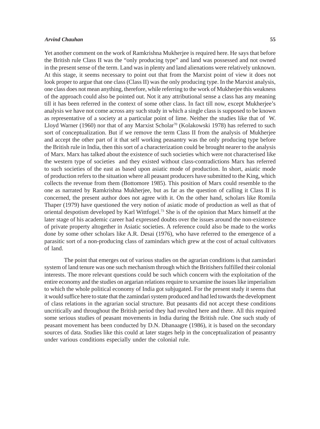Yet another comment on the work of Ramkrishna Mukherjee is required here. He says that before the British rule Class II was the "only producing type" and land was possessed and not owned in the present sense of the term. Land was in plenty and land alienations were relatively unknown. At this stage, it seems necessary to point out that from the Marxist point of view it does not look proper to argue that one class (Class II) was the only producing type. In the Marxist analysis, one class does not mean anything, therefore, while referring to the work of Mukherjee this weakness of the approach could also be pointed out. Not it any attributional sense a class has any meaning till it has been referred in the context of some other class. In fact till now, except Mukherjee's analysis we have not come across any such study in which a single class is supposed to be known as representative of a society at a particular point of lime. Neither the studies like that of W. Lloyd Warner (1960) nor that of any Marxist Scholar<sup>70</sup> (Kolakowski 1978) has referred to such sort of conceptualization. But if we remove the term Class II from the analysis of Mukherjee and accept the other part of it that self working peasantry was the only producing type before the British rule in India, then this sort of a characterization could be brought nearer to the analysis of Marx. Marx has talked about the existence of such societies which were not characterised like the western type of societies and they existed without class-contradictions Marx has referred to such societies of the east as based upon asiatic mode of production. In short, asiatic mode of production refers to the situation where all peasant producers have submitted to the King, which collects the revenue from them (Bottomore 1985). This position of Marx could resemble to the one as narrated by Ramkrishna Mukherjee, but as far as the question of calling it Class II is concerned, the present author does not agree with it. On the other hand, scholars like Romila Thaper (1979) have questioned the very notion of asiatic mode of production as well as that of oriental despotism developed by Karl Wittfogel.73 She is of the opinion that Marx himself at the later stage of his academic career had expressed doubts over the issues around the non-existence of private property altogether in Asiatic societies. A reference could also be made to the works done by some other scholars like A.R. Desai (1976), who have referred to the emergence of a parasitic sort of a non-producing class of zamindars which grew at the cost of actual cultivators of land.

The point that emerges out of various studies on the agrarian conditions is that zamindari system of land tenure was one such mechanism through which the Britishers fulfilled their colonial interests. The more relevant questions could be such which concern with the exploitation of the entire economy and the studies on argarian relations require to xexamine the issues like imperialism to which the whole political economy of India got subjugated. For the present study it seems that it would suffice here to state that the zamindari system produced and had led towards the development of class relations in the agrarian social structure. But peasants did not accept these conditions uncritically and throughout the British period they had revolted here and there. All this required some serious studies of peasant movements in India during the British rule. One such study of peasant movement has been conducted by D.N. Dhanaagre (1986), it is based on the secondary sources of data. Studies like this could at later stages help in the conceptualization of peasantry under various conditions especially under the colonial rule.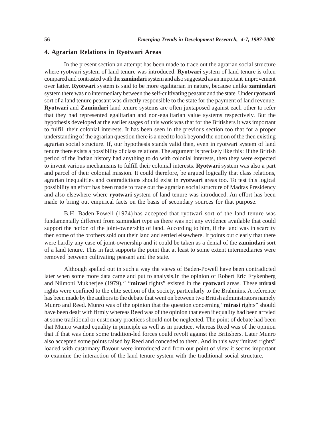# **4. Agrarian Relations in Ryotwari Areas**

In the present section an attempt has been made to trace out the agrarian social structure where ryotwari system of land tenure was introduced. **Ryotwari** system of land tenure is often compared and contrasted with the **zamindari** system and also suggested as an important improvement over latter. **Ryotwari** system is said to be more egalitarian in nature, because unlike **zamindari** system there was no intermediary between the self-cultivating peasant and the state. Under **ryotwari** sort of a land tenure peasant was directly responsible to the state for the payment of land revenue. **Ryotwari** and **Zamindari** land tenure systems are often juxtaposed against each other to refer that they had represented egalitarian and non-egalitarian value systems respectively. But the hypothesis developed at the earlier stages of this work was that for the Britishers it was important to fulfill their colonial interests. It has been seen in the previous section too that for a proper understanding of the agrarian question there is a need to look beyond the notion of the then existing agrarian social structure. If, our hypothesis stands valid then, even in ryotwari system of land tenure there exists a possibility of class relations. The argument is precisely like this : if the British period of the Indian history had anything to do with colonial interests, then they were expected to invent various mechanisms to fulfill their colonial interests. **Ryotwari** system was also a part and parcel of their colonial mission. It could therefore, be argued logically that class relations, agrarian inequalities and contradictions should exist in **ryotwari** areas too. To test this logical possibility an effort has been made to trace out the agrarian social structure of Madras Presidency and also elsewhere where **ryotwari** system of land tenure was introduced. An effort has been made to bring out empirical facts on the basis of secondary sources for that purpose.

B.H. Baden-Powell (1974) has accepted that ryotwari sort of the land tenure was fundamentally different from zamindari type as there was not any evidence available that could support the notion of the joint-ownership of land. According to him, if the land was in scarcity then some of the brothers sold out their land and settled elsewhere. It points out clearly that there were hardly any case of joint-ownership and it could be taken as a denial of the **zamindari** sort of a land tenure. This in fact supports the point that at least to some extent intermediaries were removed between cultivating peasant and the state.

Although spelled out in such a way the views of Baden-Powell have been contradicted later when some more data came and put to analysis.In the opinion of Robert Eric Frykenberg and Nilmoni Mukherjee (1979),77 "**mirasi** rights" existed in the **ryotwari** areas. These **mirasi** rights were confined to the elite section of the society, particularly to the Brahmins. A reference has been made by the authors to the debate that went on between two British administrators namely Munro and Reed. Munro was of the opinion that the question concerning "**mirasi** rights" should have been dealt with firmly whereas Reed was of the opinion that even if equality had been arrvied at some traditional or customary practices should not be neglected. The point of debate had been that Munro wanted equality in principle as well as in practice, whereas Reed was of the opinion that if that was done some tradition-led forces could revolt against the Britishers. Later Munro also accepted some points raised by Reed and conceded to them. And in this way "mirasi rights" loaded with customary flavour were introduced and from our point of view it seems important to examine the interaction of the land tenure system with the traditional social structure.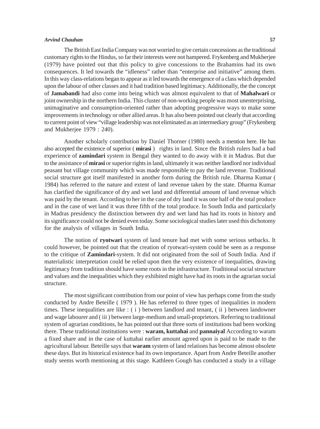The British East India Company was not worried to give certain concessions as the traditional customary rights to the Hindus, so far their interests were not hampered. Frykenberg and Mukherjee (1979) have pointed out that this policy to give concessions to the Brahamins had its own consequences. It led towards the "idleness" rather than "enterprise and initiative" among them. In this way class-relations began to appear as it led towards the emergence of a class which depended upon the labour of other classes and it had tradition based legitimacy. Additionally, the the concept of **Jamabandi** had also come into being which was almost equivalent to that of **Mahalwari** or joint ownership in the northern India. This cluster of non-working people was most unenterprising, unimaginative and consumption-oriented rather than adopting progressive ways to make some improvements in technology or other allied areas. It has also been pointed out clearly that according to current point of view "village leadership was not eliminated as an intermediary group" (Frykenberg and Mukherjee 1979 : 240).

Another scholarly contribution by Daniel Thorner (1980) needs a mention here. He has also accepted the existence of superior ( **mirasi** ) rights in land. Since the British rulers had a bad experience of **zamindari** system in Bengal they wanted to do away with it in Madras. But due to the assistance of **mirasi** or superior rights in land, ultimately it was neither landlord nor individual peasant but village community which was made responsible to pay the land revenue. Traditional social structure got itself manifested in another form during the British rule. Dharma Kumar ( 1984) has referred to the nature and extent of land revenue taken by the state. Dharma Kumar has clarified the significance of dry and wet land and differential amount of land revenue which was paid by the tenant. According to her in the case of dry land it was one half of the total produce and in the case of wet land it was three fifth of the total produce. In South India and particularly in Madras presidency the distinction between dry and wet land has had its roots in history and its significance could not be denied even today. Some sociological studies later used this dichotomy for the analysis of villages in South India.

The notion of **ryotwari** system of land tenure had met with some serious setbacks. It could however, be pointed out that the creation of ryotwari-system could be seen as a response to the critique of **Zamindari**-system. It did not originated from the soil of South India. And if materialistic interpretation could be relied upon then the very existence of inequalities, drawing legitimacy from tradition should have some roots in the infrastructure. Traditional social structure and values and the inequalities which they exhibited might have had its roots in the agrarian social structure.

The most significant contribution from our point of view has perhaps come from the study conducted by Andre Beteille ( 1979 ). He has referred to three types of inequalities in modern times. These inequalities are like : ( i ) between landlord and tenant, ( ii ) between landowner and wage labourer and ( iii ) between large-medium and small-proprietors. Referring to traditional system of agrarian conditions, he has pointed out that three sorts of institutions had been working there. These traditional institutions were : **waram, kuttahai** and **pannaiyal** According to waram a fixed share and in the case of kuttahai earlier amount agreed upon is paid to be made to the agricultural labour. Beteille says that **waram** system of land relations has become almost obsolete these days. But its historical existence had its own importance. Apart from Andre Beteille another study seems worth mentioning at this stage. Kathleen Gough has conducted a study in a village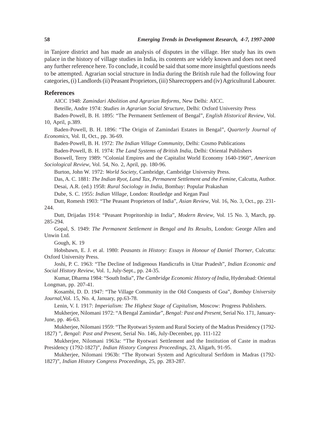in Tanjore district and has made an analysis of disputes in the village. Her study has its own palace in the history of village studies in India, its contents are widely known and does not need any further reference here. To conclude, it could be said that some more insightful questions needs to be attempted. Agrarian social structure in India during the British rule had the following four categories, (i) Landlords (ii) Peasant Proprietors, (iii) Sharecroppers and (iv) Agricultural Labourer.

#### **References**

AICC 1948: *Zamindari Abolition and Agrarian Reforms*, New Delhi: AICC.

Beteille, Andre 1974: *Studies in Agrarian Social Structure*, Delhi: Oxford University Press

Baden-Powell, B. H. 1895: "The Permanent Settlement of Bengal", *English Historical Review*, Vol. 10, April, p.389.

Baden-Powell, B. H. 1896: "The Origin of Zamindari Estates in Bengal", *Quarterly Journal of Economics*, Vol. II, Oct., pp. 36-69.

Baden-Powell, B. H. 1972: *The Indian Village Community*, Delhi: Cosmo Publications

Baden-Powell, B. H. 1974: *The Land Systems of British India*, Delhi: Oriental Publishers

Boswell, Terry 1989: "Colonial Empires and the Capitalist World Economy 1640-1960", *American Sociological Review*, Vol. 54, No. 2, April, pp. 180-96.

Burton, John W. 1972: *World Society*, Cambridge, Cambridge University Press.

Das, A. C. 1881: *The Indian Ryot, Land Tax, Permanent Settlement and the Femine*, Calcutta, Author. Desai, A.R. (ed.) 1958: *Rural Sociology in India*, Bombay: Popular Prakashan

Dube, S. C. 1955: *Indian Village*, London: Routledge and Kegan Paul

Dutt, Romesh 1903: "The Peasant Proprietors of India", *Asian Review*, Vol. 16, No. 3, Oct., pp. 231- 244.

Dutt, Drijadas 1914: "Peasant Propritorship in India", *Modern Review*, Vol. 15 No. 3, March, pp. 285-294.

Gopal, S. 1949: *The Permanent Settlement in Bengal and Its Results*, London: George Allen and Unwin Ltd.

Gough, K. 19

Hobsbawn, E. J. et al. 1980: *Peasants in History: Essays in Honour of Daniel Thorner*, Culcutta: Oxford University Press.

Joshi, P. C. 1963: "The Decline of Indigenous Handicrafts in Uttar Pradesh", *Indian Economic and Social History Review*, Vol. 1, July-Sept., pp. 24-35.

Kumar, Dharma 1984: "South India", *The Cambridge Economic History of India*, Hyderabad: Oriental Longman, pp. 207-41.

Kosambi, D. D. 1947: "The Village Community in the Old Conquests of Goa", *Bombay University Journal*,Vol. 15, No. 4, January, pp.63-78.

Lenin, V. I. 1917: *Imperialism: The Highest Stage of Capitalism*, Moscow: Progress Publishers.

Mukherjee, Nilomani 1972: "A Bengal Zamindar", *Bengal: Past and Present*, Serial No. 171, January-June, pp. 46-63.

Mukherjee, Nilomani 1959: "The Ryotwari System and Rural Society of the Madras Presidency (1792- 1827) ", *Bengal: Past and Present*, Serial No. 146, July-December, pp. 111-122

Mukherjee, Nilomani 1963a: "The Ryotwari Settlement and the Institution of Caste in madras Presidency (1792-1827)", *Indian History Congress Proceedings*, 23, Aligarh, 91-95.

Mukherjee, Nilomani 1963b: "The Ryotwari System and Agricultural Serfdom in Madras (1792- 1827)", *Indian History Congress Proceedings*, 25, pp. 283-287.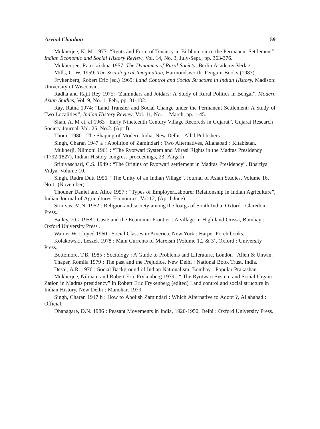Mukherjee, K. M. 1977: "Rents and Form of Tenancy in Birbhum since the Permanent Settlement", *Indian Economic and Social History Review*, Vol. 14, No. 3, July-Sept., pp. 363-376.

Mukhertjee, Ram krishna 1957: *The Dynamics of Rural Society*, Berlin Academy Verlag.

Mills, C. W. 1959: *The Sociological Imagination*, Harmondsworth: Penguin Books (1983).

Frykenberg, Robert Eric (ed.) 1969: *Land Control and Social Structure in Indian History,* Madison: University of Wisconsin.

Radha and Rajit Rey 1975: "Zamindars and Jotdars: A Study of Rural Politics in Bengal", *Modern Asian Studies*, Vol. 9, No. 1, Feb., pp. 81-102.

Ray, Ratna 1974: "Land Transfer and Social Change under the Permanent Settlement: A Study of Two Localities*", Indian History Review*, Vol. 11, No. 1, March, pp. 1-45.

Shah, A. M et. al 1963 : Early Nineteenth Century Village Recoreds in Gujarat", Gujarat Research Society Journal, Vol. 25, No.2. (April)

Thonir 1980 : The Shaping of Modern India, New Delhi : Alhd Publishers.

Singh, Charan 1947 a : Abolition of Zamindari : Two Alternatives, Allahabad : Kitabistan.

Mukherji, Nilmoni 1961 : "The Ryotwari System and Mirasi Rights in the Madras Presidency (1792-1827), Indian History congress proceedings, 23, Aligarh

Srinivaschari, C.S. 1949 : "The Origins of Ryotwari settlement in Madras Presidency", Bhartiya Vidya, Volume 10.

Singh, Rudra Dutt 1956. "The Unity of an Indian Village", Journal of Asian Studies, Volume 16, No.1, (November)

Thouner Daniel and Alice 1957 : "Types of EmployerLabourer Relationship in Indian Agriculture", Indian Journal of Agricultures Economics, Vol.12, (April-June)

Srinivas, M.N. 1952 : Religion and society among the loargs of South India, Oxtord : Claredon Press.

Bailey, F.G. 1958 : Caste and the Economic Frontier : A village in High land Orissa, Bombay : Oxford University Press .

Warner W. Lloyed 1960 : Social Classes in America, New York : Harper Forch books.

Kolakowski, Leszek 1978 : Main Currents of Marxism (Volume 1,2 & 3), Oxford : University Press.

Bottomore, T.B. 1985 : Sociology : A Guide to Problems and Liferature, London : Allen & Unwin. Thaper, Romila 1979 : The past and the Prejudice, New Delhi : National Book Trust, India.

Desai, A.R. 1976 : Social Background of Indian Nationalism, Bombay : Popular Prakashan.

Mukherjee, Nilmani and Robert Eric Frykenberg 1979 : " The Ryotwari System and Social Urgani Zation in Madras presidency" in Robert Eric Frykenberg (edited) Land control and social structure in Indian History, New Delhi : Manohar, 1979.

Singh, Charan 1947 b : How to Abolish Zamindari : Which Alternative to Adopt ?, Allahabad : Official.

Dhanagare, D.N. 1986 : Peasant Movements in India, 1920-1950, Delhi : Oxford University Press.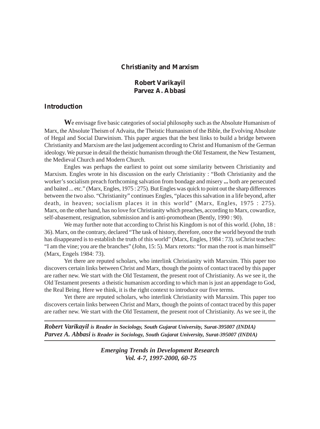# **Christianity and Marxism**

# **Robert Varikayil Parvez A. Abbasi**

# **Introduction**

**W**e envisage five basic categories of social philosophy such as the Absolute Humanism of Marx, the Absolute Theism of Advaita, the Theistic Humanism of the Bible, the Evolving Absolute of Hegal and Social Darwinism. This paper argues that the best links to build a bridge between Christianity and Marxism are the last judgement according to Christ and Humanism of the German ideology. We pursue in detail the theistic humanism through the Old Testament, the New Testament, the Medieval Church and Modern Church.

Engles was perhaps the earliest to point out some similarity between Christianity and Marxism. Engles wrote in his discussion on the early Christianity : "Both Christianity and the worker's socialism preach forthcoming salvation from bondage and misery **...** both are persecuted and baited ... etc." (Marx, Engles, 1975 : 275). But Engles was quick to point out the sharp differences between the two also. "Christianity" continues Engles, "places this salvation in a life beyond, after death, in heaven; socialism places it in this world" (Marx, Engles, 1975 : 275). Marx, on the other hand, has no love for Christianity which preaches, according to Marx, cowardice, self-abasement, resignation, submission and is anti-promothean (Bently, 1990 : 90).

We may further note that according to Christ his Kingdom is not of this world. (John, 18 : 36). Marx, on the contrary, declared "The task of history, therefore, once the world beyond the truth has disappeared is to establish the truth of this world" (Marx, Engles, 1984 : 73). ssChrist teaches: "I am the vine; you are the branches" (John, 15: 5). Marx retorts: "for man the root is man himself" (Marx, Engels 1984: 73).

Yet there are reputed scholars, who interlink Christianity with Marxsim. This paper too discovers certain links between Christ and Marx, though the points of contact traced by this paper are rather new. We start with the Old Testament, the present root of Christianity. As we see it, the Old Testament presents a theistic humanism according to which man is just an appendage to God, the Real Being. Here we think, it is the right context to introduce our five terms.

Yet there are reputed scholars, who interlink Christianity with Marxsim. This paper too discovers certain links between Christ and Marx, though the points of contact traced by this paper are rather new. We start with the Old Testament, the present root of Christianity. As we see it, the

*Robert Varikayil is Reader in Sociology, South Gujarat University, Surat-395007 (INDIA) Parvez A. Abbasi is Reader in Sociology, South Gujarat University, Surat-395007 (INDIA)*

> *Emerging Trends in Development Research Vol. 4-7, 1997-2000, 60-75*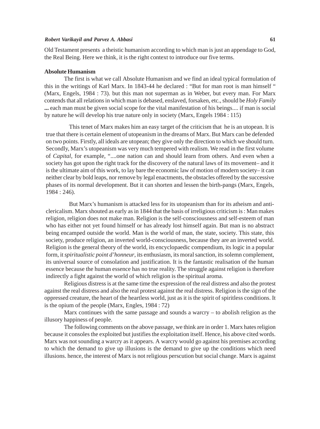#### *Robert Varikayil and Parvez A. Abbasi* **61**

Old Testament presents a theistic humanism according to which man is just an appendage to God, the Real Being. Here we think, it is the right context to introduce our five terms.

#### **Absolute Humanism**

The first is what we call Absolute Humanism and we find an ideal typical formulation of this in the writings of Karl Marx. In 1843-44 he declared : "But for man root is man himself " (Marx, Engels, 1984 : 73). but this man not superman as in Weber, but every man. For Marx contends that all relations in which man is debased, enslaved, forsaken, etc., should be *Holy Family* **...** each man must be given social scope for the vital manifestation of his beings.... if man is social by nature he will develop his true nature only in society (Marx, Engels 1984 : 115)

This tenet of Marx makes him an easy target of the criticism that he is an utopean. It is true that there is certain element of utopeanism in the dreams of Marx. But Marx can be defended on two points. Firstly, all ideals are utopean; they give only the direction to which we should turn. Secondly, Marx's utopeanism was very much tempered with realism. We read in the first volume of *Capital,* for example, "....one nation can and should learn from others. And even when a society has got upon the right track for the discovery of the natural laws of its movement– and it is the ultimate aim of this work, to lay bare the economic law of motion of modern society– it can neither clear by bold leaps, nor remove by legal enactments, the obstacles offered by the successive phases of its normal development. But it can shorten and lessen the birth-pangs (Marx, Engels, 1984 : 246).

But Marx's humanism is attacked less for its utopeanism than for its atheism and anticlericalism. Marx shouted as early as in 1844 that the basis of irreligious criticism is : Man makes religion, religion does not make man. Religion is the self-consciousness and self-esteem of man who has either not yet found himself or has already lost himself again. But man is no abstract being encamped outside the world. Man is the world of man, the state, society. This state, this society, produce religion, an inverted world-consciousness, because they are an inverted world. Religion is the general theory of the world, its encyclopaedic compendium, its logic in a popular form, it *spiritualistic point d'honneur*, its enthusiasm, its moral sanction, its solemn complement, its universal source of consolation and justification. It is the fantastic realisation of the human essence because the human essence has no true reality. The struggle against religion is therefore indirectly a fight against the world of which religion is the spiritual aroma.

Religious distress is at the same time the expression of the real distress and also the protest against the real distress and also the real protest against the real distress. Religion is the sign of the oppressed creature, the heart of the heartless world, just as it is the spirit of spiritless conditions. It is the opium of the people (Marx, Engles, 1984 : 72)

Marx continues with the same passage and sounds a warcry – to abolish religion as the illusory happiness of people.

The following comments on the above passage, we think are in order 1. Marx hates religion because it consoles the exploited but justifies the exploitation itself. Hence, his above cited words. Marx was not sounding a warcry as it appears. A warcry would go against his premises according to which the demand to give up illusions is the demand to give up the conditions which need illusions. hence, the interest of Marx is not religious perscution but social change. Marx is against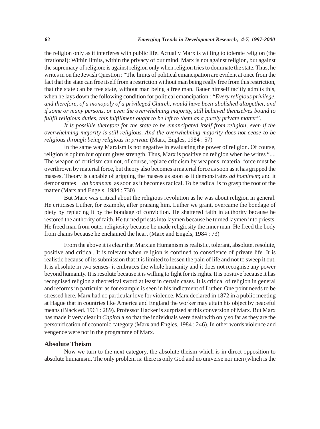the religion only as it interferes with public life. Actually Marx is willing to tolerate religion (the irrational): Within limits, within the privacy of our mind. Marx is not against religion, but against the supremacy of religion; is against religion only when religion tries to dominate the state. Thus, he writes in on the Jewish Question : "The limits of political emancipation are evident at once from the fact that the state can free itself from a restriction without man being really free from this restriction, that the state can be free state, without man being a free man. Bauer himself tacitly admits this, when he lays down the following condition for political emancipation : *"Every religious privilege, and therefore, of a monopoly of a privileged Church, would have been abolished altogether, and if some or many persons, or even the overwhelming majority, still believed themselves bound to fullfil religious duties, this fulfillment ought to be left to them as a purely private matter".*

*It is possible therefore for the state to be emancipated itself from religion, even if the overwhelming majority is still religious. And the overwhelming majority does not cease to be religious through being religious in private* (Marx, Engles, 1984 : 57)

In the same way Marxism is not negative in evaluating the power of religion. Of course, religion is opium but opium gives strength. Thus, Marx is positive on religion when he writes ".... The weapon of criticism can not, of course, replace criticism by weapons, material force must be overthrown by material force, but theory also becomes a material force as soon as it has gripped the masses. Theory is capable of gripping the masses as soon as it demonstrates *ad hominem*; and it demonstrates *ad hominem* as soon as it becomes radical. To be radical is to grasp the root of the matter (Marx and Engels, 1984 : 730)

But Marx was critical about the religious revolution as he was about religion in general. He criticises Luther, for example, after praising him. Luther we grant, overcame the bondage of piety by replacing it by the bondage of conviction. He shattered faith in authority because he restored the authority of faith. He turned priests into laymen because he turned laymen into priests. He freed man from outer religiosity because he made religiosity the inner man. He freed the body from chains because he enchained the heart (Marx and Engels, 1984 : 73)

From the above it is clear that Marxian Humanism is realistic, tolerant, absolute, resolute, positive and critical. It is tolerant when religion is confined to conscience of private life. It is realistic because of its submission that it is limited to lessen the pain of life and not to sweep it out. It is absolute in two senses- it embraces the whole humanity and it does not recognise any power beyond humanity. It is resolute because it is willing to fight for its rights. It is positive because it has recognised religion a theoretical sword at least in certain cases. It is critical of religion in general and reforms in particular as for example is seen in his indictment of Luther. One point needs to be stressed here. Marx had no particular love for violence. Marx declared in 1872 in a public meeting at Hague that in countries like America and England the worker may attain his object by peaceful means (Black ed. 1961 : 289). Professor Hacker is surprised at this conversion of Marx. But Marx has made it very clear in *Capital* also that the individuals were dealt with only so far as they are the personification of economic category (Marx and Engles, 1984 : 246). In other words violence and vengence were not in the programme of Marx.

### **Absolute Theism**

Now we turn to the next category, the absolute theism which is in direct opposition to absolute humanism. The only problem is: there is only God and no universe nor men (which is the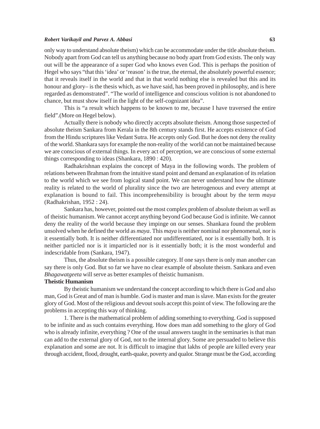#### *Robert Varikayil and Parvez A. Abbasi* **63**

only way to understand absolute theism) which can be accommodate under the title absolute theism. Nobody apart from God can tell us anything because no body apart from God exists. The only way out will be the appearance of a super God who knows even God. This is perhaps the position of Hegel who says "that this 'idea' or 'reason' is the true, the eternal, the absolutely powerful essence; that it reveals itself in the world and that in that world nothing else is revealed but this and its honour and glory– is the thesis which, as we have said, has been proved in philosophy, and is here regarded as demonstrated". "The world of intelligence and conscious volition is not abandoned to chance, but must show itself in the light of the self-cognizant idea".

This is "a result which happens to be known to me, because I have traversed the entire field".(More on Hegel below).

Actually there is nobody who directly accepts absolute theism. Among those suspected of absolute theism Sankara from Kerala in the 8th century stands first. He accepts existence of God from the Hindu scriptures like Vedant Sutra. He accepts only God. But he does not deny the reality of the world. Shankara says for example the non-reality of the world can not be maintained because we are conscious of external things. In every act of perception, we are conscious of some external things corresponding to ideas (Shankara, 1890 : 420).

Radhakrishnan explains the concept of Maya in the following words. The problem of relations between Brahman from the intuitive stand point and demand an explanation of its relation to the world which we see from logical stand point. We can never understand how the ultimate reality is related to the world of plurality since the two are heterogenous and every attempt at explanation is bound to fail. This incomprehensibility is brought about by the term *maya* (Radhakrishan, 1952 : 24).

Sankara has, however, pointed out the most complex problem of absolute theism as well as of theistic humanism. We cannot accept anything beyond God because God is infinite. We cannot deny the reality of the world because they impinge on our senses. Shankara found the problem unsolved when he defined the world as *maya*. This *maya* is neither nominal nor phenomenal, nor is it essentially both. It is neither differentiated nor undifferentiated, nor is it essentially both. It is neither particled nor is it imparticled nor is it essentially both; it is the most wonderful and indescridable from (Sankara, 1947).

Thus, the absolute theism is a possible category. If one says there is only man another can say there is only God. But so far we have no clear example of absolute theism. Sankara and even *Bhagawatgeeta* will serve as better examples of theistic humanism.

## **Theistic Humanism**

By theistic humanism we understand the concept according to which there is God and also man, God is Great and of man is humble. God is master and man is slave. Man exists for the greater glory of God. Most of the religious and devout souls accept this point of view. The following are the problems in accepting this way of thinking.

1. There is the mathematical problem of adding something to everything. God is supposed to be infinite and as such contains everything. How does man add something to the glory of God who is already infinite, everything ? One of the usual answers taught in the seminaries is that man can add to the external glory of God, not to the internal glory. Some are persuaded to believe this explanation and some are not. It is difficult to imagine that lakhs of people are killed every year through accident, flood, drought, earth-quake, poverty and qualor. Strange must be the God, according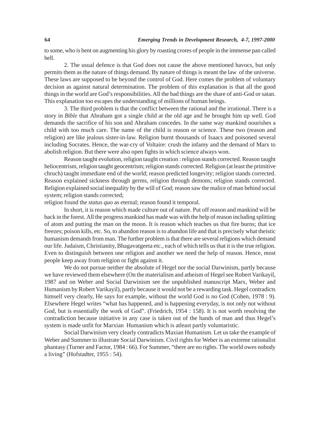to some, who is bent on augmenting his glory by roasting crores of people in the immense pan called hell.

2. The usual defence is that God does not cause the above mentioned havocs, but only permits them as the nature of things demand. By nature of things is meant the law of the universe. These laws are supposed to be beyond the control of God. Here comes the problem of voluntary decision as against natural determination. The problem of this explanation is that all the good things in the world are God's responsibilities. All the bad things are the share of anti-God or satan. This explanation too escapes the understanding of millions of human beings.

3. The third problem is that the conflict between the rational and the irrational. There is a story in *Bible* that Abraham got a single child at the old age and he brought him up well. God demands the sacrifice of his son and Abraham concedes. In the same way mankind nourishes a child with too much care. The name of the child is reason or science. These two (reason and religion) are like jealous sister-in-law. Religion burnt thousands of Isaacs and poisoned several including Socrates. Hence, the war-cry of Voltaire: crush the infamy and the demand of Marx to abolish religion. But there were also open fights in which science always won.

Reason taught evolution, religion taught creation : religion stands corrected. Reason taught heliocentrism, religion taught geocentrism; religion stands corrected. Religion (at least the primitive chruch) taught immediate end of the world; reason predicted longevity; religion stands corrected. Reason explained sickness through germs, religion through demons; religion stands corrected. Religion explained social inequality by the will of God; reason saw the malice of man behind social system; religion stands corrected;

religion found the *status quo* as eternal; reason found it temporal.

In short, it is reason which made culture out of nature. Put off reason and mankind will be back in the forest. All the progress mankind has made was with the help of reason including splitting of atom and putting the man on the moon. It is reason which teaches us that fire burns; that ice freezes; poison kills, etc. So, to abandon reason is to abandon life and that is precisely what theistic humanism demands from man. The further problem is that there are several religions which demand our life. Judaism, Christianity, Bhagavatgeeta etc., each of which tells us that it is the true religion. Even to distinguish between one religion and another we need the help of reason. Hence, most people keep away from religion or fight against it.

We do not pursue neither the absolute of Hegel nor the social Darwinism, partly because we have reviewed them elsewhere (On the materialism and atheism of Hegel see Robert Varikayil, 1987 and on Weber and Social Darwinism see the unpublished manuscript Marx, Weber and Humanism by Robert Varikayil), partly because it would not be a rewarding task. Hegel contradicts himself very clearly, He says for example, without the world God is no God (Cohen, 1978 : 9). Elsewhere Hegel writes "what has happened, and is happening everyday, is not only not without God, but is essentially the work of God". (Friedrich, 1954 : 158). It is not worth resolving the contradiction because initiative in any case is taken out of the hands of man and thus Hegel's system is made unfit for Marxian Humanism which is atleast partly voluntaristic.

Social Darwinism very clearly contradicts Maxian Humanism. Let us take the example of Weber and Summer to illustrate Social Darwinism. Civil rights for Weber is an extreme rationalist phantasy (Turner and Factor, 1984 : 66). For Summer, "there are no rights. The world owes nobody a living" (Hofstadter, 1955 : 54).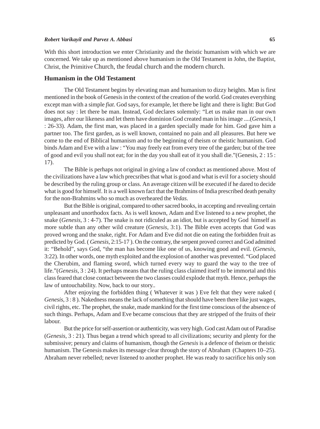#### *Robert Varikayil and Parvez A. Abbasi* **65**

With this short introduction we enter Christianity and the theistic humanism with which we are concerned. We take up as mentioned above humanism in the Old Testament in John, the Baptist, Christ, the Primitive Church, the feudal church and the modern church.

# **Humanism in the Old Testament**

The Old Testament begins by elevating man and humanism to dizzy heights. Man is first mentioned in the book of Genesis in the context of the creation of the world. God creates everything except man with a simple *fiat*. God says, for example, let there be light and there is light: But God does not say : let there be man. Instead, God declares solemnly: "Let us make man in our own images, after our likeness and let them have dominion God created man in his image ....(*Genesis*, I : 26-33). Adam, the first man, was placed in a garden specially made for him. God gave him a partner too. The first garden, as is well known, contained no pain and all pleasures. But here we come to the end of Biblical humanism and to the beginning of theism or theistic humanism. God binds Adam and Eve with a law : "You may freely eat from every tree of the garden; but of the tree of good and evil you shall not eat; for in the day you shall eat of it you shall die."(Genesis, 2 : 15 : 17).

The Bible is perhaps not original in giving a law of conduct as mentioned above. Most of the civilizations have a law which precsribes that what is good and what is evil for a society should be described by the ruling group or class. An average citizen will be executed if he dared to decide what is good for himself. It is a well known fact that the Brahmins of India prescribed death penalty for the non-Brahmins who so much as overheared the *Vedas.*

But the Bible is original, compared to other sacred books, in accepting and revealing certain unpleasant and unorthodox facts. As is well known, Adam and Eve listened to a new prophet, the snake (*Genesis*, 3 : 4-7). The snake is not ridiculed as an idiot, but is accepted by God himself as more subtle than any other wild creature (*Genesis*, 3:1). The Bible even accepts that God was proved wrong and the snake, right. For Adam and Eve did not die on eating the forbidden fruit as predicted by God. ( *Genesis*, 2:15-17 ). On the contrary, the serpent proved correct and God admitted it: "Behold", says God, "the man has become like one of us, knowing good and evil. (*Genesis*, 3:22). In other words, one myth exploited and the explosion of another was prevented. "God placed the Cherubim, and flaming sword, which turned every way to guard the way to the tree of life."(*Genesis*, 3 : 24). It perhaps means that the ruling class claimed itself to be immortal and this class feared that close contact between the two classes could explode that myth. Hence, perhaps the law of untouchability. Now, back to our story..

After enjoying the forbidden thing ( Whatever it was ) Eve felt that they were naked ( *Genesis*, 3 : 8 ). Nakedness means the lack of something that should have been there like just wages, civil rights, etc. The prophet, the snake, made mankind for the first time conscious of the absence of such things. Perhaps, Adam and Eve became conscious that they are stripped of the fruits of their labour.

But the price for self-assertion or authenticity, was very high. God cast Adam out of Paradise (*Genesis*, 3 : 21). Thus began a trend which spread to all civilizations; security and plenty for the submissive; penury and claims of humanism, though the *Genesis* is a defence of theism or theistic humanism. The Genesis makes its message clear through the story of Abraham (Chapters 10–25). Abraham never rebelled; never listened to another prophet. He was ready to sacrifice his only son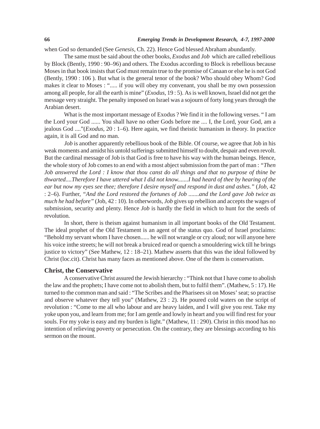when God so demanded (See *Genesis*, Ch. 22). Hence God blessed Abraham abundantly.

The same must be said about the other books, *Exodus* and *Job* which are called rebellious by Block (Bently, 1990 : 90–96) and others. The Exodus according to Block is rebellious because Moses in that book insists that God must remain true to the promise of Canaan or else he is not God (Bently, 1990 : 106 ). But what is the general tenor of the book? Who should obey Whom? God makes it clear to Moses : "..... if you will obey my convenant, you shall be my own possession among all people, for all the earth is mine" (*Exodus*, 19 : 5). As is well known, Israel did not get the message very straight. The penalty imposed on Israel was a sojourn of forty long years through the Arabian desert.

What is the most important message of Exodus ? We find it in the following verses. " I am the Lord your God ...... You shall have no other Gods before me .... I, the Lord, your God, am a jealous God ...."(*Exodus*, 20 : 1–6). Here again, we find theistic humanism in theory. In practice again, it is all God and no man.

*Job* is another apparently rebellious book of the Bible. Of course, we agree that Job in his weak moments and amidst his untold sufferings submitted himself to doubt, despair and even revolt. But the cardinal message of Job is that God is free to have his way with the human beings. Hence, the whole story of Job comes to an end with a most abject submission from the part of man : *"Then Job answered the Lord : I know that thou canst do all things and that no purpose of thine be thwarted....Therefore I have uttered what I did not know.......I had heard of thee by hearing of the ear but now my eyes see thee; therefore I desire myself and respond in dust and ashes."* (*Job*, 42 : 2–6). Further, *"And the Lord restored the fortunes of Job .......and the Lord gave Job twice as much he had before"* (Job, 42 : 10). In otherwords, *Job* gives up rebellion and accepts the wages of submission, security and plenty. Hence *Job* is hardly the field in which to hunt for the seeds of revolution.

In short, there is theism against humanism in all important books of the Old Testament. The ideal prophet of the Old Testament is an agent of the status quo. God of Israel proclaims: "Behold my servant whom I have chosen...... he will not wrangle or cry aloud; nor will anyone here his voice inthe streets; he will not break a bruiced read or quench a smouldering wick till he brings justice to victory" (See Mathew, 12 : 18–21). Mathew asserts that this was the ideal followed by Christ (loc.cit). Christ has many faces as mentioned above. One of the them is conservatism.

## **Christ, the Conservative**

A conservative Christ assured the Jewish hierarchy : "Think not that I have come to abolish the law and the prophets; I have come not to abolish them, but to fulfil them". (Mathew, 5 : 17). He turned to the common man and said : "The Scribes and the Pharisees sit on Moses' seat; so practise and observe whatever they tell you" (Mathew, 23 : 2). He poured cold waters on the script of revolution : "Come to me all who labour and are heavy laiden, and I will give you rest. Take my yoke upon you, and learn from me; for I am gentle and lowly in heart and you will find rest for your souls. For my yoke is easy and my burden is light." (Mathew, 11 : 290). Christ in this mood has no intention of relieving poverty or persecution. On the contrary, they are blessings according to his sermon on the mount.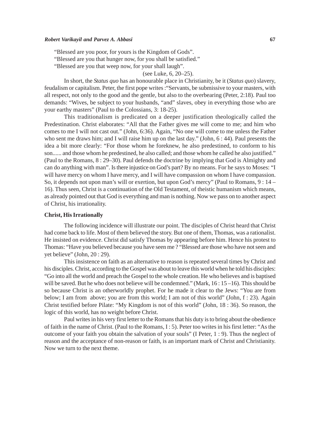#### *Robert Varikayil and Parvez A. Abbasi* **67**

"Blessed are you poor, for yours is the Kingdom of Gods".

"Blessed are you that hunger now, for you shall be satisfied."

"Blessed are you that weep now, for your shall laugh".

(see Luke, 6, 20–25).

In short, the *Status quo* has an honourable place in Christianity, be it (*Status quo*) slavery, feudalism or capitalism. Peter, the first pope writes :"Servants, be submissive to your masters, with all respect, not only to the good and the gentle, but also to the overbearing (Peter, 2:18). Paul too demands: "Wives, be subject to your husbands, "and" slaves, obey in everything those who are your earthy masters" (Paul to the Colossians, 3: 18-25).

This traditionalism is predicated on a deeper justification theologically called the Predestination. Christ elaborates: "All that the Father gives me will come to me; and him who comes to me I will not cast out." (John, 6:36). Again, "No one will come to me unless the Father who sent me draws him; and I will raise him up on the last day." (John, 6 : 44). Paul presents the idea a bit more clearly: "For those whom he foreknew, he also predestined, to conform to his son...... and those whom he predestined, he also called; and those whom he called he also justified." (Paul to the Romans, 8 : 29–30). Paul defends the doctrine by implying that God is Almighty and can do anything with man". Is there injustice on God's part? By no means. For he says to Moses: "I will have mercy on whom I have mercy, and I will have compassion on whom I have compassion. So, it depends not upon man's will or exertion, but upon God's mercy" (Paul to Romans, 9 : 14 – 16). Thus seen, Christ is a continuation of the Old Testament, of theistic humanism which means, as already pointed out that God is everything and man is nothing. Now we pass on to another aspect of Christ, his irrationality.

# **Christ, His Irrationally**

The following incidence will illustrate our point. The disciples of Christ heard that Christ had come back to life. Most of them believed the story. But one of them, Thomas, was a rationalist. He insisted on evidence. Christ did satisfy Thomas by appearing before him. Hence his protest to Thomas: "Have you believed because you have seen me ? "Blessed are those who have not seen and yet believe" (John, 20 : 29).

This insistence on faith as an alternative to reason is repeated several times by Christ and his disciples. Christ, according to the Gospel was about to leave this world when he told his disciples: "Go into all the world and preach the Gospel to the whole creation. He who believes and is baptised will be saved. But he who does not believe will be condemned." (Mark, 16:15-16). This should be so because Christ is an otherworldly prophet. For he made it clear to the Jews: "You are from below; I am from above; you are from this world; I am not of this world" (John, f : 23). Again Christ testified before Pilate: "My Kingdom is not of this world" (John, 18 : 36). So reason, the logic of this world, has no weight before Christ.

Paul writes in his very first letter to the Romans that his duty is to bring about the obedience of faith in the name of Christ. (Paul to the Romans, I : 5). Peter too writes in his first letter: "As the outcome of your faith you obtain the salvation of your souls" (I Peter, 1 : 9). Thus the neglect of reason and the acceptance of non-reason or faith, is an important mark of Christ and Christianity. Now we turn to the next theme.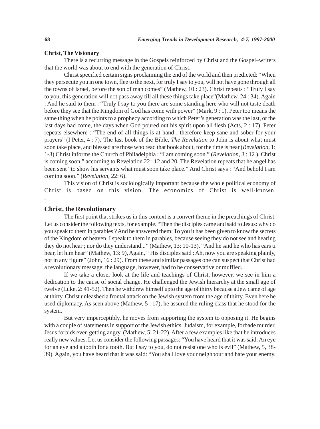#### **Christ, The Visionary**

There is a recurring message in the Gospels reinforced by Christ and the Gospel–writers that the world was about to end with the generation of Christ.

Christ specified certain signs proclaiming the end of the world and then predicted: "When they persecute you in one town, flee to the next, for truly I say to you, will not have gone through all the towns of Israel, before the son of man comes" (Mathew, 10 : 23). Christ repeats : "Truly I say to you, this generation will not pass away till all these things take place"(Mathew, 24 : 34). Again : And he said to them : "Truly I say to you there are some standing here who will not taste death before they see that the Kingdom of God has come with power" (Mark, 9 : 1). Peter too means the same thing when he points to a prophecy according to which Peter's generation was the last, or the last days had come, the days when God poured out his spirit upon all flesh (Acts, 2 : 17). Peter repeats elsewhere : "The end of all things is at hand ; therefore keep sane and sober for your prayers" (I Peter, 4 : 7). The last book of the Bible, *The Revelation* to John is about what must soon take place, and blessed are those who read that book about, for the time is near (*Revelation*, 1: 1-3) Christ informs the Church of Philadelphia : "I am coming soon." (*Revelation*, 3 : 12 ). Christ is coming soon." according to Revelation 22 : 12 and 20. The Revelation repeats that he angel has been sent "to show his servants what must soon take place." And Christ says : "And behold I am coming soon." (*Revelation*, 22: 6).

This vision of Christ is sociologically important because the whole political economy of Christ is based on this vision. The economics of Christ is well-known. .

# **Christ, the Revolutionary**

The first point that strikes us in this context is a convert theme in the preachings of Christ. Let us consider the following texts, for example. "Then the disciples came and said to Jesus: why do you speak to them in parables ? And he answered them: To you it has been given to know the secrets of the Kingdom of heaven. I speak to them in parables, because seeing they do not see and hearing they do not hear ; nor do they understand..." (Mathew, 13: 10-13). "And he said he who has ears ti hear, let him hear" (Mathew, 13: 9), Again, "His disciples said : Ah, now you are speaking plainly, not in any figure" (John, 16 : 29). From these and similar passages one can suspect that Christ had a revolutionary message; the language, however, had to be conservative or muffled.

If we take a closer look at the life and teachings of Christ, however, we see in him a dedication to the cause of social change. He challenged the Jewish hierarchy at the small age of twelve (Luke, 2: 41-52). Then he withdrew himself upto the age of thirty because a Jew came of age at thirty. Christ unleashed a frontal attack on the Jewish system from the age of thirty. Even here he used diplomacy. As seen above (Mathew, 5 : 17), he assured the ruling class that he stood for the system.

But very imperceptibly, he moves from supporting the system to opposing it. He begins with a couple of statements in support of the Jewish ethics. Judaism, for example, forbade murder. Jesus forbids even getting angry (Mathew, 5: 21-22). After a few examples like that he introduces really new values. Let us consider the following passages: "You have heard that it was said: An eye for an eye and a tooth for a tooth. But I say to you, do not resist one who is evil" (Mathew, 5, 38- 39). Again, you have heard that it was said: "You shall love your neighbour and hate your enemy.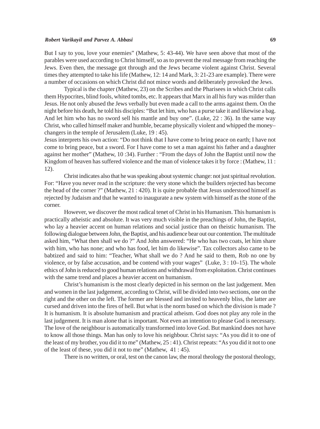#### *Robert Varikayil and Parvez A. Abbasi* **69**

But I say to you, love your enemies" (Mathew, 5: 43-44). We have seen above that most of the parables were used according to Christ himself, so as to prevent the real message from reaching the Jews. Even then, the message got through and the Jews became violent against Christ. Several times they attempted to take his life (Mathew, 12: 14 and Mark, 3: 21-23 are example). There were a number of occasions on which Christ did not mince words and deliberately provoked the Jews.

Typical is the chapter (Mathew, 23) on the Scribes and the Pharisees in which Christ calls them Hypocrites, blind fools, whited tombs, etc. It appears that Marx in all his fury was milder than Jesus. He not only abused the Jews verbally but even made a call to the arms against them. On the night before his death, he told his disciples: "But let him, who has a purse take it and likewise a bag. And let him who has no sword sell his mantle and buy one". (Luke, 22 : 36). In the same way Christ, who called himself maker and humble, became physically violent and whipped the money– changers in the temple of Jerusalem (Luke, 19 : 45).

Jesus interprets his own action: "Do not think that I have come to bring peace on earth; I have not come to bring peace, but a sword. For I have come to set a man against his father and a daughter against her mother" (Mathew, 10 :34). Further : "From the days of John the Baptist until now the Kingdom of heaven has suffered violence and the man of violence takes it by force : (Mathew, 11 : 12).

Christ indicates also that he was speaking about systemic change: not just spiritual revolution. For: "Have you never read in the scripture: the very stone which the builders rejected has become the head of the corner ?" (Mathew, 21 : 420). It is quite probable that Jesus understood himself as rejected by Judaism and that he wanted to inaugurate a new system with himself as the stone of the corner.

However, we discover the most radical tenet of Christ in his Humanism. This humanism is practically atheistic and absolute. It was very much visible in the preachings of John, the Baptist, who lay a heavier accent on human relations and social justice than on theistic humanism. The following dialogue between John, the Baptist, and his audience bear out our contention. The multitude asked him, "What then shall we do ?" And John answered: "He who has two coats, let him share with him, who has none; and who has food, let him do likewise". Tax collectors also came to be babtized and said to him: "Teacher, What shall we do ? And he said to them, Rob no one by violence, or by false accusation, and be contend with your wages" (Luke, 3 : 10–15). The whole ethics of John is reduced to good human relations and withdrawal from exploitation. Christ continues with the same trend and places a heavier accent on humanism.

Christ's humanism is the most clearly depicted in his sermon on the last judgement. Men and women in the last judgement, according to Christ, will be divided into two sections, one on the right and the other on the left. The former are blessed and invited to heavenly bliss, the latter are cursed and driven into the fires of hell. But what is the norm based on which the division is made ? It is humanism. It is absolute humanism and practical atheism. God does not play any role in the last judgement. It is man alone that is important. Not even an intention to please God is necessary. The love of the neighbour is automatically transformed into love God. But mankind does not have to know all those things. Man has only to love his neighbour. Christ says: "As you did it to one of the least of my brother, you did it to me" (Mathew, 25 : 41). Christ repeats: "As you did it not to one of the least of these, you did it not to me" (Mathew, 41 : 45).

There is no written, or oral, test on the canon law, the moral theology the postoral theology,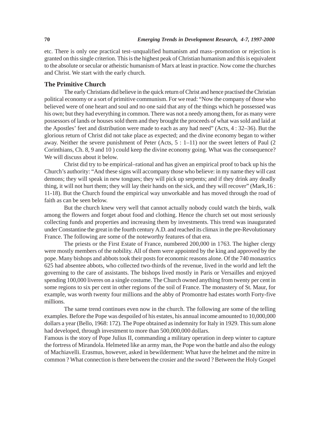etc. There is only one practical test–unqualified humanism and mass–promotion or rejection is granted on this single criterion. This is the highest peak of Christian humanism and this is equivalent to the absolute or secular or atheistic humanism of Marx at least in practice. Now come the churches and Christ. We start with the early church.

## **The Primitive Church**

The early Christians did believe in the quick return of Christ and hence practised the Christian political economy or a sort of primitive communism. For we read: "Now the company of those who believed were of one heart and soul and no one said that any of the things which he possessed was his own; but they had everything in common. There was not a needy among them, for as many were possessors of lands or houses sold them and they brought the proceeds of what was sold and laid at the Apostles' feet and distribution were made to each as any had need" (Acts, 4 : 32–36). But the glorious return of Christ did not take place as expected; and the divine economy began to wither away. Neither the severe punishment of Peter (Acts, 5 : 1–11) nor the sweet letters of Paul (2 Corinthians, Ch. 8, 9 and 10 ) could keep the divine economy going. What was the consequence? We will discuss about it below.

Christ did try to be empirical–rational and has given an empirical proof to back up his the Church's authority: "And these signs will accompany those who believe: in my name they will cast demons; they will speak in new tongues; they will pick up serpents; and if they drink any deadly thing, it will not hurt them; they will lay their hands on the sick, and they will recover" (Mark,16 : 11-18). But the Church found the empirical way unworkable and has moved through the road of faith as can be seen below.

But the church knew very well that cannot actually nobody could watch the birds, walk among the flowers and forget about food and clothing. Hence the church set out most seriously collecting funds and properties and increasing them by investments. This trend was inaugurated under Constantine the great in the fourth century A.D. and reached its climax in the pre-Revolutionary France. The following are some of the noteworthy features of that era.

The priests or the First Estate of France, numbered 200,000 in 1763. The higher clergy were mostly members of the nobility. All of them were appointed by the king and approved by the pope. Many bishops and abbots took their posts for economic reasons alone. Of the 740 monastrics 625 had absentee abbots, who collected two-thirds of the revenue, lived in the world and left the governing to the care of assistants. The bishops lived mostly in Paris or Versailles and enjoyed spending 100,000 liveres on a single costume. The Church owned anything from twenty per cent in some regions to six per cent in other regions of the soil of France. The monastery of St. Maur, for example, was worth twenty four millions and the abby of Promontre had estates worth Forty-five millions.

The same trend continues even now in the church. The following are some of the telling examples. Before the Pope was despoiled of his estates, his annual income amounted to 10,000,000 dollars a year (Bello, 1968: 172). The Pope obtained as indemnity for Italy in 1929. This sum alone had developed, through investment to more than 500,000,000 dollars.

Famous is the story of Pope Julius II, commanding a military operation in deep winter to capture the fortress of Mirandola. Helmeted like an army man, the Pope won the battle and also the eulogy of Machiavelli. Erasmus, however, asked in bewilderment: What have the helmet and the mitre in common ? What connection is there between the crosier and the sword ? Between the Holy Gospel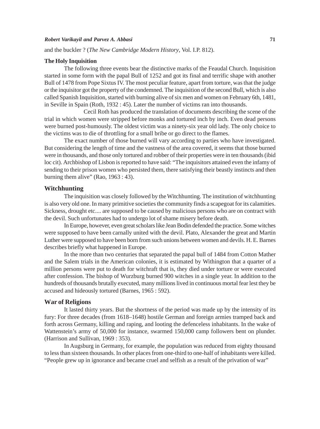#### *Robert Varikayil and Parvez A. Abbasi* **71**

and the buckler ? (*The New Cambridge Modern History*, Vol. I.P. 812).

#### **The Holy Inquisition**

The following three events bear the distinctive marks of the Feaudal Church. Inquisition started in some form with the papal Bull of 1252 and got its final and terrific shape with another Bull of 1478 from Pope Sixtus IV. The most peculiar feature, apart from torture, was that the judge or the inquisitor got the property of the condemned. The inquisition of the second Bull, which is also called Spanish Inquisition, started with burning alive of six men and women on February 6th, 1481, in Seville in Spain (Roth, 1932 : 45). Later the number of victims ran into thousands.

Cecil Roth has produced the translation of documents describing the scene of the trial in which women were stripped before monks and tortured inch by inch. Even dead persons were burned post-humously. The oldest victim was a ninety-six year old lady. The only choice to the victims was to die of throttling for a small bribe or go direct to the flames.

The exact number of those burned will vary according to parties who have investigated. But considering the length of time and the vastness of the area covered, it seems that those burned were in thousands, and those only tortured and robber of their properties were in ten thousands (ibid loc cit). Archbishop of Lisbon is reported to have said: "The inquisitors attained even the infamy of sending to their prison women who persisted them, there satisfying their beastly instincts and then burning them alive" (Rao, 1963 : 43).

## **Witchhunting**

The inquisition was closely followed by the Witchhunting. The institution of witchhunting is also very old one. In many primitive societies the community finds a scapegoat for its calamities. Sickness, drought etc.... are supposed to be caused by malicious persons who are on contract with the devil. Such unfortunates had to undergo lot of shame misery before death.

In Europe, however, even great scholars like Jean Bodin defended the practice. Some witches were supposed to have been carnally united with the devil. Plato, Alexander the great and Martin Luther were supposed to have been born from such unions between women and devils. H. E. Barnes describes briefly what happened in Europe.

In the more than two centuries that separated the papal bull of 1484 from Cotton Mather and the Salem trials in the American colonies, it is estimated by Withington that a quarter of a million persons were put to death for witchraft that is, they died under torture or were executed after confession. The bishop of Wurzburg burned 900 witches in a single year. In addition to the hundreds of thousands brutally executed, many millions lived in continuous mortal fear lest they be accused and hideously tortured (Barnes, 1965 : 592).

## **War of Religions**

It lasted thirty years. But the shortness of the period was made up by the intensity of its fury: For three decades (from 1618–1648) hostile German and foreign armies tramped back and forth across Germany, killing and raping, and looting the defenceless inhabitants. In the wake of Wattenstein's army of 50,000 for instance, swarmed 150,000 camp followers bent on plunder. (Harrison and Sullivan, 1969 : 353).

In Augsburg in Germany, for example, the population was reduced from eighty thousand to less than sixteen thousands. In other places from one-third to one-half of inhabitants were killed. "People grew up in ignorance and became cruel and selfish as a result of the privation of war"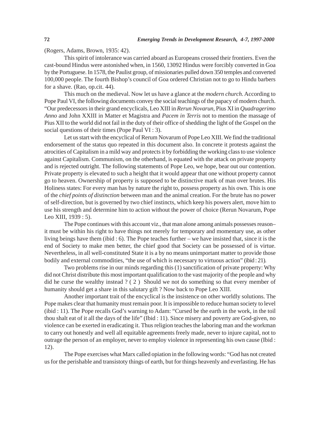(Rogers, Adams, Brown, 1935: 42).

This spirit of intolerance was carried aboard as Europeans crossed their frontiers. Even the cast-bound Hindus were astonished when, in 1560, 13092 Hindus were forcibly converted in Goa by the Portuguese. In 1578, the Paulist group, of missionaries pulled down 350 temples and converted 100,000 people. The fourth Bishop's council of Goa ordered Christian not to go to Hindu barbers for a shave. (Rao, op.cit. 44).

This much on the medieval. Now let us have a glance at the *modern church.* According to Pope Paul VI, the following documents convey the social teachings of the papacy of modern church. "Our predecessors in their grand encyclicals, Leo XIII in *Rerun Novarun*, Pius XI in *Quadragerimo Anno* and John XXIII in Matter et Magistra and *Pacem in Terris* not to mention the massage of Pius XII to the world did not fail in the duty of their office of shedding the light of the Gospel on the social questions of their times (Pope Paul VI : 3).

Let us start with the encyclical of Rerum Novarum of Pope Leo XIII. We find the traditional endorsement of the status quo repeated in this document also. In concrete it protests against the atrocities of Capitalism in a mild way and protects it by forbidding the working class to use violence against Capitalism. Communism, on the otherhand, is equated with the attack on private property and is rejected outright. The following statements of Pope Leo, we hope, bear out our contention. Private property is elevated to such a height that it would appear that one without property cannot go to heaven. Ownership of property is supposed to be distinctive mark of man over brutes. His Holiness states: For every man has by nature the right to, possess property as his own. This is one of the *chief points of distinction* between man and the animal creation. For the brute has no power of self-direction, but is governed by two chief instincts, which keep his powers alert, move him to use his strength and determine him to action without the power of choice (Rerun Novarum, Pope Leo XIII, 1939 : 5).

The Pope continues with this account viz., that man alone among animals possesses reason– it must be within his right to have things not merely for temporary and momentary use, as other living beings have them (ibid : 6). The Pope teaches further – we have insisted that, since it is the end of Society to make men better, the chief good that Society can be possessed of is virtue. Nevertheless, in all well-constituted State it is a by no means unimportant matter to provide those bodily and external commodities, "the use of which is necessary to virtuous action" (ibid : 21).

Two problems rise in our minds regarding this (1) sanctification of private property: Why did not Christ distribute this most important qualification to the vast majority of the people and why did he curse the wealthy instead ? ( 2 ) Should we not do something so that every member of humanity should get a share in this salutary gift ? Now back to Pope Leo XIII.

Another important trait of the encyclical is the insistence on other worldly solutions. The Pope makes clear that humanity must remain poor. It is impossible to reduce human society to level (ibid : 11). The Pope recalls God's warning to Adam: "Cursed be the earth in the work, in the toil thou shalt eat of it all the days of the life" (Ibid : 11). Since misery and poverty are God-given, no violence can be exerted in eradicating it. Thus religion teaches the laboring man and the workman to carry out honestly and well all equitable agreements freely made, never to injure capital, not to outrage the person of an employer, never to employ violence in representing his own cause (Ibid : 12).

The Pope exercises what Marx called opiation in the following words: "God has not created us for the perishable and transistoty things of earth, but for things heavenly and everlasting. He has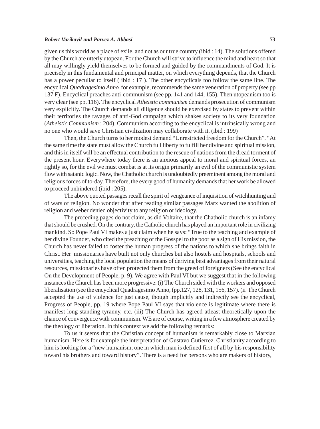#### *Robert Varikayil and Parvez A. Abbasi* **73**

given us this world as a place of exile, and not as our true country (ibid : 14). The solutions offered by the Church are utterly utopean. For the Church will strive to influence the mind and heart so that all may willingly yield themselves to be formed and guided by the commandments of God. It is precisely in this fundamental and principal matter, on which everything depends, that the Church has a power peculiar to itself ( ibid : 17 ). The other encyclicals too follow the same line. The encyclical *Quadragesimo Anno* for example, recommends the same veneration of property (see pp 137 F). Encyclical preaches anti-communism (see pp. 141 and 144, 155). Then utopeanism too is very clear (see pp. 116). The encyclical *Atheistic communism* demands prosecution of communism very explicitly. The Church demands all diligence should be exercised by states to prevent within their territories the ravages of anti-God campaign which shakes society to its very foundation (*Atheistic Communism* : 204). Communism according to the encyclical is intrinsically wrong and no one who would save Christian civilization may collaborate with it. (ibid : 199)

Then, the Church turns to her modest demand "Unrestricted freedom for the Church". "At the same time the state must allow the Church full liberty to fulfill her divine and spiritual mission, and this in itself will be an effectual contribution to the rescue of nations from the dread torment of the present hour. Everywhere today there is an anxious appeal to moral and spiritual forces, an rightly so, for the evil we must combat is at its origin primarily an evil of the communistic system flow with satanic logic. Now, the Chatholic church is undoubtedly preeminent among the moral and religious forces of to-day. Therefore, the every good of humanity demands that her work be allowed to proceed unhindered (ibid : 205).

The above quoted passages recall the spirit of vengeance of inquisition of witchhunting and of wars of religion. No wonder that after reading similar passages Marx wanted the abolition of religion and weber denied objectivity to any religion or ideology.

The preceding pages do not claim, as did Voltaire, that the Chatholic church is an infamy that should be crushed. On the contrary, the Catholic church has played an important role in civilizing mankind. So Pope Paul VI makes a just claim when he says: "True to the teaching and example of her divine Founder, who cited the preaching of the Gosspel to the poor as a sign of His mission, the Church has never failed to foster the human progress of the nations to which she brings faith in Christ. Her missionaries have built not only churches but also hostels and hospitals, schools and universities, teaching the local population the means of deriving best advantages from their natural resources, missionaries have often protected them from the greed of foreigners (See the encyclical On the Development of People, p. 9). We agree with Paul VI but we suggest that in the following instances the Church has been more progressive: (i) The Church sided with the workers and opposed liberalisation (see the encyclical Quadragesimo Anno, (pp.127, 128, 131, 156, 157). (ii The Church accepted the use of violence for just cause, though implicitly and indirectly see the encyclical, Progress of People, pp. 19 where Pope Paul VI says that violence is legitimate where there is manifest long-standing tyranny, etc. (iii) The Church has agreed atleast theoretically upon the chance of convergence with communism. WE are of course, writing in a few atmosphere created by the theology of liberation. In this context we add the following remarks:

To us it seems that the Christian concept of humanism is remarkably close to Marxian humanism. Here is for example the interpretation of Gustavo Gutierrez. Christianity according to him is looking for a "new humanism, one in which man is defined first of all by his responsibility toward his brothers and toward history". There is a need for persons who are makers of history,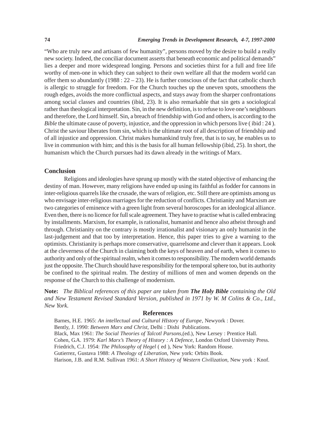"Who are truly new and artisans of few humanity", persons moved by the desire to build a really new society. Indeed, the conciliar document asserts that beneath economic and political demands" lies a deeper and more widespread longing. Persons and societies thirst for a full and free life worthy of men-one in which they can subject to their own welfare all that the modern world can offer them so abundantly (1988 :  $22 - 23$ ). He is further conscious of the fact that catholic church is allergic to struggle for freedom. For the Church touches up the uneven spots, smoothens the rough edges, avoids the more conflictual aspects, and stays away from the sharper confrontations among social classes and countries (ibid, 23). It is also remarkable that sin gets a sociological rather than theological interpretation. Sin, in the new definition, is to refuse to love one's neighbours and therefore, the Lord himself. Sin, a breach of friendship with God and others, is according to the *Bible* the ultimate cause of poverty, injustice, and the oppression in which persons live (ibid: 24). Christ the saviour liberates from sin, which is the ultimate root of all description of friendship and of all injustice and oppression. Christ makes humankind truly free, that is to say, he enables us to live in communion with him; and this is the basis for all human fellowship (ibid, 25). In short, the humanism which the Church pursues had its dawn already in the writings of Marx.

## **Conclusion**

Religions and ideologies have sprung up mostly with the stated objective of enhancing the destiny of man. However, many religions have ended up using its faithful as fodder for cannons in inter-religious quarrels like the crusade, the wars of religion, etc. Still there are optimists among us who envisage inter-religious marriages for the reduction of conflicts. Christianity and Marxism are two categories of eminence with a green light from several horoscopes for an ideological alliance. Even then, there is no licence for full scale agreement. They have to practise what is called embracing by installments. Marxism, for example, is rationalist, humanist and hence also atheist through and through. Christianity on the contrary is mostly irrationalist and visionary an only humanist in the last-judgement and that too by interpretation. Hence, this paper tries to give a warning to the optimists. Christianity is perhaps more conservative, quarrelsome and clever than it appears. Look at the cleverness of the Church in claiming both the keys of heaven and of earth, when it comes to authority and only of the spiritual realm, when it comes to responsibility. The modern world demands just the opposite. The Church should have responsibility for the temporal sphere too, but its authority be confined to the spiritual realm. The destiny of millions of men and women depends on the response of the Church to this challenge of modernism.

**Note:** *The Biblical references of this paper are taken from The Holy Bible containing the Old and New Testament Revised Standard Version, published in 1971 by W. M Colins & Co., Ltd., New York.*

## **References**

Barnes, H.E. 1965: *An intellectual and Cultural HIstory of Europe*, Newyork : Dover. Bently, J. 1990: *Between Marx and Christ*, Delhi : Dishi Publications. Black, Max 1961: *The Social Theories of Talcotl Parsons*,(ed.), New Lersey : Prentice Hall. Cohen, G.A. 1979: *Karl Marx's Theory of History : A Defence,* London Oxford University Press. Friedrich, C.J. 1954: *The Philosophy of Hegel* ( ed ), New York: Random House. Gutierrez, Gustava 1988: *A Theology of Liberation*, New york: Orbits Book. Harison, J.B. and R.M. Sullivan 1961: *A Short History of Western Civilization*, New york : Knof.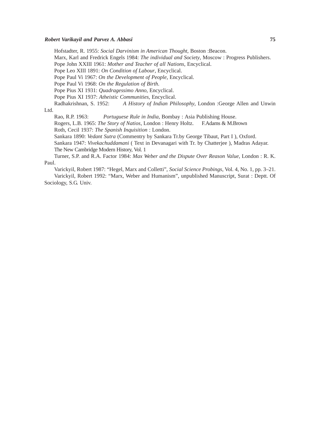#### *Robert Varikayil and Parvez A. Abbasi* **75**

Hofstadter, R. 1955: *Social Darvinism in American Thought*, Boston :Beacon.

Marx, Karl and Fredrick Engels 1984: *The individual and Society*, Moscow : Progress Publishers.

Pope John XXIII 1961: *Mother and Teacher of all Nations*, Encyclical.

Pope Leo XIII 1891: *On Condition of Labour*, Encyclical.

Pope Paul Vi 1967: *On the Development of People*, Encyclical.

Pope Paul Vi 1968: *On the Regulation of Birth*.

Pope Pius XI 1931: *Quadragessimo Anno*, Encyclical.

Pope Pius XI 1937: *Atheistic Communities*, Encyclical.

Radhakrishnan, S. 1952: *A History of Indian Philosophy*, London :George Allen and Unwin

# Ltd.

Rao, R.P. 1963: *Portuguese Rule in India*, Bombay : Asia Publishing House.

Rogers, L.B. 1965: *The Story of Natios*, London : Henry Holtz. F.Adams & M.Brown Roth, Cecil 1937: *The Spanish Inquisition* : London.

Sankara 1890: *Vedant Sutra* (Commentry by Sankara Tr.by George Tibaut, Part I ), Oxford.

Sankara 1947: *Vivekachuddamani* ( Text in Devanagari with Tr. by Chatterjee ), Madras Adayar. The New Cambridge Modern History, Vol. 1

Turner, S.P. and R.A. Factor 1984: *Max Weber and the Dispute Over Reason Value*, London : R. K. Paul.

Varickyil, Robert 1987: "Hegel, Marx and Colletti", *Social Science Probings*, Vol. 4, No. 1, pp. 3–21. Varickyil, Robert 1992: "Marx, Weber and Humanism", unpublished Manuscript, Surat : Deptt. Of Sociology, S.G. Univ.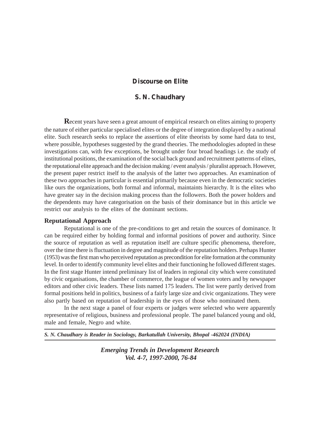## **Discourse on Elite**

# **S. N. Chaudhary**

**R**ecent years have seen a great amount of empirical research on elites aiming to property the nature of either particular specialised elites or the degree of integration displayed by a national elite. Such research seeks to replace the assertions of elite theorists by some hard data to test, where possible, hypotheses suggested by the grand theories. The methodologies adopted in these investigations can, with few exceptions, be brought under four broad headings i.e. the study of institutional positions, the examination of the social back ground and recruitment patterns of elites, the reputational elite approach and the decision making / event analysis / pluralist approach. However, the present paper restrict itself to the analysis of the latter two approaches. An examination of these two approaches in particular is essential primarily because even in the democratic societies like ours the organizations, both formal and informal, maintaints hierarchy. It is the elites who have greater say in the decision making process than the followers. Both the power holders and the dependents may have categorisation on the basis of their dominance but in this article we restrict our analysis to the elites of the dominant sections.

## **Reputational Approach**

Reputational is one of the pre-conditions to get and retain the sources of dominance. It can be required either by holding formal and informal positions of power and authority. Since the source of reputation as well as reputation itself are culture specific phenomena, therefore, over the time there is fluctuation in degree and magnitude of the reputation holders. Perhaps Hunter (1953) was the first man who perceived reputation as precondition for elite formation at the community level. In order to identify community level elites and their functioning he followed different stages. In the first stage Hunter intend preliminary list of leaders in regional city which were constituted by civic organisations, the chamber of commerce, the league of women voters and by newspaper editors and other civic leaders. These lists named 175 leaders. The list were partly derived from formal positions held in politics, business of a fairly large size and civic organizations. They were also partly based on reputation of leadership in the eyes of those who nominated them.

In the next stage a panel of four experts or judges were selected who were apparently representative of religious, business and professional people. The panel balanced young and old, male and female, Negro and white.

*S. N. Chaudhary is Reader in Sociology, Barkatullah University, Bhopal -462024 (INDIA)*

*Emerging Trends in Development Research Vol. 4-7, 1997-2000, 76-84*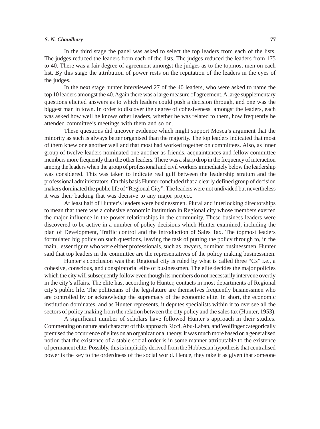#### *S. N. Chaudhary* **77**

In the third stage the panel was asked to select the top leaders from each of the lists. The judges reduced the leaders from each of the lists. The judges reduced the leaders from 175 to 40. There was a fair degree of agreement amongst the judges as to the topmost men on each list. By this stage the attribution of power rests on the reputation of the leaders in the eyes of the judges.

In the next stage hunter interviewed 27 of the 40 leaders, who were asked to name the top 10 leaders amongst the 40. Again there was a large measure of agreement. A large supplementary questions elicited answers as to which leaders could push a decision through, and one was the biggest man in town. In order to discover the degree of cohesiveness amongst the leaders, each was asked how well he knows other leaders, whether he was related to them, how frequently he attended committee's meetings with them and so on.

These questions did uncover evidence which might support Mosca's argument that the minority as such is always better organised than the majority. The top leaders indicated that most of them knew one another well and that most had worked together on committees. Also, as inner group of twelve leaders nominated one another as friends, acquaintances and fellow committee members more frequently than the other leaders. There was a sharp drop in the frequency of interaction among the leaders when the group of professional and civil workers immediately below the leadership was considered. This was taken to indicate real gulf between the leadership stratum and the professional administrators. On this basis Hunter concluded that a clearly defined group of decision makers dominated the public life of "Regional City". The leaders were not undivided but nevertheless it was their backing that was decisive to any major project.

At least half of Hunter's leaders were businessmen. Plural and interlocking directorships to mean that there was a cohesive economic institution in Regional city whose members exerted the major influence in the power relationships in the community. These business leaders were discovered to be active in a number of policy decisions which Hunter examined, including the plan of Development, Traffic control and the introduction of Sales Tax. The topmost leaders formulated big policy on such questions, leaving the task of putting the policy through to, in the main, lesser figure who were either professionals, such as lawyers, or minor businessmen. Hunter said that top leaders in the committee are the representatives of the policy making businessmen.

Hunter's conclusion was that Regional city is ruled by what is called three "Cs" i.e., a cohesive, conscious, and conspiratorial elite of businessmen. The elite decides the major policies which the city will subsequently follow even though its members do not necessarily intervene overtly in the city's affairs. The elite has, according to Hunter, contacts in most departments of Regional city's public life. The politicians of the legislature are themselves frequently businessmen who are controlled by or acknowledge the supremacy of the economic elite. In short, the economic institution dominates, and as Hunter represents, it deputes specialists within it to oversee all the sectors of policy making from the relation between the city policy and the sales tax (Hunter, 1953).

A significant number of scholars have followed Hunter's approach in their studies. Commenting on nature and character of this approach Ricci, Abu-Laban, and Wolfinger categorically premised the occurrence of elites on an organizational theory. It was much more based on a generalised notion that the existence of a stable social order is in some manner attributable to the existence of permanent elite. Possibly, this is implicitly derived from the Hobbesian hypothesis that centralised power is the key to the orderdness of the social world. Hence, they take it as given that someone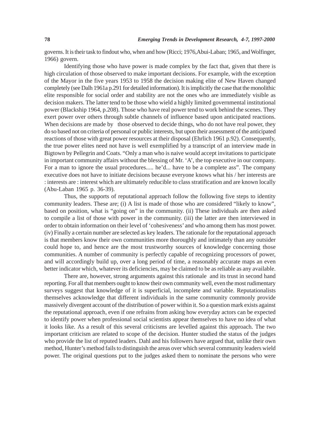governs. It is their task to findout who, when and how (Ricci; 1976,Abui-Laban; 1965, and Wolfinger, 1966) govern.

Identifying those who have power is made complex by the fact that, given that there is high circulation of those observed to make important decisions. For example, with the exception of the Mayor in the five years 1953 to 1958 the decision making elite of New Haven changed completely (see Dalh 1961a p.291 for detailed information). It is implicitly the case that the monolithic elite responsible for social order and stability are not the ones who are immediately visible as decision makers. The latter tend to be those who wield a highly limited governmental institutional power (Blackship 1964, p.208). Those who have real power tend to work behind the scenes. They exert power over others through subtle channels of influence based upon anticipated reactions. When decisions are made by those observed to decide things, who do not have real power, they do so based not on criteria of personal or public interests, but upon their assessment of the anticipated reactions of those with great power resources at their disposal (Ehrlich 1961 p.92). Consequently, the true power elites need not have is well exemplified by a transcript of an interview made in Bigtown by Pellegrin and Coats. "Only a man who is naive would accept invitations to participate in important community affairs without the blessing of Mr. 'A', the top executive in our company. For a man to ignore the usual procedures..... he'd... have to be a complete ass". The company executive does not have to initiate decisions because everyone knows what his / her interests are : interests are : interest which are ultimately reducible to class stratification and are known locally (Abu-Laban 1965 p. 36-39).

Thus, the supports of reputational approach follow the following five steps to identity community leaders. These are; (i) A list is made of those who are considered "likely to know", based on position, what is "going on" in the community. (ii) These individuals are then asked to compile a list of those with power in the community. (iii) the latter are then interviewed in order to obtain information on their level of 'cohesiveness' and who among them has most power. (iv) Finally a certain number are selected as key leaders. The rationale for the reputational approach is that members know their own communities more thoroughly and intimately than any outsider could hope to, and hence are the most trustworthy sources of knowledge concerning those communities. A number of community is perfectly capable of recognizing processors of power, and will accordingly build up, over a long period of time, a reasonably accurate maps an even better indicator which, whatever its deficiencies, may be claimed to be as reliable as any available.

There are, however, strong arguments against this rationale and its trust in second hand reporting. For all that members ought to know their own community well, even the most rudimentary surveys suggest that knowledge of it is superficial, incomplete and variable. Reputationalists themselves acknowledge that different individuals in the same community commonly provide massively divergent account of the distribution of power within it. So a question mark exists against the reputational approach, even if one refrains from asking how everyday actors can be expected to identify power when professional social scientists appear themselves to have no idea of what it looks like. As a result of this several criticisms are levelled against this approach. The two important criticism are related to scope of the decision. Hunter studied the status of the judges who provide the list of reputed leaders. Dahl and his followers have argued that, unlike their own method, Hunter's method fails to distinguish the areas over which several community leaders wield power. The original questions put to the judges asked them to nominate the persons who were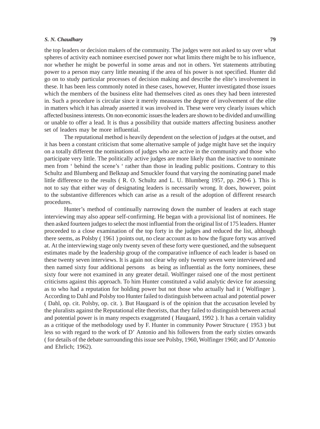#### *S. N. Chaudhary* **79**

the top leaders or decision makers of the community. The judges were not asked to say over what spheres of activity each nominee exercised power nor what limits there might be to his influence, nor whether he might be powerful in some areas and not in others. Yet statements attributing power to a person may carry little meaning if the area of his power is not specified. Hunter did go on to study particular processes of decision making and describe the elite's involvement in these. It has been less commonly noted in these cases, however, Hunter investigated those issues which the members of the business elite had themselves cited as ones they had been interested in. Such a procedure is circular since it merely measures the degree of involvement of the elite in matters which it has already asserted it was involved in. These were very clearly issues which affected business interests. On non-economic issues the leaders are shown to be divided and unwilling or unable to offer a lead. It is thus a possibility that outside matters affecting business another set of leaders may be more influential.

The reputational method is heavily dependent on the selection of judges at the outset, and it has been a constant criticism that some alternative sample of judge might have set the inquiry on a totally different the nominations of judges who are active in the community and those who participate very little. The politically active judges are more likely than the inactive to nominate men from ' behind the scene's ' rather than those in leading public positions. Contrary to this Schultz and Blumberg and Belknap and Smuckler found that varying the nominating panel made little difference to the results ( R. O. Schultz and L. U. Blumberg 1957, pp. 290-6 ). This is not to say that either way of designating leaders is necessarily wrong. It does, however, point to the substantive differences which can arise as a result of the adoption of different research procedures.

Hunter's method of continually narrowing down the number of leaders at each stage interviewing may also appear self-confirming. He began with a provisional list of nominees. He then asked fourteen judges to select the most influential from the original list of 175 leaders. Hunter proceeded to a close examination of the top forty in the judges and reduced the list, although there seems, as Polsby ( 1961 ) points out, no clear account as to how the figure forty was arrived at. At the interviewing stage only twenty seven of these forty were questioned, and the subsequent estimates made by the leadership group of the comparative influence of each leader is based on these twenty seven interviews. It is again not clear why only twenty seven were interviewed and then named sixty four additional persons as being as influential as the forty nominees, these sixty four were not examined in any greater detail. Wolfinger raised one of the most pertinent criticisms against this approach. To him Hunter constituted a valid analytic device for assessing as to who had a reputation for holding power but not those who actually had it ( Wolfinger ). According to Dahl and Polsby too Hunter failed to distinguish between actual and potential power ( Dahl, op. cit. Polsby, op. cit. ). But Haugaard is of the opinion that the accusation leveled by the pluralists against the Reputational elite theorists, that they failed to distinguish between actual and potential power is in many respects exaggerated ( Haugaard, 1992 ). It has a certain validity as a critique of the methodology used by F. Hunter in community Power Structure ( 1953 ) but less so with regard to the work of D' Antonio and his followers from the early sixties onwards ( for details of the debate surrounding this issue see Polsby, 1960, Wolfinger 1960; and D' Antonio and Ehrlich; 1962).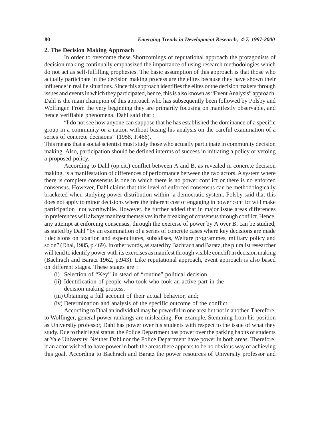#### **2. The Decision Making Approach**

In order to overcome these Shortcomings of reputational approach the protagonists of decision making continually emphasized the importance of using research methodologies which do not act as self-fulfilling prophesies. The basic assumption of this approach is that those who actually participate in the decision making process are the elites because they have shown their influence in real lie situations. Since this approach identifies the elites or the decision makers through issues and events in which they participated, hence, this is also known as "Event Analysis" approach. Dahl is the main champion of this approach who has subsequently been followed by Polsby and Wolfinger. From the very beginning they are primarily focusing on manifestly observable, and hence verifiable phenomena. Dahl said that :

"I do not see how anyone can suppose that he has established the dominance of a specific group in a community or a nation without basing his analysis on the careful examination of a series of concrete decisions" (1958, P.466).

This means that a social scientist must study those who actually participate in community decision making. Also, participation should be defined interms of success in initiating a policy or vetoing a proposed policy.

According to Dahl (op.cit.) conflict between A and B, as revealed in concrete decision making, is a manifestation of differences of performance between the two actors. A system where there is complete consensus is one in which there is no power conflict or there is no enforced consensus. However, Dahl claims that this level of enforced consensus can be methodologically bracketed when studying power distribution within a democratic system. Polsby said that this does not apply to minor decisions where the inherent cost of engaging in power conflict will make participation not worthwhile. However, he further added that in major issue areas differences in preferences will always manifest themselves in the breaking of consensus through conflict. Hence, any attempt at enforcing consensus, through the exercise of power by A over B, can be studied, as stated by Dahl "by an examination of a series of concrete cases where key decisions are made : decisions on taxation and expenditures, subsidises, Welfare programmes, military policy and so on" (Dhal, 1985, p.469). In other words, as stated by Bachrach and Baratz, the pluralist researcher will tend to identify power with its exercises as manifest through visible conclift in decision making (Bachrach and Baratz 1962, p.943). Like reputational approach, event approach is also based on different stages. These stages are :

- (i) Selection of "Key" in stead of "routine" political decision.
- (ii) Identification of people who took who took an active part in the decision making process.
- (iii) Obtaining a full account of their actual behavior, and;
- (iv) Determination and analysis of the specific outcome of the conflict.

According to Dhal an individual may be powerful in one area but not in another. Therefore, to Wolfinger, general power rankings are misleading. For example, Stemming from his position as University professor, Dahl has power over his students with respect to the issue of what they study. Due to their legal status, the Police Department has power over the parking habits of students at Yale University. Neither Dahl nor the Police Department have power in both areas. Therefore, if an actor wished to have power in both the areas there appears to be no obvious way of achieving this goal. According to Bachrach and Baratz the power resources of University professor and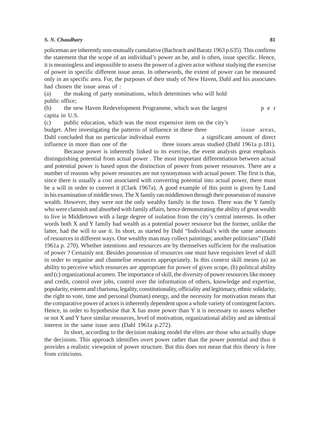#### *S. N. Chaudhary* 81

policeman are inherently non-mutually cumulative (Bachrach and Baratz 1963 p.635). This confirms the statement that the scope of an individual's power an be, and is often, issue specific. Hence, it is meaningless and impossible to assess the power of a given actor without studying the exercise of power in specific different issue areas. In otherwords, the extent of power can be measured only in an specific area. For, the purposes of their study of New Haven, Dahl and his associates had chosen the issue areas of :

(a) the making of party nominations, which determines who will hold public office;

(b) the new Haven Redevelopment Programme, which was the largest p e r capita in U.S.

(c) public education, which was the most expensive item on the city's budget. After investigating the patterns of influence in these three issue areas, Dahl concluded that no particular individual exerts a significant amount of direct influence in more than one of the three issues areas studied (Dahl 1961a p.181). Because power is inherently linked to its exercise, the event analysts great emphasis distinguishing potential from actual power . The most important differentiation between actual and potential power is based upon the distinction of power from power resources. There are a number of reasons why power resources are not synonymous with actual power. The first is that, since there is usually a cost associated with converting potential into actual power, there must be a will in order to convert it (Clark 1967a). A good example of this point is given by Land in his examination of middle town. The X family ran middletown through their possession of massive wealth. However, they were not the only wealthy family in the town. There was the Y family who were clannish and absorbed with family affairs, hence demonstrating the ability of great wealth to live in Middletown with a large degree of isolation from the city's central interests. In other words both X and Y family had wealth as a potential power resource but the former, unlike the latter, had the will to use it. In short, as started by Dahl "Individual's with the same amounts of resources in different ways. One wealthy man may collect paintings; another politicians" (Dahl 1961a p. 270). Whether intentions and resources are by themselves sufficient for the realisation of power ? Certainly not. Besides possession of resources one must have requisites level of skill in order to organise and channelise resources appropriately. In this context skill means (a) an ability to perceive which resources are appropriate for power of given scope, (b) political ability and (c) organizational acumen. The importance of skill, the diversity of power resources like money and credit, control over jobs, control over the information of others, knowledge and expertise, popularity, esteem and charisma, legality, constitutionality, officiality and legitimacy, ethnic solidarity, the right to vote, time and personal (human) energy, and the necessity for motivation means that the comparative power of actors is inherently dependent upon a whole variety of contingent factors. Hence, in order to hypothesise that  $X$  has more power than  $Y$  it is necessary to assess whether or not X and Y have similar resources, level of motivation, organizational ability and an identical interest in the same issue area (Dahl 1961a p.272).

In short, according to the decision making model the elites are those who actually shape the decisions. This approach identifies overt power rather than the power potential and thus it provides a realistic viewpoint of power structure. But this does not mean that this theory is free from criticisms.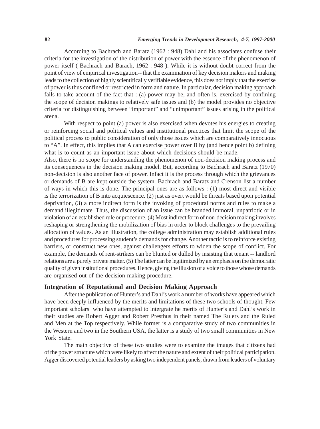According to Bachrach and Baratz (1962 : 948) Dahl and his associates confuse their criteria for the investigation of the distribution of power with the essence of the phenomenon of power itself ( Bachrach and Barach, 1962 : 948 ). While it is without doubt correct from the point of view of empirical investigation-- that the examination of key decision makers and making leads to the collection of highly scientifically verifiable evidence, this does not imply that the exercise of power is thus confined or restricted in form and nature. In particular, decision making approach fails to take account of the fact that : (a) power may be, and often is, exercised by confining the scope of decision makings to relatively safe issues and (b) the model provides no objective criteria for distinguishing between "important" and "unimportant" issues arising in the political arena.

With respect to point (a) power is also exercised when devotes his energies to creating or reinforcing social and political values and institutional practices that limit the scope of the political process to public consideration of only those issues which are comparatively innocuous to "A". In effect, this implies that A can exercise power over B by (and hence point b) defining what is to count as an important issue about which decisions should be made.

Also, there is no scope for understanding the phenomenon of non-decision making process and its consequences in the decision making model. But, according to Bachrach and Baratz (1970) non-decision is also another face of power. Infact it is the process through which the grievances or demands of B are kept outside the system. Bachrach and Baratz and Crenson list a number of ways in which this is done. The principal ones are as follows : (1) most direct and visible is the terrorization of B into acquiescence. (2) just as overt would be threats based upon potential deprivation, (3) a more indirect form is the invoking of procedural norms and rules to make a demand illegitimate. Thus, the discussion of an issue can be branded immoral, unpatriotic or in violation of an established rule or procedure. (4) Most indirect form of non-decision making involves reshaping or strengthening the mobilization of bias in order to block challenges to the prevailing allocation of values. As an illustration, the college administration may establish additional rules and procedures for processing student's demands for change. Another tactic is to reinforce existing barriers, or construct new ones, against challengers efforts to widen the scope of conflict. For example, the demands of rent-strikers can be blunted or dulled by insisting that tenant -- landlord relations are a purely private matter. (5) The latter can be legitimized by an emphasis on the democratic quality of given institutional procedures. Hence, giving the illusion of a voice to those whose demands are organised out of the decision making procedure.

# **Integration of Reputational and Decision Making Approach**

After the publication of Hunter's and Dahl's work a number of works have appeared which have been deeply influenced by the merits and limitations of these two schools of thought. Few important scholars who have attempted to intergrate he merits of Hunter's and Dahl's work in their studies are Robert Agger and Robert Presthus in their named The Rulers and the Ruled and Men at the Top respectively. While former is a comparative study of two communities in the Western and two in the Southern USA, the latter is a study of two small communities in New York State.

The main objective of these two studies were to examine the images that citizens had of the power structure which were likely to affect the nature and extent of their political participation. Agger discovered potential leaders by asking two independent panels, drawn from leaders of voluntary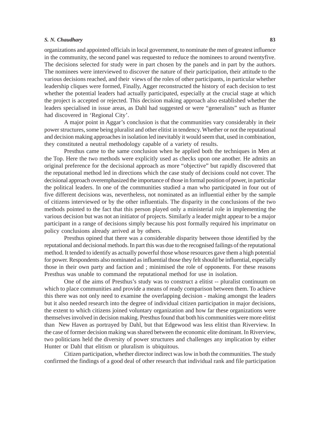#### *S. N. Chaudhary* **83**

organizations and appointed officials in local government, to nominate the men of greatest influence in the community, the second panel was requested to reduce the nominees to around twentyfive. The decisions selected for study were in part chosen by the panels and in part by the authors. The nominees were interviewed to discover the nature of their participation, their attitude to the various decisions reached, and their views of the roles of other participants, in particular whether leadership cliques were formed, Finally, Agger reconstructed the history of each decision to test whether the potential leaders had actually participated, especially at the crucial stage at which the project is accepted or rejected. This decision making approach also established whether the leaders specialised in issue areas, as Dahl had suggested or were "generalists" such as Hunter had discovered in 'Regional City'.

A major point in Aggar's conclusion is that the communities vary considerably in their power structures, some being pluralist and other elitist in tendency. Whether or not the reputational and decision making approaches in isolation led inevitably it would seem that, used in combination, they constituted a neutral methodology capable of a variety of results.

Presthus came to the same conclusion when he applied both the techniques in Men at the Top. Here the two methods were explicitly used as checks upon one another. He admits an original preference for the decisional approach as more "objective" but rapidly discovered that the reputational method led in directions which the case study of decisions could not cover. The decisional approach overemphasized the importance of those in formal position of power, in particular the political leaders. In one of the communities studied a man who participated in four out of five different decisions was, nevertheless, not nominated as an influential either by the sample of citizens interviewed or by the other influentials. The disparity in the conclusions of the two methods pointed to the fact that this person played only a ministerial role in implementing the various decision but was not an initiator of projects. Similarly a leader might appear to be a major participant in a range of decisions simply because his post formally required his imprimatur on policy conclusions already arrived at by others.

Presthus opined that there was a considerable disparity between those identified by the reputational and decisional methods. In part this was due to the recognised failings of the reputational method. It tended to identify as actually powerful those whose resources gave them a high potential for power. Respondents also nominated as influential those they felt should be influential, especially those in their own party and faction and ; minimised the role of opponents. For these reasons Presthus was unable to command the reputational method for use in isolation.

One of the aims of Presthus's study was to construct a elitist -- pluralist continuum on which to place communities and provide a means of ready comparison between them. To achieve this there was not only need to examine the overlapping decision - making amongst the leaders but it also needed research into the degree of individual citizen participation in major decisions, the extent to which citizens joined voluntary organization and how far these organizations were themselves involved in decision making. Presthus found that both his communities were more elitist than New Haven as portrayed by Dahl, but that Edgewood was less elitist than Riverview. In the case of former decision making was shared between the economic elite dominant. In Riverview, two politicians held the diversity of power structures and challenges any implication by either Hunter or Dahl that elitism or pluralism is ubiquitous.

Citizen participation, whether director indirect was low in both the communities. The study confirmed the findings of a good deal of other research that individual rank and file participation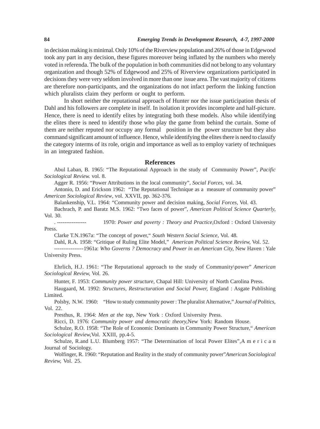in decision making is minimal. Only 10% of the Riverview population and 26% of those in Edgewood took any part in any decision, these figures moreover being inflated by the numbers who merely voted in referenda. The bulk of the population in both communities did not belong to any voluntary organization and though 52% of Edgewood and 25% of Riverview organizations participated in decisions they were very seldom involved in more than one issue area. The vast majority of citizens are therefore non-participants, and the organizations do not infact perform the linking function which pluralists claim they perform or ought to perform.

In short neither the reputational approach of Hunter nor the issue participation thesis of Dahl and his followers are complete in itself. In isolation it provides incomplete and half-picture. Hence, there is need to identify elites by integrating both these models. Also while identifying the elites there is need to identify those who play the game from behind the curtain. Some of them are neither reputed nor occupy any formal position in the power structure but they also command significant amount of influence. Hence, while identifying the elites there is need to classify the category interms of its role, origin and importance as well as to employ variety of techniques in an integrated fashion.

## **References**

Abul Laban, B. 1965: "The Reputational Approach in the study of Community Power", *Pacific Sociological Review.* vol. 8.

Agger R. 1956: "Power Attributions in the local community", *Social Forces,* vol. 34.

Antonio, D. and Erickson 1962: "The Reputational Technique as a measure of community power" *American Sociological Review*, vol. XXVII, pp. 362-376.

Balankenship, V.L. 1964: "Community power and decision making, *Social Forces*, Vol. 43.

Bachrach, P. and Baratz M.S. 1962: "Two faces of power", *American Political Science Quarterly,* Vol. 30.

. ---------------- 1970: *Power and poverty : Theory and Practice,*Oxford : Oxford University Press.

Clarke T.N.1967a: "The concept of power," *South Western Social Science,* Vol. 48.

Dahl, R.A. 1958: "Gritique of Ruling Elite Model," *American Political Science Review,* Vol. 52.

----------------1961a: *Who Governs ? Democracy and Power in an American City,* New Haven : Yale University Press.

Ehrlich, H.J. 1961: "The Reputational approach to the study of Community\power" *American Sociological Review,* Vol. 26.

Hunter, F. 1953: *Community power structure,* Chapal Hill: University of North Carolina Press.

Haugaard, M. 1992: *Structures, Restructuration and Social Power,* England : Asgate Publishing Limited.

Polsby, N.W. 1960: "How to study community power : The pluralist Alternative," *Journal of Politics,* Vol. 22.

Presthus, R. 1964: *Men at the top,* New York : Oxford University Press.

Ricci, D. 1976: *Community power and democratic theory,*New York: Random House.

Schulze, R.O. 1958: "The Role of Economic Dominants in Community Power Structure," *American Sociological Review,*Vol. XXIII, pp.4-5.

Schulze, R.and L.U. Blumberg 1957: "The Determination of local Power Elites", A m e r i c a n Journal of Sociology.

Wolfinger, R. 1960: "Reputation and Reality in the study of community power"*American Sociological Review,* Vol. 25.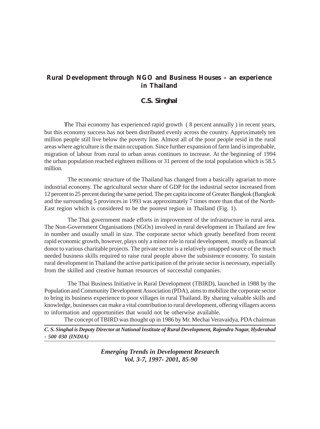# **Rural Development through NGO and Business Houses – an experience in Thailand**

# *C.S. Singhal*

**T**he Thai economy has experienced rapid growth ( 8 percent annually ) in recent years, but this economy success has not been distributed evenly across the country. Approximately ten million people still live below the poverty line. Almost all of the poor people resid in the rural areas where agriculture is the main occupation. Since further expansion of farm land is improbable, migration of labour from rural to urban areas continues to increase. At the beginning of 1994 the urban population reached eighteen millions or 31 percent of the total population which is 58.5 million.

The economic structure of the Thailand has changed from a basically agrarian to more industrial economy. The agricultural sector share of GDP for the industrial sector increased from 12 percent to 25 percent during the same period. The per capita income of Greater Bangkok (Bangkok and the surrounding 5 provinces in 1993 was approximately 7 times more than that of the North-East region which is considered to be the poorest region in Thailand (Fig. 1).

The Thai government made efforts in improvement of the infrastructure in rural area. The Non-Government Organisations (NGOs) involved in rural development in Thailand are few in number and usually small in size. The corporate sector which greatly benefited from recent rapid economic growth, however, plays only a minor role in rural development, mostly as financial donor to various charitable projects. The private sector is a relatively untapped source of the much needed business skills required to raise rural people above the subsistence economy. To sustain rural development in Thailand the active participation of the private sector is necessary, especially from the skilled and creative human resources of successful companies.

The Thai Business Initiative in Rural Development (TBIRD), launched in 1988 by the Population and Community Development Association (PDA), aims to mobilize the corporate sector to bring its business experience to poor villages in rural Thailand. By sharing valuable skills and knowledge, businesses can make a vital contribution to rural development, offering villagers access to information and opportunities that would not be otherwise available.

The concept of TBIRD was thought up in 1986 by Mr. Mechai Veravaidya, PDA chairman

*C. S. Singhal is Deputy Director at National Institute of Rural Development, Rajendra Nagar, Hyderabad - 500 030 (INDIA)*

> *Emerging Trends in Development Research Vol. 3-7, 1997- 2001, 85-90*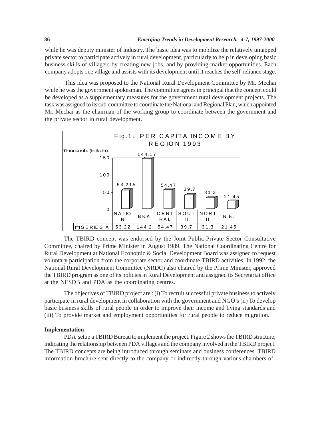while he was deputy minister of industry. The basic idea was to mobilize the relatively untapped private sector to participate actively in rural development, particularly to help in developing basic business skills of villagers by creating new jobs, and by providing market opportunities. Each company adopts one village and assists with its development until it reaches the self-reliance stage.

This idea was proposed to the National Rural Development Committee by Mr. Mechai while he was the government spokesman. The committee agrees in principal that the concept could be developed as a supplementary measures for the government rural development projects. The task was assigned to its sub-committee to coordinate the National and Regional Plan, which appointed Mr. Mechai as the chairman of the working group to coordinate between the government and the private sector in rural development.



The TBIRD concept was endorsed by the Joint Public-Private Sector Consultative Committee, chaired by Prime Minister in August 1989. The National Coordinating Centre for Rural Development at National Economic & Social Development Board was assigned to request voluntary participation from the corporate sector and coordinate TBIRD activities. In 1992, the National Rural Development Committee (NRDC) also chaired by the Prime Minister, approved the TBIRD program as one of its policies in Rural Development and assigned its Secretariat office at the NESDB and PDA as the coordinating centres.

The objectives of TBIRD project are : (i) To recruit successful private business to actively participate in rural development in collaboration with the government and NGO's (ii) To develop basic business skills of rural people in order to improve their income and living standards and (iii) To provide market and employment opportunities for rural people to reduce migration.

#### **Implementation**

PDA setup a TBIRD Bureau to implement the project. Figure 2 shows the TBIRD structure, indicating the relationship between PDA villages and the company involved in the TBIRD project. The TBIRD concepts are being introduced through seminars and business conferences. TBIRD information brochure sent directly to the company or indirectly through various chambers of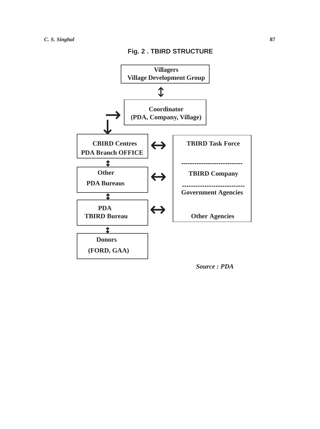

*Source : PDA*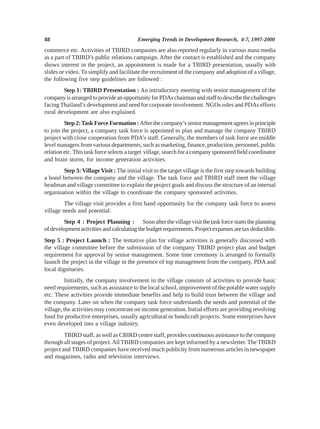commerce etc. Activities of TBIRD companies are also reported regularly in various mass media as a part of TBIRD's public relations campaign. After the contact is established and the company shows interest in the project, an appointment is made for a TBIRD presentation, usually with slides or video. To simplify and facilitate the recruitment of the company and adoption of a village, the following five step guidelines are followed :

**Step 1: TBIRD Presentation :** An introductory meeting with senior management of the company is arranged to provide an opportunity for PDAs chairman and staff to describe the challenges facing Thailand's development and need for corporate involvement. NGOs roles and PDAs efforts rural development are also explained.

**Step 2: Task Force Formation :** After the company's senior management agrees in principle to join the project, a company task force is appointed to plan and manage the company TBIRD project with close cooperation from PDA's staff. Generally, the members of task force are middle level managers from various departments, such as marketing, finance, production, personnel, public relation etc. This task force selects a target village, search for a company sponsored field coordinator and brain storm, for income generation activities.

**Step 3: Village Visit :** The initial visit to the target village is the first step towards building a bond between the company and the village. The task force and TBIRD staff meet the village headman and village committee to explain the project goals and discuss the structure of an internal organisation within the village to coordinate the company sponsored activities.

The village visit provides a first hand opportunity for the company task force to assess village needs and potential.

**Step 4 : Project Planning :** Soon after the village visit the task force starts the planning of development activities and calculating the budget requirements. Project expanses are tax deductible.

**Step 5 : Project Launch :** The tentative plan for village activities is generally discussed with the village committee before the submission of the company TBIRD project plan and budget requirement for approval by senior management. Some time ceremony is arranged to formally launch the project in the village in the presence of top management from the company, PDA and local dignitaries.

Initially, the company involvement in the village consists of activities to provide basic need requirements, such as assistance to the local school, improvement of the potable water supply etc. These activities provide immediate benefits and help to build trust between the village and the company. Later on when the company task force understands the needs and potential of the village, the activities may concentrate on income generation. Initial efforts are providing revolving fund for productive enterprises, usually agricultural or handicraft projects. Some enterprises have even developed into a village industry.

TBIRD staff, as well as CBIRD centre staff, provides continuous assistance to the company through all stages of project. All TBIRD companies are kept informed by a newsletter. The TBIRD project and TBIRD companies have received much publicity from numerous articles in newspaper and magazines, radio and television interviews.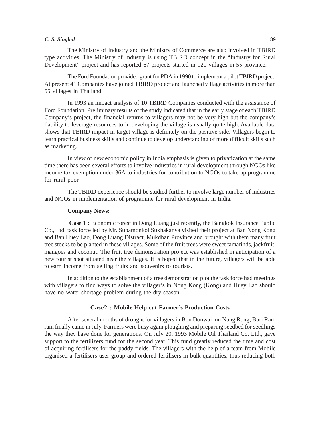#### *C. S. Singhal* **89**

The Ministry of Industry and the Ministry of Commerce are also involved in TBIRD type activities. The Ministry of Industry is using TBIRD concept in the "Industry for Rural Development" project and has reported 67 projects started in 120 villages in 55 province.

The Ford Foundation provided grant for PDA in 1990 to implement a pilot TBIRD project. At present 41 Companies have joined TBIRD project and launched village activities in more than 55 villages in Thailand.

In 1993 an impact analysis of 10 TBIRD Companies conducted with the assistance of Ford Foundation. Preliminary results of the study indicated that in the early stage of each TBIRD Company's project, the financial returns to villagers may not be very high but the company's liability to leverage resources to in developing the village is usually quite high. Available data shows that TBIRD impact in target village is definitely on the positive side. Villagers begin to learn practical business skills and continue to develop understanding of more difficult skills such as marketing.

In view of new economic policy in India emphasis is given to privatization at the same time there has been several efforts to involve industries in rural development through NGOs like income tax exemption under 36A to industries for contribution to NGOs to take up programme for rural poor.

The TBIRD experience should be studied further to involve large number of industries and NGOs in implementation of programme for rural development in India.

#### **Company News:**

**Case 1 :** Economic forest in Dong Luang just recently, the Bangkok Insurance Public Co., Ltd. task force led by Mr. Supamonkol Sukhakanya visited their project at Ban Nong Kong and Ban Huey Lao, Dong Luang Distract, Mukdhan Province and brought with them many fruit tree stocks to be planted in these villages. Some of the fruit trees were sweet tamarinds, jackfruit, mangoes and coconut. The fruit tree demonstration project was established in anticipation of a new tourist spot situated near the villages. It is hoped that in the future, villagers will be able to earn income from selling fruits and souvenirs to tourists.

In addition to the establishment of a tree demonstration plot the task force had meetings with villagers to find ways to solve the villager's in Nong Kong (Kong) and Huey Lao should have no water shortage problem during the dry season.

## **Case2 : Mobile Help cut Farmer's Production Costs**

After several months of drought for villagers in Bon Donwai inn Nang Rong, Buri Ram rain finally came in July. Farmers were busy again ploughing and preparing seedbed for seedlings the way they have done for generations. On July 20, 1993 Mobile Oil Thailand Co. Ltd., gave support to the fertilizers fund for the second year. This fund greatly reduced the time and cost of acquiring fertilisers for the paddy fields. The villagers with the help of a team from Mobile organised a fertilisers user group and ordered fertilisers in bulk quantities, thus reducing both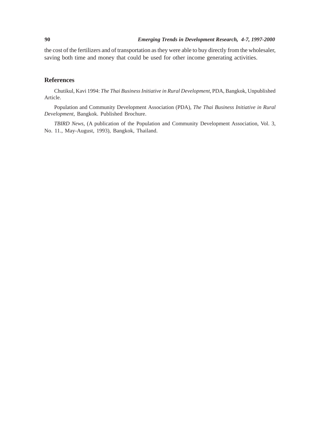the cost of the fertilizers and of transportation as they were able to buy directly from the wholesaler, saving both time and money that could be used for other income generating activities.

## **References**

Chutikul, Kavi 1994: *The Thai Business Initiative in Rural Development*, PDA, Bangkok, Unpublished Article.

Population and Community Development Association (PDA), *The Thai Business Initiative in Rural Development*, Bangkok. Published Brochure.

*TBIRD News*, (A publication of the Population and Community Development Association, Vol. 3, No. 11., May-August, 1993), Bangkok, Thailand.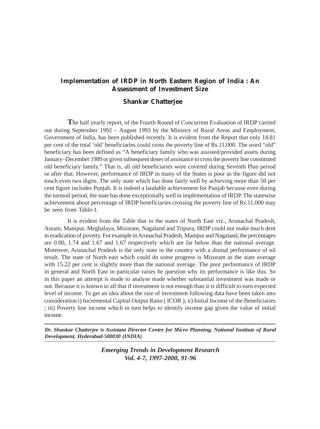# **Implementation of IRDP in North Eastern Region of India : An Assessment of Investment Size**

# **Shankar Chatterjee**

**T**he half yearly report, of the Fourth Round of Concurrent Evaluation of IRDP carried out during September 1992 – August 1993 by the Ministry of Rural Areas and Employment, Government of India, has been published recently. It is evident from the Report that only 14.81 per cent of the total 'old' beneficiaries could cross the poverty line of Rs.11,000. The word "old" beneficiary has been defined as "A beneficiary family who was assisted/provided assets during January–December 1989 or given subsequent doses of assistance to cross the poverty line constituted old beneficiary family." That is, all old beneficiaries were covered during Seventh Plan period or after that. However, performance of IRDP in many of the States is poor as the figure did not touch even two digits. The only state which has done fairly well by achieving more than 50 per cent figure includes Punjab. It is indeed a laudable achievement for Punjab because even during the turmoil period, the state has done exceptionally well in implementation of IRDP. The statewise achievement about percentage of IRDP beneficiaries crossing the poverty line of Rs.11,000 may be seen from Table-1.

It is evident from the Table that in the states of North East viz., Arunachal Pradesh, Assam, Manipur, Meghalaya, Mizoram, Nagaland and Tripura, IRDP could not make much dent in eradication of poverty. For example in Arunachal Pradesh, Manipur and Nagaland, the percentages are 0.00, 1.74 and 1.67 and 1.67 respectively which are far below than the national average. Moreover, Arunachal Pradesh is the only state in the country with a dismal performance of nil result. The state of North east which could do some progress is Mizoram as the state average with 15.22 per cent is slightly more than the national average. The poor performance of IRDP in general and North East in particular raises he question why its performance is like this. So in this paper an attempt is made to analyse made whether substantial investment was made or not. Because it is known to all that if investment is not enough than it is difficult to earn expected level of income. To get an idea about the size of investment following data have been taken into consideration i) Incremental Capital Output Ratio ( ICOR ); ii) Initial Income of the Beneficiaries ; iii) Poverty line income which in turn helps to identify income gap given the value of initial income.

*Dr. Shankar Chatterjee is Assistant Director Centre for Micro Planning, National Institute of Rural Development, Hyderabad-500030 (INDIA)*

> *Emerging Trends in Development Research Vol. 4-7, 1997-2000, 91-96*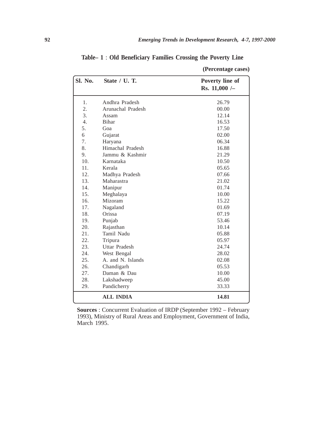| Sl. No.          | State / U.T.         | Poverty line of |
|------------------|----------------------|-----------------|
|                  |                      | Rs. $11,000$ /- |
| 1.               | Andhra Pradesh       | 26.79           |
| 2.               | Arunachal Pradesh    | 00.00           |
| 3.               | Assam                | 12.14           |
| $\overline{4}$ . | <b>Bihar</b>         | 16.53           |
| 5.               | Goa                  | 17.50           |
| 6                | Gujarat              | 02.00           |
| 7.               | Haryana              | 06.34           |
| 8.               | Himachal Pradesh     | 16.88           |
| 9.               | Jammu & Kashmir      | 21.29           |
| 10.              | Karnataka            | 10.50           |
| 11.              | Kerala               | 05.65           |
| 12.              | Madhya Pradesh       | 07.66           |
| 13.              | Maharastra           | 21.02           |
| 14.              | Manipur              | 01.74           |
| 15.              | Meghalaya            | 10.00           |
| 16.              | Mizoram              | 15.22           |
| 17.              | Nagaland             | 01.69           |
| 18.              | Orissa               | 07.19           |
| 19.              | Punjab               | 53.46           |
| 20.              | Rajasthan            | 10.14           |
| 21.              | Tamil Nadu           | 05.88           |
| 22.              | Tripura              | 05.97           |
| 23.              | <b>Uttar Pradesh</b> | 24.74           |
| 24.              | West Bengal          | 28.02           |
| 25.              | A. and N. Islands    | 02.08           |
| 26.              | Chandigarh           | 05.53           |
| 27.              | Daman & Dau          | 10.00           |
| 28.              | Lakshadweep          | 45.00           |
| 29.              | Pandicherry          | 33.33           |
|                  | <b>ALL INDIA</b>     | 14.81           |

**Table– 1** : **Old Beneficiary Families Crossing the Poverty Line**

**Sources** : Concurrent Evaluation of IRDP (September 1992 – February 1993), Ministry of Rural Areas and Employment, Government of India, March 1995.

**(Percentage cases)**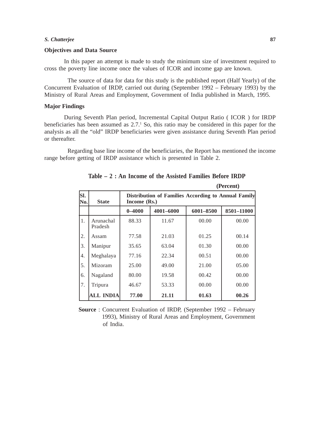#### *S. Chatterjee* **87**

#### **Objectives and Data Source**

In this paper an attempt is made to study the minimum size of investment required to cross the poverty line income once the values of ICOR and income gap are known.

The source of data for data for this study is the published report (Half Yearly) of the Concurrent Evaluation of IRDP, carried out during (September 1992 – February 1993) by the Ministry of Rural Areas and Employment, Government of India published in March, 1995.

#### **Major Findings**

During Seventh Plan period, Incremental Capital Output Ratio ( ICOR ) for IRDP beneficiaries has been assumed as  $2.7<sup>1</sup>$  So, this ratio may be considered in this paper for the analysis as all the "old" IRDP beneficiaries were given assistance during Seventh Plan period or thereafter.

Regarding base line income of the beneficiaries, the Report has mentioned the income range before getting of IRDP assistance which is presented in Table 2.

| SI.<br>No. | <b>State</b>         | Distribution of Families According to Annual Family<br>Income (Rs.) |           |           |            |  |
|------------|----------------------|---------------------------------------------------------------------|-----------|-----------|------------|--|
|            |                      | $0 - 4000$                                                          | 4001-6000 | 6001-8500 | 8501-11000 |  |
| 1.         | Arunachal<br>Pradesh | 88.33                                                               | 11.67     | 00.00     | 00.00      |  |
| 2.         | Assam                | 77.58                                                               | 21.03     | 01.25     | 00.14      |  |
| 3.         | Manipur              | 35.65                                                               | 63.04     | 01.30     | 00.00      |  |
| 4.         | Meghalaya            | 77.16                                                               | 22.34     | 00.51     | 00.00      |  |
| 5.         | Mizoram              | 25.00                                                               | 49.00     | 21.00     | 05.00      |  |
| 6.         | Nagaland             | 80.00                                                               | 19.58     | 00.42     | 00.00      |  |
| 7.         | Tripura              | 46.67                                                               | 53.33     | 00.00     | 00.00      |  |
|            | <b>ALL INDIA</b>     | 77.00                                                               | 21.11     | 01.63     | 00.26      |  |

**Table – 2 : An Income of the Assisted Families Before IRDP**

**(Percent)**

**Source** : Concurrent Evaluation of IRDP, (September 1992 – February 1993), Ministry of Rural Areas and Employment, Government of India.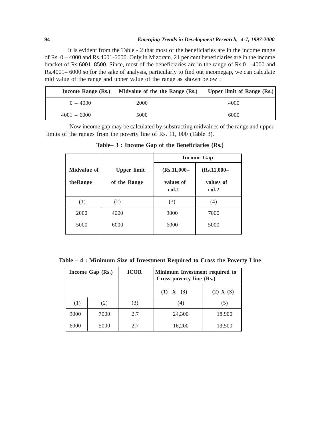It is evident from the Table - 2 that most of the beneficiaries are in the income range of Rs. 0 – 4000 and Rs.4001-6000. Only in Mizoram, 21 per cent beneficiaries are in the income bracket of Rs.6001–8500. Since, most of the beneficiaries are in the range of Rs.0 – 4000 and Rs.4001– 6000 so for the sake of analysis, particularly to find out incomegap, we can calculate mid value of the range and upper value of the range as shown below :

|               | Income Range (Rs.) Midvalue of the the Range (Rs.) | Upper limit of Range $(Rs.)$ |
|---------------|----------------------------------------------------|------------------------------|
| $0 - 4000$    | 2000                                               | 4000                         |
| $4001 - 6000$ | 5000                                               | 6000                         |

Now income gap may be calculated by substracting midvalues of the range and upper limits of the ranges from the poverty line of Rs. 11, 000 (Table 3).

|                         |                                    | <b>Income Gap</b>                    |                                      |
|-------------------------|------------------------------------|--------------------------------------|--------------------------------------|
| Midvalue of<br>theRange | <b>Upper limit</b><br>of the Range | $(Rs.11,000 -$<br>values of<br>col.1 | $(Rs.11,000 -$<br>values of<br>col.2 |
| (1)                     | (2)                                | (3)                                  | (4)                                  |
| 2000                    | 4000                               | 9000                                 | 7000                                 |
| 5000                    | 6000                               | 6000                                 | 5000                                 |

**Table– 3 : Income Gap of the Beneficiaries (Rs.)**

**Table – 4 : Minimum Size of Investment Required to Cross the Poverty Line**

|      | Income Gap (Rs.) | <b>ICOR</b> | Minimum Investment required to<br>Cross poverty line (Rs.) |           |
|------|------------------|-------------|------------------------------------------------------------|-----------|
|      |                  |             | $(1)$ X $(3)$                                              | (2) X (3) |
| (1)  | (2)              | (3)         | (4)                                                        | (5)       |
| 9000 | 7000             | 2.7         | 24,300                                                     | 18,900    |
| 6000 | 5000             | 2.7         | 16,200                                                     | 13,500    |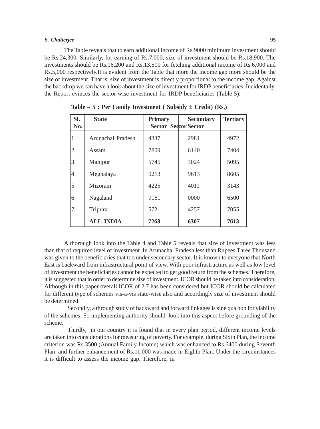#### *S. Chatterjee* **95**

The Table reveals that to earn additional income of Rs.9000 minimum investment should be Rs.24,300. Similarly, for earning of Rs.7,000, size of investment should be Rs.18,900. The investments should be Rs.16,200 and Rs.13,500 for fetching additional income of Rs.6,000 and Rs.5,000 respectively.It is evident from the Table that more the income gap more should be the size of investment. That is, size of investment is directly proportional to the income gap. Against the backdrop we can have a look about the size of investment for IRDP beneficiaries. Incidentally, the Report evinces the sector-wise investment for IRDP beneficiaries (Table 5).

| SI.<br>No. | <b>State</b>      | <b>Primary</b><br><b>Sector Sector Sector</b> | <b>Secondary</b> | <b>Tertiary</b> |
|------------|-------------------|-----------------------------------------------|------------------|-----------------|
| 1.         | Arunachal Pradesh | 4337                                          | 2981             | 4972            |
| 2.         | Assam             | 7809                                          | 6140             | 7404            |
| 3.         | Manipur           | 5745                                          | 3024             | 5095            |
| 4.         | Meghalaya         | 9213                                          | 9613             | 8605            |
| 5.         | Mizoram           | 4225                                          | 4011             | 3143            |
| 6.         | Nagaland          | 9161                                          | 0000             | 6500            |
| 7.         | Tripura           | 5721                                          | 4257             | 7055            |
|            | <b>ALL INDIA</b>  | 7268                                          | 6307             | 7613            |

**Table – 5 : Per Family Investment ( Subsidy ± Credit) (Rs.)**

A thorough look into the Table 4 and Table 5 reveals that size of investment was less than that of required level of investment. In Arunachal Pradesh less than Rupees Three Thousand was given to the beneficiaries that too under secondary sector. It is known to everyone that North East is backward from infrastructural point of view. With poor infrastructure as well as low level of investment the beneficiaries cannot be expected to get good return from the schemes. Therefore, it is suggested that in order to determine size of investment, ICOR should be taken into consideration. Although in this paper overall ICOR of 2.7 has been considered but ICOR should be calculated for different type of schemes vis-a-vis state-wise also and accordingly size of investment should be determined.

Secondly, a through study of backward and forward linkages is sine qua non for viability of the schemes. So implementing authority should look into this aspect before grounding of the scheme.

Thirdly, in our country it is found that in every plan period, different income levels are taken into considerations for measuring of poverty. For example, during Sixth Plan, the income criterion was Rs.3500 (Annual Family Income) which was enhanced to Rs.6400 during Seventh Plan and further enhancement of Rs.11,000 was made in Eighth Plan. Under the circumstances it is difficult to assess the income gap. Therefore, in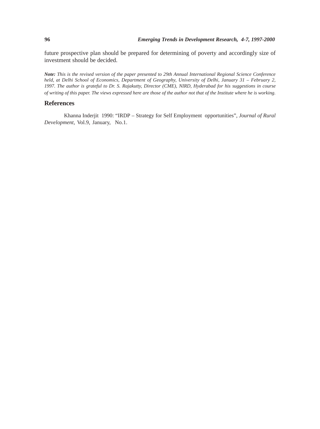future prospective plan should be prepared for determining of poverty and accordingly size of investment should be decided.

*Note: This is the revised version of the paper presented to 29th Annual International Regional Science Conference held, at Delhi School of Economics, Department of Geography, University of Delhi, January 31 – February 2, 1997. The author is grateful to Dr. S. Rajakutty, Director (CME), NIRD, Hyderabad for his suggestions in course of writing of this paper. The views expressed here are those of the author not that of the Institute where he is working.*

## **References**

Khanna Inderjit 1990: "IRDP – Strategy for Self Employment opportunities", *Journal of Rural Development*, Vol.9, January, No.1.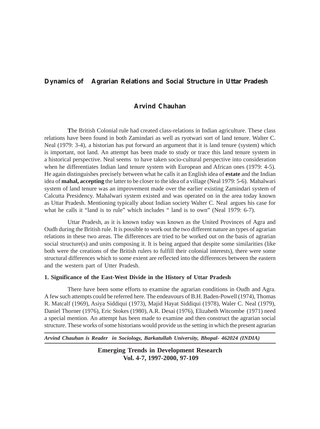# **Dynamics of Agrarian Relations and Social Structure in Uttar Pradesh**

# **Arvind Chauhan**

**T**he British Colonial rule had created class-relations in Indian agriculture. These class relations have been found in both Zamindari as well as ryotwari sort of land tenure. Walter C. Neal (1979: 3-4), a historian has put forward an argument that it is land tenure (system) which is important, not land. An attempt has been made to study or trace this land tenure system in a historical perspective. Neal seems to have taken socio-cultural perspective into consideration when he differentiates Indian land tenure system with European and African ones (1979: 4-5). He again distinguishes precisely between what he calls it an English idea of **estate** and the Indian idea of **mahal, accepting** the latter to be closer to the idea of a village (Neal 1979: 5-6). Mahalwari system of land tenure was an improvement made over the earlier existing Zamindari system of Calcutta Presidency. Mahalwari system existed and was operated on in the area today known as Uttar Pradesh. Mentioning typically about Indian society Walter C. Neal argues his case for what he calls it "land is to rule" which includes " land is to own" (Neal 1979: 6-7).

Uttar Pradesh, as it is known today was known as the United Provinces of Agra and Oudh during the British rule. It is possible to work out the two different nature an types of agrarian relations in these two areas. The differences are tried to be worked out on the basis of agrarian social structure(s) and units composing it. It is being argued that despite some similarities (like both were the creations of the British rulers to fulfill their colonial interests), there were some structural differences which to some extent are reflected into the differences between the eastern and the western part of Utter Pradesh.

## **1. Significance of the East-West Divide in the History of Uttar Pradesh**

There have been some efforts to examine the agrarian conditions in Oudh and Agra. A few such attempts could be referred here. The endeavours of B.H. Baden-Powell (1974), Thomas R. Matcalf (1969), Asiya Siddiqui (1973), Majid Hayat Siddiqui (1978), Waler C. Neal (1979), Daniel Thorner (1976), Eric Stokes (1980), A.R. Desai (1976), Elizabeth Witcombe (1971) need a special mention. An attempt has been made to examine and then construct the agrarian social structure. These works of some historians would provide us the setting in which the present agrarian

*Arvind Chauhan is Reader in Sociology, Barkatullah University, Bhopal- 462024 (INDIA)*

**Emerging Trends in Development Research Vol. 4-7, 1997-2000, 97-109**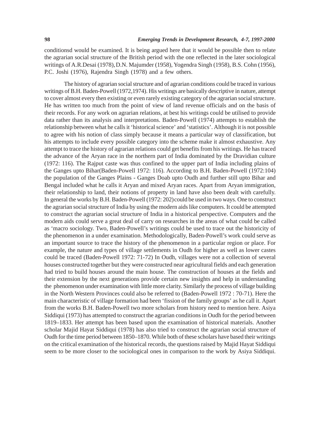conditionsd would be examined. It is being argued here that it would be possible then to relate the agrarian social structure of the British period with the one reflected in the later sociological writings of A.R.Desai (1978),D.N. Majumder (1958), Yogendra Singh (1958), B.S. Cohn (1956), P.C. Joshi (1976), Rajendra Singh (1978) and a few others.

The history of agrarian social structure and of agrarian conditions could be traced in various writings of B.H. Baden-Powell (1972,1974). His writings are basically descriptive in nature, attempt to cover almost every then existing or even rarely existing category of the agrarian social structure. He has written too much from the point of view of land revenue officials and on the basis of their records. For any work on agrarian relations, at best his writings could be utilised to provide data rather than its analysis and interpretations. Baden-Powell (1974) attempts to establish the relationship between what he calls it 'historical science' and 'statistics'. Although it is not possible to agree with his notion of class simply because it means a particular way of classification, but his attempts to include every possible category into the scheme make it almost exhaustive. Any attempt to trace the history of agrarian relations could get benefits from his writings. He has traced the advance of the Aryan race in the northern part of India dominated by the Dravidian culture (1972: 116). The Rajput caste was thus confined to the upper part of India including plains of the Ganges upto Bihar(Baden-Powell 1972: 116). According to B.H. Baden-Powell (1972:104) the population of the Ganges Plains - Ganges Doab upto Oudh and further still upto Bihar and Bengal included what he calls it Aryan and mixed Aryan races. Apart from Aryan immigration, their relationship to land, their notions of property in land have also been dealt with carefully. In general the works by B.H. Baden-Powell (1972: 202) could be used in two ways. One to construct the agrarian social structure of India by using the modern aids like computers. It could be attempted to construct the agrarian social structure of India in a historical perspective. Computers and the modern aids could serve a great deal of carry on researches in the areas of what could be called as 'macro sociology. Two, Baden-Powell's writings could be used to trace out the historicity of the phenomenon in a under examination. Methodologically, Baden-Powell's work could serve as an important source to trace the history of the phenomenon in a particular region or place. For example, the nature and types of village settlements in Oudh for higher as well as lower castes could be traced (Baden-Powell 1972: 71-72) In Oudh, villages were not a collection of several houses constructed together but they were constructed near agricultural fields and each generation had tried to build houses around the main house. The construction of houses at the fields and their extension by the next generations provide certain new insights and help in understanding the phenomenon under examination with little more clarity. Similarly the process of village building in the North Western Provinces could also be referred to (Baden-Powell 1972 : 70-71). Here the main characteristic of village formation had been 'fission of the family groups' as he call it. Apart from the works B.H. Baden-Powell two more scholars from history need to mention here. Asiya Siddiqui (1973) has attempted to construct the agrarian conditions in Oudh for the period between 1819–1833. Her attempt has been based upon the examination of historical materials. Another scholar Majid Hayat Siddiqui (1978) has also tried to construct the agrarian social structure of Oudh for the time period between 1850–1870. While both of these scholars have based their writings on the critical examination of the historical records, the questions raised by Majid Hayat Siddiqui seem to be more closer to the sociological ones in comparison to the work by Asiya Siddiqui.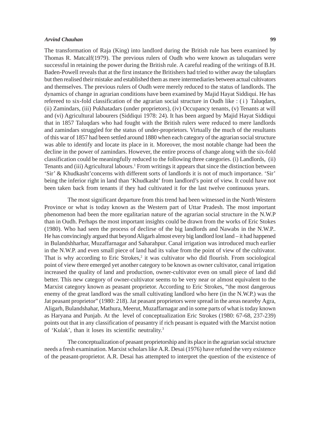#### *Arvind Chauhan* **99**

The transformation of Raja (King) into landlord during the British rule has been examined by Thomas R. Matcalf(1979). The previous rulers of Oudh who were known as taluqudars were successful in retaining the power during the British rule. A careful reading of the writings of B.H. Baden-Powell reveals that at the first instance the Britishers had tried to wither away the taluqdars but then realised their mistake and established them as mere intermediaries between actual cultivators and themselves. The previous rulers of Oudh were merely reduced to the status of landlords. The dynamics of change in agrarian conditions have been examined by Majid Hayat Siddiqui. He has refereed to six-fold classification of the agrarian social structure in Oudh like :  $(i)$  Taluqdars, (ii) Zamindars, (iii) Pukhatadars (under proprietors), (iv) Occupancy tenants, (v) Tenants at will and (vi) Agricultural labourers (Siddiqui 1978: 24). It has been argued by Majid Hayat Siddiqui that in 1857 Taluqdars who had fought with the British rulers were reduced to mere landlords and zamindars struggled for the status of under-proprietors. Virtually the much of the resultants of this war of 1857 had been settled around 1880 when each category of the agrarian social structure was able to identify and locate its place in it. Moreover, the most notable change had been the decline in the power of zamindars. However, the entire process of change along with the six-fold classification could be meaningfully reduced to the following three categories. (i) Landlords, (ii) Tenants and (iii) Agricultural labours.<sup>1</sup> From writings it appears that since the distinction between 'Sir' & Khudkasht'concerns with different sorts of landlords it is not of much importance. 'Sir' being the inferior right in land than 'Khudkasht' from landlord's point of view. It could have not been taken back from tenants if they had cultivated it for the last twelve continuous years.

The most significant departure from this trend had been witnessed in the North Western Province or what is today known as the Western part of Uttar Pradesh. The most important phenomenon had been the more egalitarian nature of the agrarian social structure in the N.W.P than in Oudh. Perhaps the most important insights could be drawn from the works of Eric Stokes (1980). Who had seen the process of declirse of the big landlords and Nawabs in the N.W.P.. He has convincingly argued that beyond Aligarh almost every big landlord lost land – it had happened in Bulandshharhar, Muzaffarnagar and Saharahpur. Canal irrigation was introduced much earlier in the N.W.P. and even small piece of land had its value from the point of view of the cultivator. That is why according to Eric Strokes,<sup>2</sup> it was cultivator who did flourish. From sociological point of view there emerged yet another category to be known as owner cultivator, canal irrigation increased the quality of land and production, owner-cultivator even on small piece of land did better. This new category of owner-cultivator seems to be very near or almost equivalent to the Marxist category known as peasant proprietor. According to Eric Strokes, "the most dangerous enemy of the great landlord was the small cultivating landlord who here (in the N.W.P.) was the Jat peasant proprietor" (1980: 218). Jat peasant proprietors were spread in the areas neareby Agra, Aligarh, Bulandshahar, Mathura, Meerut, Muzaffarnagar and in some parts of what is today known as Haryana and Punjab. At the level of conceptualization Eric Strokes (1980: 67-68, 237-239) points out that in any classification of peasantry if rich peasant is equated with the Marxist notion of 'Kulak', than it loses its scientific neutrality.3

The conceptualization of peasant proprietorship and its place in the agrarian social structure needs a fresh examination. Marxist scholars like A.R. Desai (1976) have refuted the very existence of the peasant-proprietor. A.R. Desai has attempted to interpret the question of the existence of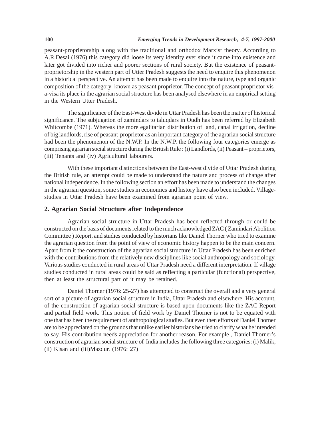peasant-proprietorship along with the traditional and orthodox Marxist theory. According to A.R.Desai (1976) this category did loose its very identity ever since it came into existence and later got divided into richer and poorer sections of rural society. But the existence of peasantproprietorship in the western part of Utter Pradesh suggests the need to enquire this phenomenon in a historical perspective. An attempt has been made to enquire into the nature, type and organic composition of the category known as peasant proprietor. The concept of peasant proprietor visa-visa its place in the agrarian social structure has been analysed elsewhere in an empirical setting in the Western Utter Pradesh.

The significance of the East-West divide in Uttar Pradesh has been the matter of historical significance. The subjugation of zamindars to taluqdars in Oudh has been referred by Elizabeth Whitcombe (1971). Whereas the more egalitarian distribution of land, canal irrigation, decline of big landlords, rise of peasant-proprietor as an important category of the agrarian social structure had been the phenomenon of the N.W.P. In the N.W.P. the following four categories emerge as comprising agrarian social structure during the British Rule : (i) Landlords, (ii) Peasant – proprietors, (iii) Tenants and (iv) Agricultural labourers.

With these important distinctions between the East-west divide of Uttar Pradesh during the British rule, an attempt could be made to understand the nature and process of change after national independence. In the following section an effort has been made to understand the changes in the agrarian question, some studies in economics and history have also been included. Villagestudies in Uttar Pradesh have been examined from agrarian point of view.

## **2. Agrarian Social Structure after Independence**

Agrarian social structure in Uttar Pradesh has been reflected through or could be constructed on the basis of documents related to the much acknowledged ZAC ( Zamindari Abolition Committee ) Report, and studies conducted by historians like Daniel Thorner who tried to examine the agrarian question from the point of view of economic history happen to be the main concern. Apart from it the construction of the agrarian social structure in Uttar Pradesh has been enriched with the contributions from the relatively new disciplines like social anthropology and sociology. Various studies conducted in rural areas of Uttar Pradesh need a different interpretation. If village studies conducted in rural areas could be said as reflecting a particular (functional) perspective, then at least the structural part of it may be retained.

Daniel Thorner (1976: 25-27) has attempted to construct the overall and a very general sort of a picture of agrarian social structure in India, Uttar Pradesh and elsewhere. His account, of the construction of agrarian social structure is based upon documents like the ZAC Report and partial field work. This notion of field work by Daniel Thorner is not to be equated with one that has been the requirement of anthropological studies. But even then efforts of Daniel Thorner are to be appreciated on the grounds that unlike earlier historians he tried to clarify what he intended to say. His contribution needs appreciation for another reason. For example , Daniel Thorner's construction of agrarian social structure of India includes the following three categories: (i) Malik, (ii) Kisan and (iii)Mazdur. (1976: 27)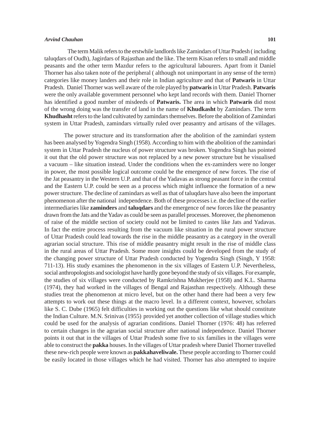#### *Arvind Chauhan* **101**

The term Malik refers to the erstwhile landlords like Zamindars of Uttar Pradesh ( including taluqdars of Oudh), Jagirdars of Rajasthan and the like. The term Kisan refers to small and middle peasants and the other term Mazdur refers to the agricultural labourers. Apart from it Daniel Thorner has also taken note of the peripheral ( although not unimportant in any sense of the term) categories like money landers and their role in Indian agriculture and that of **Patwaris** in Uttar Pradesh. Daniel Thorner was well aware of the role played by **patwaris** in Uttar Pradesh. **Patwaris** were the only available government personnel who kept land records with them. Daniel Thorner has identified a good number of misdeeds of **Patwaris.** The area in which **Patwaris** did most of the wrong doing was the transfer of land in the name of **Khudkasht** by Zamindars. The term **Khudhasht** refers to the land cultivated by zamindars themselves. Before the abolition of Zamindari system in Uttar Pradesh, zamindars virtually ruled over peasantry and artisans of the villages.

The power structure and its transformation after the abolition of the zamindari system has been analysed by Yogendra Singh (1958). According to him with the abolition of the zamindari system in Uttar Pradesh the nucleus of power structure was broken. Yogendra Singh has pointed it out that the old power structure was not replaced by a new power structure but he visualised a vacuum – like situation instead. Under the conditions when the ex-zaminders were no longer in power, the most possible logical outcome could be the emergence of new forces. The rise of the Jat peasantry in the Western U.P. and that of the Yadavas as strong peasant force in the central and the Eastern U.P. could be seen as a process which might influence the formation of a new power structure. The decline of zamindars as well as that of taluqdars have also been the important phenomenon after the national independence. Both of these processes i.e. the decline of the earlier intermediaries like **zaminders** and **taluqdars** and the emergence of new forces like the peasantry drawn from the Jats and the Yadav as could be seen as parallel processes. Moreover, the phenomenon of raise of the middle section of society could not be limited to castes like Jats and Yadavas. In fact the entire process resulting from the vacuum like situation in the rural power structure of Uttar Pradesh could lead towards the rise in the middle peasantry as a category in the overall agrarian social structure. This rise of middle peasantry might result in the rise of middle class in the rural areas of Uttar Pradesh. Some more insights could be developed from the study of the changing power structure of Uttar Pradesh conducted by Yogendra Singh (Singh, Y 1958: 711-13). His study examines the phenomenon in the six villages of Eastern U.P. Nevertheless, social anthropologists and sociologist have hardly gone beyond the study of six villages. For example, the studies of six villages were conducted by Ramkrishna Mukherjee (1958) and K.L. Sharma (1974), they had worked in the villages of Bengal and Rajasthan respectively. Although these studies treat the phenomenon at micro level, but on the other hand there had been a very few attempts to work out these things at the macro level. In a different context, however, scholars like S. C. Dube (1965) felt difficulties in working out the questions like what should constitute the Indian Culture. M.N. Srinivas (1955) provided yet another collection of village studies which could be used for the analysis of agrarian conditions. Daniel Thorner (1976: 48) has referred to certain changes in the agrarian social structure after national independence. Daniel Thorner points it out that in the villages of Uttar Pradesh some five to six families in the villages were able to construct the **pakka** houses. In the villages of Uttar pradesh where Daniel Thorner travelled these new-rich people were known as **pakkahaveliwale.** These people according to Thorner could be easily located in those villages which he had visited. Thorner has also attempted to inquire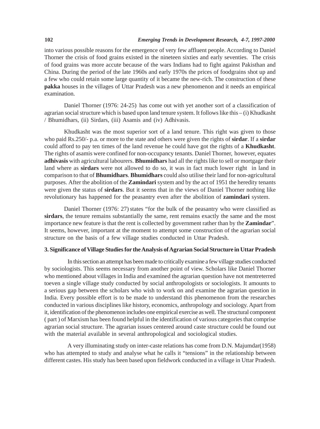into various possible reasons for the emergence of very few affluent people. According to Daniel Thorner the crisis of food grains existed in the nineteen sixties and early seventies. The crisis of food grains was more accute because of the wars Indians had to fight against Pakisthan and China. During the period of the late 1960s and early 1970s the prices of foodgrains shot up and a few who could retain some large quantity of it became the new-rich. The construction of these **pakka** houses in the villages of Uttar Pradesh was a new phenomenon and it needs an empirical examination.

Daniel Thorner (1976: 24-25) has come out with yet another sort of a classification of agrarian social structure which is based upon land tenure system. It follows like this – (i) Khudkasht / Bhumidhars, (ii) Sirdars, (iii) Asamis and (iv) Adhivasis.

Khudkasht was the most superior sort of a land tenure. This right was given to those who paid Rs.250/- p.a. or more to the state and others were given the rights of **sirdar**. If a **sirdar** could afford to pay ten times of the land revenue he could have got the rights of a **Khudkasht**. The rights of asamis were confined for non-occupancy tenants. Daniel Thorner, however, equates **adhivasis** with agricultural labourers. **Bhumidhars** had all the rights like to sell or mortgage their land where as **sirdars** were not allowed to do so, it was in fact much lower right in land in comparison to that of **Bhumidhars**. **Bhumidhars** could also utilise their land for non-agricultural purposes. After the abolition of the **Zamindari** system and by the act of 1951 the heredity tenants were given the status of **sirdars**. But it seems that in the views of Daniel Thorner nothing like revolutionary has happened for the peasantry even after the abolition of **zamindari** system.

Daniel Thorner (1976: 27) states "for the bulk of the peasantry who were classified as **sirdars**, the tenure remains substantially the same, rent remains exactly the same and the most importance new feature is that the rent is collected by government rather than by the **Zamindar**". It seems, however, important at the moment to attempt some construction of the agrarian social structure on the basis of a few village studies conducted in Uttar Pradesh.

## **3. Significance of Village Studies for the Analysis of Agrarian Social Structure in Uttar Pradesh**

In this section an attempt has been made to critically examine a few village studies conducted by sociologists. This seems necessary from another point of view. Scholars like Daniel Thorner who mentioned about villages in India and examined the agrarian question have not mentreterred toeven a single village study conducted by social anthropologists or sociologists. It amounts to a serious gap between the scholars who wish to work on and examine the agrarian question in India. Every possible effort is to be made to understand this phenomenon from the researches conducted in various disciplines like history, economics, anthropology and sociology. Apart from it, identification of the phenomenon includes one empirical exercise as well. The structural component ( part ) of Marxism has been found helpful in the identification of various categories that comprise agrarian social structure. The agrarian issues centered around caste structure could be found out with the material available in several anthropological and sociological studies.

A very illuminating study on inter-caste relations has come from D.N. Majumdar(1958) who has attempted to study and analyse what he calls it "tensions" in the relationship between different castes. His study has been based upon fieldwork conducted in a village in Uttar Pradesh.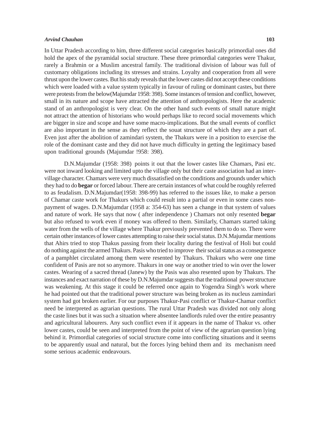#### *Arvind Chauhan* **103**

In Uttar Pradesh according to him, three different social categories basically primordial ones did hold the apex of the pyramidal social structure. These three primordial categories were Thakur, rarely a Brahmin or a Muslim ancestral family. The traditional division of labour was full of customary obligations including its stresses and strains. Loyalty and cooperation from all were thrust upon the lower castes. But his study reveals that the lower castes did not accept these conditions which were loaded with a value system typically in favour of ruling or dominant castes, but there were protests from the below(Majumdar 1958: 398). Some instances of tension and conflict, however, small in its nature and scope have attracted the attention of anthropologists. Here the academic stand of an anthropologist is very clear. On the other hand such events of small nature might not attract the attention of historians who would perhaps like to record social movements which are bigger in size and scope and have some macro-implications. But the small events of conflict are also important in the sense as they reflect the souat structure of which they are a part of. Even just after the abolition of zamindari system, the Thakurs were in a position to exercise the role of the dominant caste and they did not have much difficulty in getting the legitimacy based upon traditional grounds (Majumdar !958: 398).

D.N.Majumdar (1958: 398) points it out that the lower castes like Chamars, Pasi etc. were not inward looking and limited upto the village only but their caste association had an intervillage character. Chamars were very much dissatisfied on the conditions and grounds under which they had to do **begar** or forced labour. There are certain instances of what could be roughly referred to as feudalism. D.N.Majumdar(1958: 398-99) has referred to the issues like, to make a person of Chamar caste work for Thakurs which could result into a partial or even in some cases nonpayment of wages. D.N.Majumdar (1958 a: 354-63) has seen a change in that system of values and nature of work. He says that now ( after independence ) Chamars not only resented **begar** but also refused to work even if money was offered to them. Similarly, Chamars started taking water from the wells of the village where Thakur previously prevented them to do so. There were certain other instances of lower castes attempting to raise their social status. D.N.Majumdar mentions that Ahirs tried to stop Thakus passing from their locality during the festival of Holi but could do nothing against the armed Thakurs. Pasis who tried to improve their social status as a consequence of a pamphlet circulated among them were resented by Thakurs. Thakurs who were one time confident of Pasis are not so anymore. Thakurs in one way or another tried to win over the lower castes. Wearing of a sacred thread (Janew) by the Pasis was also resented upon by Thakurs. The instances and exact narration of these by D.N.Majumdar suggests that the traditional power structure was weakening. At this stage it could be referred once again to Yogendra Singh's work where he had pointed out that the traditional power structure was being broken as its nucleus zamindari system had got broken earlier. For our purposes Thakur-Pasi conflict or Thakur-Chamar conflict need be interpreted as agrarian questions. The rural Uttar Pradesh was divided not only along the caste lines but it was such a situation where absentee landlords ruled over the entire peasantry and agricultural labourers. Any such conflict even if it appears in the name of Thakur vs. other lower castes, could be seen and interpreted from the point of view of the agrarian question lying behind it. Primordial categories of social structure come into conflicting situations and it seems to be apparently usual and natural, but the forces lying behind them and its mechanism need some serious academic endeavours.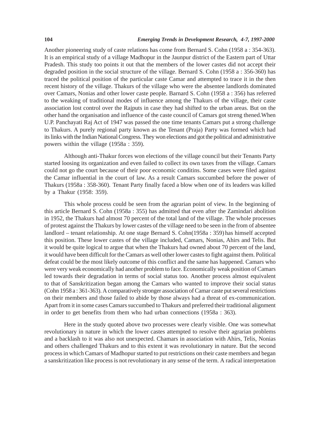#### **104** *Emerging Trends in Development Research, 4-7, 1997-2000*

Another pioneering study of caste relations has come from Bernard S. Cohn (1958 a : 354-363). It is an empirical study of a village Madhopur in the Jaunpur district of the Eastern part of Uttar Pradesh. This study too points it out that the members of the lower castes did not accept their degraded position in the social structure of the village. Bernard S. Cohn (1958 a : 356-360) has traced the political position of the particular caste Camar and attempted to trace it in the then recent history of the village. Thakurs of the village who were the absentee landlords dominated over Camars, Nonias and other lower caste people. Barnard S. Cohn (1958 a : 356) has referred to the weaking of traditional modes of influence among the Thakurs of the village, their caste association lost control over the Rajputs in case they had shifted to the urban areas. But on the other hand the organisation and influence of the caste council of Camars got streng thened.When U.P. Panchayati Raj Act of 1947 was passed the one time tenants Camars put a strong challenge to Thakurs. A purely regional party known as the Tenant (Praja) Party was formed which had its links with the Indian National Congress. They won elections and got the political and administrative powers within the village (1958a : 359).

Although anti-Thakur forces won elections of the village council but their Tenants Party started loosing its organization and even failed to collect its own taxes from the village. Camars could not go the court because of their poor economic conditins. Some cases were filed against the Camar influential in the court of law. As a result Camars succumbed before the power of Thakurs (1958a : 358-360). Tenant Party finally faced a blow when one of its leaders was killed by a Thakur (1958: 359).

This whole process could be seen from the agrarian point of view. In the beginning of this article Bernard S. Cohn (1958a : 355) has admitted that even after the Zamindari abolition in 1952, the Thakurs had almost 70 percent of the total land of the village. The whole processes of protest against the Thakurs by lower castes of the village need to be seen in the from of absentee landlord – tenant relationship. At one stage Bernard S. Cohn(1958a : 359) has himself accepted this position. These lower castes of the village included, Camars, Nonias, Ahirs and Telis. But it would be quite logical to argue that when the Thakurs had owned about 70 percent of the land, it would have been difficult for the Camars as well other lower castes to fight against them. Political defeat could be the most likely outcome of this conflict and the same has happened. Camars who were very weak economically had another problem to face. Economically weak position of Camars led towards their degradation in terms of social status too. Another process almost equivalent to that of Sanskritization began among the Camars who wanted to improve their social status (Cohn 1958 a : 361-363). A comparatively stronger association of Camar caste put several restrictions on their members and those failed to abide by those always had a threat of ex-communication. Apart from it in some cases Camars succumbed to Thakurs and preferred their traditional alignment in order to get benefits from them who had urban connections (1958a : 363).

Here in the study quoted above two processes were clearly visible. One was somewhat revolutionary in nature in which the lower castes attempted to resolve their agrarian problems and a backlash to it was also not unexpected. Chamars in association with Ahirs, Telis, Nonias and others challenged Thakurs and to this extent it was revolutionary in nature. But the second process in which Camars of Madhopur started to put restrictions on their caste members and began a sanskritization like process is not revolutionary in any sense of the term. A radical interpretation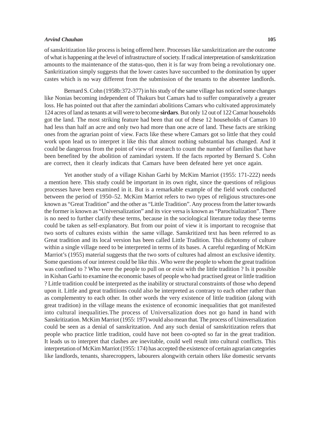#### *Arvind Chauhan* **105**

of sanskritization like process is being offered here. Processes like sanskritization are the outcome of what is happening at the level of infrastructure of society. If radical interpretation of sanskritization amounts to the maintenance of the status-quo, then it is far way from being a revolutionary one. Sankritization simply suggests that the lower castes have succumbed to the domination by upper castes which is no way different from the submission of the tenants to the absentee landlords.

Bernard S. Cohn (1958b:372-377) in his study of the same village has noticed some changes like Nonias becoming independent of Thakurs but Camars had to suffer comparatively a greater loss. He has pointed out that after the zamindari abolitions Camars who cultivated approximately 124 acres of land as tenants at will were to become **sirdars**. But only 12 out of 122 Camar households got the land. The most striking feature had been that out of these 12 households of Camars 10 had less than half an acre and only two had more than one acre of land. These facts are striking ones from the agrarian point of view. Facts like these where Camars got so little that they could work upon lead us to interpret it like this that almost nothing substantial has changed. And it could be dangerous from the point of view of research to count the number of families that have been benefited by the abolition of zamindari system. If the facts reported by Bernard S. Cohn are correct, then it clearly indicats that Camars have been defeated here yet once again.

Yet another study of a village Kishan Garhi by McKim Marriot (1955: 171-222) needs a mention here. This study could be important in its own right, since the questions of religious processes have been examined in it. But is a remarkable example of the field work conducted between the period of 1950–52. McKim Marriot refers to two types of religious structures-one known as "Great Tradition" and the other as "Little Tradition". Any process from the latter towards the former is known as "Universalization" and its vice versa is known as "Parochialization". There is no need to further clarify these terms, because in the sociological literature today these terms could be taken as self-explanatory. But from our point of view it is important to recognise that two sorts of cultures exists within the same village. Sanskritized text has been referred to as Great tradition and its local version has been called Little Tradition. This dichotomy of culture within a single village need to be interpreted in terms of its bases. A careful regarding of McKim Marriot's (1955) material suggests that the two sorts of cultures had almost an exclusive identity. Some questions of our interest could be like this . Who were the people to whom the great tradition was confined to ? Who were the people to pull on or exist with the little tradition ? Is it possible in Kishan Garhi to examine the economic bases of people who had practised great or little tradition ? Little tradition could be interpreted as the inability or structural constraints of those who depend upon it. Little and great traditiions could also be interpreted as contrary to each other rather than as complementry to each other. In other words the very existence of little tradition (along with great tradition) in the village means the existence of economic inequalities that got manifested into cultural inequalities.The process of Universalization does not go hand in hand with Sanskritization. McKim Marriot (1955: 197) would also mean that. The process of Uninversalization could be seen as a denial of sanskritzation. And any such denial of sanskritization refers that people who practice little tradition, could have not been co-opted so far in the great tradition. It leads us to interpret that clashes are inevitable, could well result into cultural conflicts. This interpretation of McKim Marriot (1955: 174) has accepted the existence of certain agrarian categories like landlords, tenants, sharecroppers, labourers alongwith certain others like domestic servants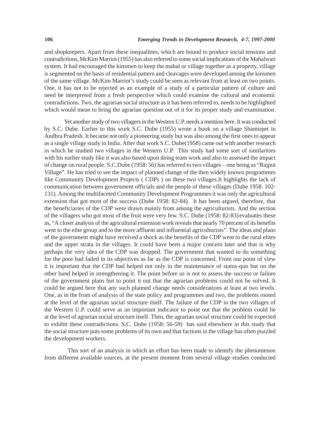and shopkeepers. Apart from these inequalities, which are bound to produce social tensions and contradictions, McKim Marriot (1955) has also referred to some social implications of the Mahalwari system. It had encouraged the kinsmen to keep the mahal or village together as a property, village is segmented on the basis of residential pattern and cleavages were developed among the kinsmen of the same village. McKim Marriot's study could be seen as relevant from at least on two points. One, it has not to be rejected as an example of a study of a particular pattern of culture and need be interpreted from a fresh perspective which could examine the cultural and economic contradictions. Two, the agrarian social structure as it has been referred to, needs to be highlighted which would mean to bring the agrarian question out of it for its proper study and examination.

Yet another study of two villagers in the Western U.P. needs a mention here. It was conducted by S.C. Dube. Earlier to this work S.C. Dube (1955) wrote a book on a village Shamirpet in Andhra Pradesh. It became not only a pioneering study but was also among the first ones to appear as a single village study in India. After that work S.C. Dube(1958) came out with another research in which he studied two villages in the Western U.P. This study had some sort of similarities with his earlier study like it was also based upon doing team work and also to assessed the impact of change on rural people. S.C.Dube (1958: 56) has referred to two villages – one being as "Rajput Village". He has tried to see the impact of planned change of the then widely known programmes like Community Development Projects ( CDPs ) on these two villages.It highlights the lack of communication between government officials and the people of these villages (Dube 1958: 102- 131). Among the multifaceted Community Development Programmes it was only the agricultural extension that got most of the success (Dube 1958: 82-84). It has been argued, therefore, that the beneficiaries of the CDP were drawn mainly from among the agriculturists. And the section of the villagers who got most of the fruit were very few. S.C. Dube (1958: 82-83) evaluates these as, "A closer analysis of the agricultural extension work reveals that nearly 70 percent of its benefits went to the elite group and to the more affluent and influential agriculturists". The ideas and plans of the government might have received a shock as the benefits of the CDP went to the rural elites and the upper strata in the villages. It could have been a major concern later and that is why perhaps the very idea of the CDP was dropped. The government that wanted to do something for the poor had failed in its objectives as far as the CDP is concerned. From our point of view it is important that the CDP had helped not only in the maintenance of status-quo but on the other hand helped in strengthening it. The point before us is not to assess the success or failure of the government plans but to point it out that the agrarian problems could not be solved. It could be argued here that any such planned change needs considerations at least at two levels. One, as in the from of analysis of the state policy and programmes and two, the problems rooted at the level of the agrarian social structure itself. The failure of the CDP in the two villages of the Western U.P. could serve as an important indicator to point out that the problem could lie at the level of agrarian social structure itself. Then, the agrarian social structure could be expected to exhibit these contradictions. S.C. Dube (1958: 56-59) has said elsewhere in this study that the social structure puts some problems of its own and that factions in the village has often puzzled the development workers.

This sort of an analysis in which an effort has been made to identify the phenomenon from different available sources, at the present moment from several village studies conducted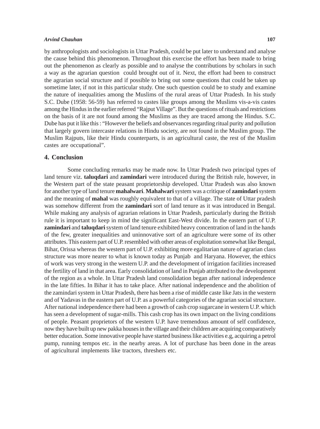#### *Arvind Chauhan* **107**

by anthropologists and sociologists in Uttar Pradesh, could be put later to understand and analyse the cause behind this phenomenon. Throughout this exercise the effort has been made to bring out the phenomenon as clearly as possible and to analyse the contributions by scholars in such a way as the agrarian question could brought out of it. Next, the effort had been to construct the agrarian social structure and if possible to bring out some questions that could be taken up sometime later, if not in this particular study. One such question could be to study and examine the nature of inequalities among the Muslims of the rural areas of Uttar Pradesh. In his study S.C. Dube (1958: 56-59) has referred to castes like groups among the Muslims vis-a-vis castes among the Hindus in the earlier referred "Rajput Village". But the questions of rituals and restrictions on the basis of it are not found among the Muslims as they are traced among the Hindus. S.C. Dube has put it like this : "However the beliefs and observances regarding ritual purity and pollution that largely govern intercaste relations in Hindu society, are not found in the Muslim group. The Muslim Rajputs, like their Hindu counterparts, is an agricultural caste, the rest of the Muslim castes are occupational".

#### **4. Conclusion**

Some concluding remarks may be made now. In Uttar Pradesh two principal types of land tenure viz. **taluqdari** and **zamindari** were introduced during the British rule, however, in the Western part of the state peasant proprietorship developed. Uttar Pradesh was also known for another type of land tenure **mahalwari**. **Mahalwari** system was a critique of **zamindari** system and the meaning of **mahal** was roughly equivalent to that of a village. The state of Uttar pradesh was somehow different from the **zamindari** sort of land tenure as it was introduced in Bengal. While making any analysis of agrarian relations in Uttar Pradesh, particularly during the British rule it is important to keep in mind the significant East-West divide. In the eastern part of U.P. **zamindari** and **taluqdari** system of land tenure exhibited heavy concentration of land in the hands of the few, greater inequalities and uninnovative sort of an agriculture were some of its other attributes. This eastern part of U.P. resembled with other areas of exploitation somewhat like Bengal, Bihar, Orissa whereas the western part of U.P. exhibiting more egalitarian nature of agrarian class structure was more nearer to what is known today as Punjab and Haryana. However, the ethics of work was very strong in the western U.P. and the development of irrigation facilities increased the fertility of land in that area. Early consolidation of land in Punjab attributed to the development of the region as a whole. In Uttar Pradesh land consolidation began after national independence in the late fifties. In Bihar it has to take place. After national independence and the abolition of the zamindari system in Uttar Pradesh, there has been a rise of middle caste like Jats in the western and of Yadavas in the eastern part of U.P. as a powerful categories of the agrarian social structure. After national independence there had been a growth of cash crop sugarcane in western U.P. which has seen a development of sugar-mills. This cash crop has its own impact on the living conditions of people. Peasant proprietors of the western U.P. have tremendous amount of self confidence, now they have built up new pakka houses in the village and their children are acquiring comparatively better education. Some innovative people have started business like activities e.g, acquiring a petrol pump, running tempos etc. in the nearby areas. A lot of purchase has been done in the areas of agricultural implements like tractors, threshers etc.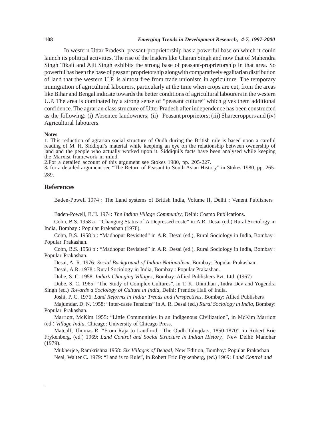#### **108** *Emerging Trends in Development Research, 4-7, 1997-2000*

In western Uttar Pradesh, peasant-proprietorship has a powerful base on which it could launch its political activities. The rise of the leaders like Charan Singh and now that of Mahendra Singh Tikait and Ajit Singh exhibits the strong base of peasant-proprietorship in that area. So powerful has been the base of peasant proprietorship alongwith comparatively egalitarian distribution of land that the western U.P. is almost free from trade unionism in agriculture. The temporary immigration of agricultural labourers, particularly at the time when crops are cut, from the areas like Bihar and Bengal indicate towards the better conditions of agricultural labourers in the western U.P. The area is dominated by a strong sense of "peasant culture" which gives them additional confidence. The agrarian class structure of Utter Pradesh after independence has been constructed as the following: (i) Absentee landowners; (ii) Peasant proprietors; (iii) Sharecroppers and (iv) Agricultural labourers.

#### **Notes**

1. This reduction of agrarian social structure of Oudh during the British rule is based upon a careful reading of M. H. Siddiqui's material while keepimg an eye on the relationship between ownership of land and the people who actually worked upon it. Siddiqui's facts have been analysed while keeping the Marxist framework in mind.

2.For a detailed account of this argument see Stokes 1980, pp. 205-227.

3**.** for a detailed argument see "The Return of Peasant to South Asian History" in Stokes 1980, pp. 265- 289.

## **References**

.

Baden-Powell 1974 : The Land systems of British India, Volume II, Delhi : Venent Publishers

Baden-Powell, B.H. 1974: *The Indian Village Community*, Delhi: Cosmo Publications.

Cohn, B.S. 1958 a : "Changing Status of A Depressed coste" in A.R. Desai (ed.) Rural Sociology in India, Bombay : Popular Prakashan (1978).

Cohn, B.S. 1958 b : "Madhopur Revisited" in A.R. Desai (ed.), Rural Sociology in India, Bombay : Popular Prakashan.

Cohn, B.S. 1958 b : "Madhopur Revisited" in A.R. Desai (ed.), Rural Sociology in India, Bombay : Popular Prakashan.

Desai, A. R. 1976: *Social Background of Indian Nationalism*, Bombay: Popular Prakashan.

Desai, A.R. 1978 : Rural Sociology in India, Bombay : Popular Prakashan.

Dube, S. C. 1958: *India's Changing Villages*, Bombay: Allied Publishers Pvt. Ltd. (1967)

Dube, S. C. 1965: "The Study of Complex Cultures", in T. K. Unnithan , Indra Dev and Yogendra Singh (ed.) *Towards a Sociology of Culture in India*, Delhi: Prentice Hall of India.

Joshi, P. C. 1976: *Land Reforms in India: Trends and Perspectives*, Bombay: Allied Publishers

Majumdar, D. N. 1958: "Inter-caste Tensions" in A. R. Desai (ed.) *Rural Sociology in India*, Bombay: Popular Prakashan.

Marriott, McKim 1955: "Little Communities in an Indigenous Civilization", in McKim Marriott (ed.) *Village India*, Chicago: University of Chicago Press.

Matcalf, Thomas R. "From Raja to Landlord : The Oudh Taluqdars, 1850-1870", in Robert Eric Frykenberg, (ed.) 1969: *Land Control and Social Structure in Indian History,* New Delhi: Manohar (1979).

Mukherjee, Ramkrishna 1958: *Six Villages of Bengal*, New Edition, Bombay: Popular Prakashan Neal, Walter C. 1979: "Land is to Rule", in Robert Eric Frykenberg, (ed.) 1969: *Land Control and*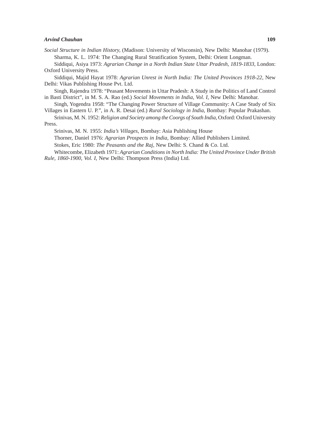#### *Arvind Chauhan* **109**

Siddiqui, Asiya 1973: *Agrarian Change in a North Indian State Uttar Pradesh, 1819-1833*, London: Oxford University Press.

Siddiqui, Majid Hayat 1978: *Agrarian Unrest in North India: The United Provinces 1918-22*, New Delhi: Vikas Publishing House Pvt. Ltd.

Singh, Rajendra 1978: "Peasant Movements in Uttar Pradesh: A Study in the Politics of Land Control in Basti District", in M. S. A. Rao (ed.) *Social Movements in India, Vol. I*, New Delhi: Manohar.

Singh, Yogendra 1958: "The Changing Power Structure of Village Community: A Case Study of Six Villages in Eastern U. P.", in A. R. Desai (ed.) *Rural Sociology in India*, Bombay: Popular Prakashan.

Srinivas, M. N. 1952: *Religion and Society among the Coorgs of South India*, Oxford: Oxford University Press.

Srinivas, M. N. 1955: *India's Villages*, Bombay: Asia Publishing House

Thorner, Daniel 1976: *Agrarian Prospects in India*, Bombay: Allied Publishers Limited.

Stokes, Eric 1980: *The Peasants and the Raj*, New Delhi: S. Chand & Co. Ltd.

Whitecombe, Elizabeth 1971: *Agrarian Conditions in North India: The United Province Under British Rule, 1860-1900, Vol. I*, New Delhi: Thompson Press (India) Ltd.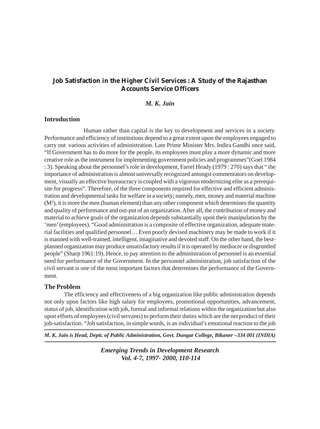# **Job Satisfaction in the Higher Civil Services : A Study of the Rajasthan Accounts Service Officers**

# *M. K. Jain*

## **Introduction**

Human rather than capital is the key to development and services in a society. Performance and efficiency of institutions depend to a great extent upon the employees engaged to carry out various activities of administration. Late Prime Minister Mrs. Indira Gandhi once said, "If Government has to do more for the people, its employees must play a more dynamic and more creative role as the instrument for implementing government policies and programmes"(Goel 1984 : 3). Speaking about the personnel's role in development, Farrel Heady (1979 : 270) says that " the importance of administration is almost universally recognized amongst commentators on development, visually an effective bureaucracy is coupled with a vigorous modernizing elite as a prerequisite for progress". Therefore, of the three components required for effective and efficient administration and developmental tasks for welfare in a society; namely, men, money and material machine  $(M<sup>3</sup>)$ , it is more the men (human element) than any other component which determines the quantity and quality of performance and out-put of an organization. After all, the contribution of money and material to achieve goals of the organization depends substantially upon their manipulation by the 'men' (employees). "Good administration is a composite of effective organization, adequate material facilities and qualified personnel… Even poorly devised machinery may be made to work if it is manned with well-trained, intelligent, imaginative and devoted staff. On the other hand, the bestplanned organization may produce unsatisfactory results if it is operated by mediocre or disgruntled people" (Sharp 1961:19). Hence, to pay attention to the administration of personnel is an essential need for performance of the Government. In the personnel administration, job satisfaction of the civil servant is one of the most important factors that determines the performance of the Government.

# **The Problem**

The efficiency and effectiveness of a big organization like public administration depends not only upon factors like high salary for employees, promotional opportunities, advancement, status of job, identification with job, formal and informal relations within the organization but also upon efforts of employees (civil servants) to perform their duties which are the net product of their job-satisfaction. "Job satisfaction, in simple words, is an individual's emotional reaction to the job

*M. K. Jain is Head, Deptt. of Public Administration, Govt. Dungar College, Bikaner –334 001 (INDIA)*

*Emerging Trends in Development Research Vol. 4-7, 1997- 2000, 110-114*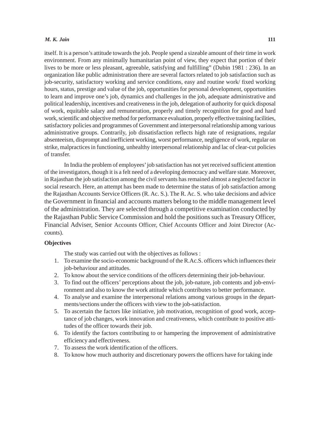#### *M. K. Jain* **111**

itself. It is a person's attitude towards the job. People spend a sizeable amount of their time in work environment. From any minimally humanitarian point of view, they expect that portion of their lives to be more or less pleasant, agreeable, satisfying and fulfilling" (Dubin 1981 : 236). In an organization like public administration there are several factors related to job satisfaction such as job-security, satisfactory working and service conditions, easy and routine work/ fixed working hours, status, prestige and value of the job, opportunities for personal development, opportunities to learn and improve one's job, dynamics and challenges in the job, adequate administrative and political leadership, incentives and creativeness in the job, delegation of authority for quick disposal of work, equitable salary and remuneration, properly and timely recognition for good and hard work, scientific and objective method for performance evaluation, properly effective training facilities, satisfactory policies and programmes of Government and interpersonal relationship among various administrative groups. Contrarily, job dissatisfaction reflects high rate of resignations, regular absenteeism, disprompt and inefficient working, worst performance, negligence of work, regular on strike, malpractices in functioning, unhealthy interpersonal relationship and lac of clear-cut policies of transfer.

In India the problem of employees' job satisfaction has not yet received sufficient attention of the investigators, though it is a felt need of a developing democracy and welfare state. Moreover, in Rajasthan the job satisfaction among the civil servants has remained almost a neglected factor in social research. Here, an attempt has been made to determine the status of job satisfaction among the Rajasthan Accounts Service Officers (R. Ac. S.). The R. Ac. S. who take decisions and advice the Government in financial and accounts matters belong to the middle management level of the administration. They are selected through a competitive examination conducted by the Rajasthan Public Service Commission and hold the positions such as Treasury Officer, Financial Adviser, Senior Accounts Officer, Chief Accounts Officer and Joint Director (Accounts).

#### **Objectives**

The study was carried out with the objectives as follows :

- 1. To examine the socio-economic background of the R.Ac.S. officers which influences their job-behaviour and attitudes.
- 2. To know about the service conditions of the officers determining their job-behaviour.
- 3. To find out the officers' perceptions about the job, job-nature, job contents and job-environment and also to know the work attitude which contributes to better performance.
- 4. To analyse and examine the interpersonal relations among various groups in the departments/sections under the officers with view to the job-satisfaction.
- 5. To ascertain the factors like initiative, job motivation, recognition of good work, acceptance of job changes, work innovation and creativeness, which contribute to positive attitudes of the officer towards their job.
- 6. To identify the factors contributing to or hampering the improvement of administrative efficiency and effectiveness.
- 7. To assess the work identification of the officers.
- 8. To know how much authority and discretionary powers the officers have for taking inde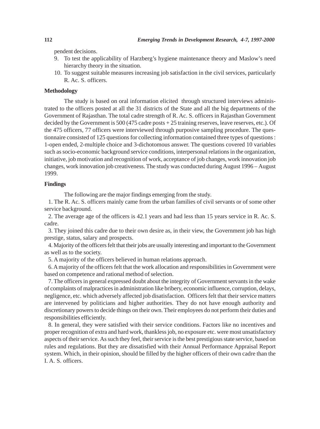pendent decisions.

- 9. To test the applicability of Harzberg's hygiene maintenance theory and Maslow's need hierarchy theory in the situation.
- 10. To suggest suitable measures increasing job satisfaction in the civil services, particularly R. Ac. S. officers.

#### **Methodology**

The study is based on oral information elicited through structured interviews administrated to the officers posted at all the 31 districts of the State and all the big departments of the Government of Rajasthan. The total cadre strength of R. Ac. S. officers in Rajasthan Government decided by the Government is 500 (475 cadre posts + 25 training reserves, leave reserves, etc.). Of the 475 officers, 77 officers were interviewed through purposive sampling procedure. The questionnaire consisted of 125 questions for collecting information contained three types of questions : 1-open ended, 2-multiple choice and 3-dichotomous answer. The questions covered 10 variables such as socio-economic background service conditions, interpersonal relations in the organization, initiative, job motivation and recognition of work, acceptance of job changes, work innovation job changes, work innovation job creativeness. The study was conducted during August 1996 – August 1999.

# **Findings**

The following are the major findings emerging from the study.

1. The R. Ac. S. officers mainly came from the urban families of civil servants or of some other service background.

2. The average age of the officers is 42.1 years and had less than 15 years service in R. Ac. S. cadre.

3. They joined this cadre due to their own desire as, in their view, the Government job has high prestige, status, salary and prospects.

4. Majority of the officers felt that their jobs are usually interesting and important to the Government as well as to the society.

5. A majority of the officers believed in human relations approach.

6. A majority of the officers felt that the work allocation and responsibilities in Government were based on competence and rational method of selection.

7. The officers in general expressed doubt about the integrity of Government servants in the wake of complaints of malpractices in administration like bribery, economic influence, corruption, delays, negligence, etc. which adversely affected job disatisfaction. Officers felt that their service matters are intervened by politicians and higher authorities. They do not have enough authority and discretionary powers to decide things on their own. Their employees do not perform their duties and responsibilities efficiently.

8. In general, they were satisfied with their service conditions. Factors like no incentives and proper recognition of extra and hard work, thankless job, no exposure etc. were most unsatisfactory aspects of their service. As such they feel, their service is the best prestigious state service, based on rules and regulations. But they are dissatisfied with their Annual Performance Appraisal Report system. Which, in their opinion, should be filled by the higher officers of their own cadre than the I. A. S. officers.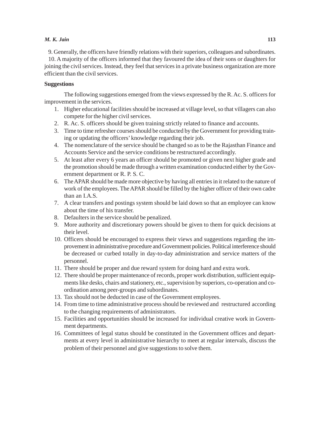#### *M. K. Jain* **113**

9. Generally, the officers have friendly relations with their superiors, colleagues and subordinates. 10. A majority of the officers informed that they favoured the idea of their sons or daughters for

joining the civil services. Instead, they feel that services in a private business organization are more efficient than the civil services.

#### **Suggestions**

The following suggestions emerged from the views expressed by the R. Ac. S. officers for improvement in the services.

- 1. Higher educational facilities should be increased at village level, so that villagers can also compete for the higher civil services.
- 2. R. Ac. S. officers should be given training strictly related to finance and accounts.
- 3. Time to time refresher courses should be conducted by the Government for providing training or updating the officers' knowledge regarding their job.
- 4. The nomenclature of the service should be changed so as to be the Rajasthan Finance and Accounts Service and the service conditions be restructured accordingly.
- 5. At least after every 6 years an officer should be promoted or given next higher grade and the promotion should be made through a written examination conducted either by the Government department or R. P. S. C.
- 6. The APAR should be made more objective by having all entries in it related to the nature of work of the employees. The APAR should be filled by the higher officer of their own cadre than an I.A.S.
- 7. A clear transfers and postings system should be laid down so that an employee can know about the time of his transfer.
- 8. Defaulters in the service should be penalized.
- 9. More authority and discretionary powers should be given to them for quick decisions at their level.
- 10. Officers should be encouraged to express their views and suggestions regarding the improvement in administrative procedure and Government policies. Political interference should be decreased or curbed totally in day-to-day administration and service matters of the personnel.
- 11. There should be proper and due reward system for doing hard and extra work.
- 12. There should be proper maintenance of records, proper work distribution, sufficient equipments like desks, chairs and stationery, etc., supervision by superiors, co-operation and coordination among peer-groups and subordinates.
- 13. Tax should not be deducted in case of the Government employees.
- 14. From time to time administrative process should be reviewed and restructured according to the changing requirements of administrators.
- 15. Facilities and opportunities should be increased for individual creative work in Government departments.
- 16. Committees of legal status should be constituted in the Government offices and departments at every level in administrative hierarchy to meet at regular intervals, discuss the problem of their personnel and give suggestions to solve them.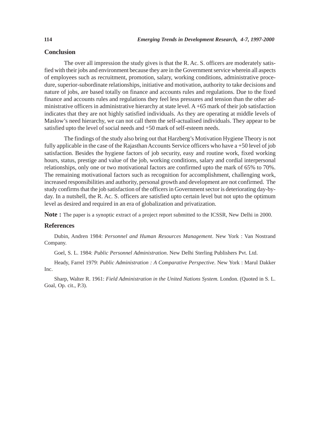# **Conclusion**

The over all impression the study gives is that the R. Ac. S. officers are moderately satisfied with their jobs and environment because they are in the Government service wherein all aspects of employees such as recruitment, promotion, salary, working conditions, administrative procedure, superior-subordinate relationships, initiative and motivation, authority to take decisions and nature of jobs, are based totally on finance and accounts rules and regulations. Due to the fixed finance and accounts rules and regulations they feel less pressures and tension than the other administrative officers in administrative hierarchy at state level. A +65 mark of their job satisfaction indicates that they are not highly satisfied individuals. As they are operating at middle levels of Maslow's need hierarchy, we can not call them the self-actualised individuals. They appear to be satisfied upto the level of social needs and +50 mark of self-esteem needs.

The findings of the study also bring out that Harzberg's Motivation Hygiene Theory is not fully applicable in the case of the Rajasthan Accounts Service officers who have a +50 level of job satisfaction. Besides the hygiene factors of job security, easy and routine work, fixed working hours, status, prestige and value of the job, working conditions, salary and cordial interpersonal relationships, only one or two motivational factors are confirmed upto the mark of 65% to 70%. The remaining motivational factors such as recognition for accomplishment, challenging work, increased responsibilities and authority, personal growth and development are not confirmed. The study confirms that the job satisfaction of the officers in Government sector is deteriorating day-byday. In a nutshell, the R. Ac. S. officers are satisfied upto certain level but not upto the optimum level as desired and required in an era of globalization and privatization.

**Note :** The paper is a synoptic extract of a project report submitted to the ICSSR, New Delhi in 2000.

# **References**

Dubin, Andren 1984: *Personnel and Human Resources Management*. New York : Van Nostrand Company.

Goel, S. L. 1984: *Public Personnel Administration*. New Delhi Sterling Publishers Pvt. Ltd.

Heady, Farrel 1979: *Public Administration : A Comparative Perspective*. New York : Marul Dakker Inc.

Sharp, Walter R. 1961: *Field Administration in the United Nations System.* London. (Quoted in S. L. Goal, Op. cit., P.3).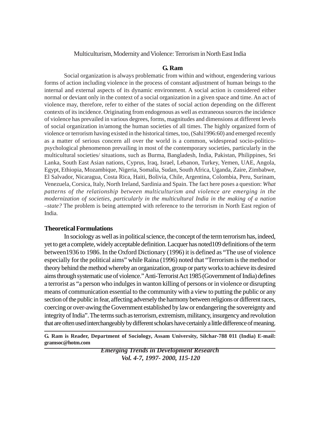# Multiculturism, Modernity and Violence: Terrorism in North East India

# **G. Ram**

Social organization is always problematic from within and without, engendering various forms of action including violence in the process of constant adjustment of human beings to the internal and external aspects of its dynamic environment. A social action is considered either normal or deviant only in the context of a social organization in a given space and time. An act of violence may, therefore, refer to either of the states of social action depending on the different contexts of its incidence. Originating from endogenous as well as extraneous sources the incidence of violence has prevailed in various degrees, forms, magnitudes and dimensions at different levels of social organization in/among the human societies of all times. The highly organized form of violence or terrorism having existed in the historical times, too, (Sahi1996:60) and emerged recently as a matter of serious concern all over the world is a common, widespread socio-politicopsychological phenomenon prevailing in most of the contemporary societies, particularly in the multicultural societies/ situations, such as Burma, Bangladesh, India, Pakistan, Philippines, Sri Lanka, South East Asian nations, Cyprus, Iraq, Israel, Lebanon, Turkey, Yemen, UAE, Angola, Egypt, Ethiopia, Mozambique, Nigeria, Somalia, Sudan, South Africa, Uganda, Zaire, Zimbabwe, El Salvador, Nicaragua, Costa Rica, Haiti, Bolivia, Chile, Argentina, Colombia, Peru, Surinam, Venezuela, Corsica, Italy, North Ireland, Sardinia and Spain. The fact here poses a question: *What patterns of the relationship between multiculturism and violence are emerging in the modernization of societies, particularly in the multicultural India in the making of a nation –state?* The problem is being attempted with reference to the terrorism in North East region of India.

# **Theoretical Formulations**

In sociology as well as in political science, the concept of the term terrorism has, indeed, yet to get a complete, widely acceptable definition. Lacquer has noted109 definitions of the term between1936 to 1986. In the Oxford Dictionary (1996) it is defined as "The use of violence especially for the political aims" while Raina (1996) noted that "Terrorism is the method or theory behind the method whereby an organization, group or party works to achieve its desired aims through systematic use of violence." Anti-Terrorist Act 1985 (Government of India) defines a terrorist as "a person who indulges in wanton killing of persons or in violence or disrupting means of communication essential to the community with a view to putting the public or any section of the public in fear, affecting adversely the harmony between religions or different races, coercing or over-awing the Government established by law or endangering the sovereignty and integrity of India". The terms such as terrorism, extremism, militancy, insurgency and revolution that are often used interchangeably by different scholars have certainly a little difference of meaning.

**G. Ram is Reader, Department of Sociology, Assam University, Silchar-788 011 (India) E-mail: gramsoc@hotm.com**

> *Emerging Trends in Development Research Vol. 4-7, 1997- 2000, 115-120*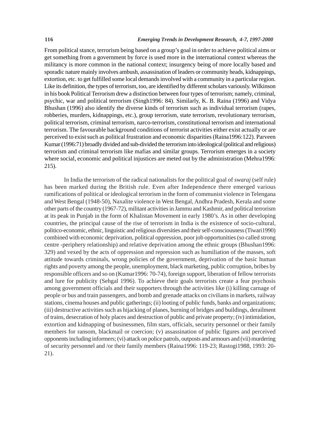From political stance, terrorism being based on a group's goal in order to achieve political aims or get something from a government by force is used more in the international context whereas the militancy is more common in the national context; insurgency being of more locally based and sporadic nature mainly involves ambush, assassination of leaders or community heads, kidnappings, extortion, etc. to get fulfilled some local demands involved with a community in a particular region. Like its definition, the types of terrorism, too, are identified by different scholars variously. Wilkinson in his book Political Terrorism drew a distinction between four types of terrorism; namely, criminal, psychic, war and political terrorism (Singh1996: 84). Similarly, K. B. Raina (1996) and Vidya Bhushan (1996) also identify the diverse kinds of terrorism such as individual terrorism (rapes, robberies, murders, kidnappings, etc.), group terrorism, state terrorism, revolutionary terrorism, political terrorism, criminal terrorism, narco-terrorism, constitutional terrorism and international terrorism. The favourable background conditions of terrorist activities either exist actually or are perceived to exist such as political frustration and economic disparities (Raina1996:122). Parveen Kumar (1996:71) broadly divided and sub-divided the terrorism into ideological (political and religious) terrorism and criminal terrorism like mafias and similar groups. Terrorism emerges in a society where social, economic and political injustices are meted out by the administration (Mehra1996: 215).

In India the terrorism of the radical nationalists for the political goal of *swaraj* (self rule) has been marked during the British rule. Even after Independence there emerged various ramifications of political or ideological terrorism in the form of communist violence in Telengana and West Bengal (1948-50), Naxalite violence in West Bengal, Andhra Pradesh, Kerala and some other parts of the country (1967-72), militant activities in Jammu and Kashmir, and political terrorism at its peak in Punjab in the form of Khalistan Movement in early 1980's. As in other developing countries, the principal cause of the rise of terrorism in India is the existence of socio-cultural, politico-economic, ethnic, linguistic and religious diversities and their self-consciousness (Tiwari1990) combined with economic deprivation, political oppression, poor job opportunities (so called strong centre -periphery relationship) and relative deprivation among the ethnic groups (Bhushan1996: 329) and vexed by the acts of oppression and repression such as humiliation of the masses, soft attitude towards criminals, wrong policies of the government, deprivation of the basic human rights and poverty among the people, unemployment, black marketing, public corruption, bribes by responsible officers and so on (Kumar1996: 70-74), foreign support, liberation of fellow terrorists and lure for publicity (Sehgal 1996). To achieve their goals terrorists create a fear psychosis among government officials and their supporters through the activities like (i) killing carnage of people or bus and train passengers, and bomb and grenade attacks on civilians in markets, railway stations, cinema houses and public gatherings; (ii) looting of public funds, banks and organizations; (iii) destructive activities such as hijacking of planes, burning of bridges and buildings, derailment of trains, desecration of holy places and destruction of public and private property; (iv) intimidation, extortion and kidnapping of businessmen, film stars, officials, security personnel or their family members for ransom, blackmail or coercion; (v) assassination of public figures and perceived opponents including informers; (vi) attack on police patrols, outposts and armours and (vii) murdering of security personnel and /or their family members (Raina1996: 119-23; Rastogi1988, 1993: 20- 21).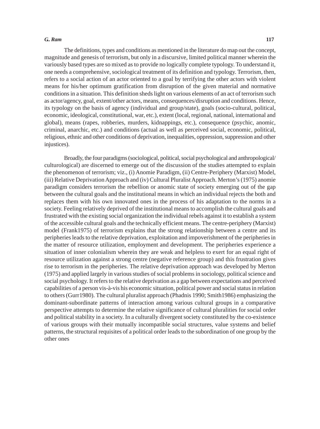#### *G.. Ram* **117**

The definitions, types and conditions as mentioned in the literature do map out the concept, magnitude and genesis of terrorism, but only in a discursive, limited political manner wherein the variously based types are so mixed as to provide no logically complete typology. To understand it, one needs a comprehensive, sociological treatment of its definition and typology. Terrorism, then, refers to a social action of an actor oriented to a goal by terrifying the other actors with violent means for his/her optimum gratification from disruption of the given material and normative conditions in a situation. This definition sheds light on various elements of an act of terrorism such as actor/agency, goal, extent/other actors, means, consequences/disruption and conditions. Hence, its typology on the basis of agency (individual and group/state), goals (socio-cultural, political, economic, ideological, constitutional, war, etc.), extent (local, regional, national, international and global), means (rapes, robberies, murders, kidnappings, etc.), consequence (psychic, anomic, criminal, anarchic, etc.) and conditions (actual as well as perceived social, economic, political, religious, ethnic and other conditions of deprivation, inequalities, oppression, suppression and other injustices).

Broadly, the four paradigms (sociological, political, social psychological and anthropological/ culturological) are discerned to emerge out of the discussion of the studies attempted to explain the phenomenon of terrorism; viz., (i) Anomie Paradigm, (ii) Centre-Periphery (Marxist) Model, (iii) Relative Deprivation Approach and (iv) Cultural Pluralist Approach. Merton's (1975) anomie paradigm considers terrorism the rebellion or anomic state of society emerging out of the gap between the cultural goals and the institutional means in which an individual rejects the both and replaces them with his own innovated ones in the process of his adaptation to the norms in a society. Feeling relatively deprived of the institutional means to accomplish the cultural goals and frustrated with the existing social organization the individual rebels against it to establish a system of the accessible cultural goals and the technically efficient means. The centre-periphery (Marxist) model (Frank1975) of terrorism explains that the strong relationship between a centre and its peripheries leads to the relative deprivation, exploitation and impoverishment of the peripheries in the matter of resource utilization, employment and development. The peripheries experience a situation of inner colonialism wherein they are weak and helpless to exert for an equal right of resource utilization against a strong centre (negative reference group) and this frustration gives rise to terrorism in the peripheries. The relative deprivation approach was developed by Merton (1975) and applied largely in various studies of social problems in sociology, political science and social psychology. It refers to the relative deprivation as a gap between expectations and perceived capabilities of a person vis-à-vis his economic situation, political power and social status in relation to others (Gurr1980). The cultural pluralist approach (Phadnis 1990; Smith1986) emphasizing the dominant-subordinate patterns of interaction among various cultural groups in a comparative perspective attempts to determine the relative significance of cultural pluralities for social order and political stability in a society. In a culturally divergent society constituted by the co-existence of various groups with their mutually incompatible social structures, value systems and belief patterns, the structural requisites of a political order leads to the subordination of one group by the other ones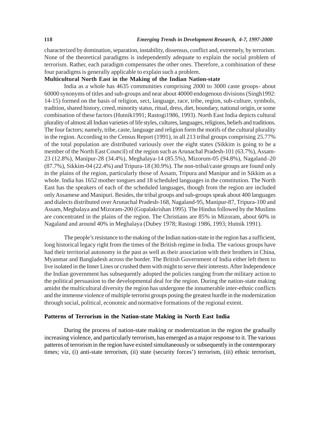characterized by domination, separation, instability, dissensus, conflict and, extremely, by terrorism. None of the theoretical paradigms is independently adequate to explain the social problem of terrorism. Rather, each paradigm compensates the other ones. Therefore, a combination of these four paradigms is generally applicable to explain such a problem.

#### **Multicultural North East in the Making of the Indian Nation-state**

India as a whole has 4635 communities comprising 2000 to 3000 caste groups- about 60000 synonyms of titles and sub-groups and near about 40000 endogenous divisions (Singh1992: 14-15) formed on the basis of religion, sect, language, race, tribe, region, sub-culture, symbols, tradition, shared history, creed, minority status, ritual, dress, diet, boundary, national origin, or some combination of these factors (Hutnik1991; Rastogi1986, 1993). North East India depicts cultural plurality of almost all Indian varieties of life styles, cultures, languages, religions, beliefs and traditions. The four factors; namely, tribe, caste, language and religion form the motifs of the cultural plurality in the region. According to the Census Report (1991), in all 213 tribal groups comprising 25.77% of the total population are distributed variously over the eight states (Sikkim is going to be a member of the North East Council) of the region such as Arunachal Pradesh-101 (63.7%), Assam-23 (12.8%), Manipur-28 (34.4%), Meghalaya-14 (85.5%), Mizorum-05 (94.8%), Nagaland–20 (87.7%), Sikkim-04 (22.4%) and Tripura-18 (30.9%). The non-tribal/caste groups are found only in the plains of the region, particularly those of Assam, Tripura and Manipur and in Sikkim as a whole. India has 1652 mother tongues and 18 scheduled languages in the constitution. The North East has the speakers of each of the scheduled languages, though from the region are included only Assamese and Manipuri. Besides, the tribal groups and sub-groups speak about 400 languages and dialects distributed over Arunachal Pradesh-168, Nagaland-95, Manipur-87, Tripura-100 and Assam, Meghalaya and Mizoram-200 (Gopalakrishan 1995). The Hindus followed by the Muslims are concentrated in the plains of the region. The Christians are 85% in Mizoram, about 60% in Nagaland and around 40% in Meghalaya (Dubey 1978; Rastogi 1986, 1993; Hutnik 1991).

The people's resistance to the making of the Indian nation-state in the region has a sufficient, long historical legacy right from the times of the British regime in India. The various groups have had their territorial autonomy in the past as well as their association with their brothers in China, Myanmar and Bangladesh across the border. The British Government of India either left them to live isolated in the Inner Lines or crushed them with might to serve their interests. After Independence the Indian government has subsequently adopted the policies ranging from the military action to the political persuasion to the developmental deal for the region. During the nation-state making amidst the multicultural diversity the region has undergone the innumerable inter-ethnic conflicts and the immense violence of multiple terrorist groups posing the greatest hurdle in the modernization through social, political, economic and normative formations of the regional extent.

# **Patterns of Terrorism in the Nation-state Making in North East India**

During the process of nation-state making or modernization in the region the gradually increasing violence, and particularly terrorism, has emerged as a major response to it. The various patterns of terrorism in the region have existed simultaneously or subsequently in the contemporary times; viz, (i) anti-state terrorism, (ii) state (security forces') terrorism, (iii) ethnic terrorism,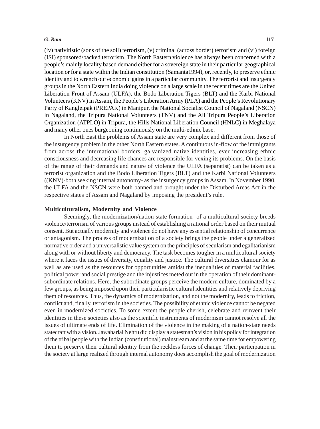#### *G.. Ram* **117**

(iv) nativitistic (sons of the soil) terrorism, (v) criminal (across border) terrorism and (vi) foreign (ISI) sponsored/backed terrorism. The North Eastern violence has always been concerned with a people's mainly locality based demand either for a sovereign state in their particular geographical location or for a state within the Indian constitution (Samanta1994), or, recently, to preserve ethnic identity and to wrench out economic gains in a particular community. The terrorist and insurgency groups in the North Eastern India doing violence on a large scale in the recent times are the United Liberation Front of Assam (ULFA), the Bodo Liberation Tigers (BLT) and the Karbi National Volunteers (KNV) in Assam, the People's Liberation Army (PLA) and the People's Revolutionary Party of Kangleipak (PREPAK) in Manipur, the National Socialist Council of Nagaland (NSCN) in Nagaland, the Tripura National Volunteers (TNV) and the All Tripura People's Liberation Organization (ATPLO) in Tripura, the Hills National Liberation Council (HNLC) in Meghalaya and many other ones burgeoning continuously on the multi-ethnic base.

In North East the problems of Assam state are very complex and different from those of the insurgency problem in the other North Eastern states. A continuous in-flow of the immigrants from across the international borders, galvanized native identities, ever increasing ethnic consciousness and decreasing life chances are responsible for vexing its problems. On the basis of the range of their demands and nature of violence the ULFA (separatist) can be taken as a terrorist organization and the Bodo Liberation Tigers (BLT) and the Karbi National Volunteers ((KNV)-both seeking internal autonomy- as the insurgency groups in Assam. In November 1990, the ULFA and the NSCN were both banned and brought under the Disturbed Areas Act in the respective states of Assam and Nagaland by imposing the president's rule.

#### **Multiculturalism, Modernity and Violence**

Seemingly, the modernization/nation-state formation- of a multicultural society breeds violence/terrorism of various groups instead of establishing a rational order based on their mutual consent. But actually modernity and violence do not have any essential relationship of concurrence or antagonism. The process of modernization of a society brings the people under a generalized normative order and a universalistic value system on the principles of secularism and egalitarianism along with or without liberty and democracy. The task becomes tougher in a multicultural society where it faces the issues of diversity, equality and justice. The cultural diversities clamour for as well as are used as the resources for opportunities amidst the inequalities of material facilities, political power and social prestige and the injustices meted out in the operation of their dominantsubordinate relations. Here, the subordinate groups perceive the modern culture, dominated by a few groups, as being imposed upon their particularistic cultural identities and relatively depriving them of resources. Thus, the dynamics of modernization, and not the modernity, leads to friction, conflict and, finally, terrorism in the societies. The possibility of ethnic violence cannot be negated even in modernized societies. To some extent the people cherish, celebrate and reinvent their identities in these societies also as the scientific instruments of modernism cannot resolve all the issues of ultimate ends of life. Elimination of the violence in the making of a nation-state needs statecraft with a vision. Jawaharlal Nehru did display a statesman's vision in his policy for integration of the tribal people with the Indian (constitutional) mainstream and at the same time for empowering them to preserve their cultural identity from the reckless forces of change. Their participation in the society at large realized through internal autonomy does accomplish the goal of modernization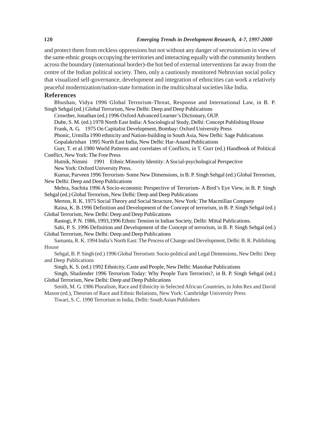and protect them from reckless oppressions but not without any danger of secessionism in view of the same ethnic groups occupying the territories and interacting equally with the community brothers across the boundary (international border)-the hot bed of external interventions far away from the centre of the Indian political society. Then, only a cautiously monitored Nehruvian social policy that visualized self-governance, development and integration of ethnicities can work a relatively peaceful modernization/nation-state formation in the multicultural societies like India.

#### **References**

Bhushan, Vidya 1996 Global Terrorism-Threat, Response and International Law, in B. P. Singh Sehgal (ed.) Global Terrorism, New Delhi: Deep and Deep Publications

Crowther, Jonathan (ed.) 1996 Oxford Advanced Learner's Dictionary, OUP.

Dube, S. M. (ed.) 1978 North East India: A Sociological Study, Delhi: Concept Publishing House

Frank, A. G. 1975 On Capitalist Development, Bombay: Oxford University Press

Phonic, Urmilla 1990 ethnicity and Nation-building in South Asia, New Delhi: Sage Publications Gopalakrishan 1995 North East India, New Delhi: Har-Anand Publications

Gurr, T. et al.1980 World Patterns and correlates of Conflicts, in T. Gurr (ed.) Handbook of Political Conflict, New York: The Free Press

Hutnik, Nimmi 1991 Ethnic Minority Identity: A Social-psychological Perspective New York: Oxford University Press.

Kumar, Parveen 1996 Terrorism- Some New Dimensions, in B. P. Singh Sehgal (ed.) Global Terrorism, New Delhi: Deep and Deep Publications

Mehra, Suchita 1996 A Socio-economic Perspective of Terrorism- A Bird's Eye View, in B. P. Singh Sehgal (ed.) Global Terrorism, New Delhi: Deep and Deep Publications

Merton, R. K. 1975 Social Theory and Social Structure, New York: The Macmillan Company Raina, K. B.1996 Definition and Development of the Concept of terrorism, in B. P. Singh Sehgal (ed.) Global Terrorism, New Delhi: Deep and Deep Publications

Rastogi, P. N. 1986, 1993,1996 Ethnic Tension in Indian Society, Delhi: Mittal Publications.

Sahi, P. S. 1996 Definition and Development of the Concept of terrorism, in B. P. Singh Sehgal (ed.) Global Terrorism, New Delhi: Deep and Deep Publications

Samanta, R. K. 1994 India's North East: The Process of Change and Development, Delhi: B. R. Publishing House

Sehgal, B. P. Singh (ed.) 1996 Global Terrorism: Socio-political and Legal Dimensions, New Delhi: Deep and Deep Publications

Singh, K. S. (ed.) 1992 Ethnicity, Caste and People, New Delhi: Manohar Publications

Singh, Shailender 1996 Terrorism Today: Why People Turn Terrorists?, in B. P. Singh Sehgal (ed.) Global Terrorism, New Delhi: Deep and Deep Publications

Smith, M. G. 1986 Pluralism, Race and Ethnicity in Selected African Countries, in John Rex and David Mason (ed.), Theories of Race and Ethnic Relations, New York: Cambridge University Press

Tiwari, S. C. 1990 Terrorism in India, Delhi: South Asian Publishers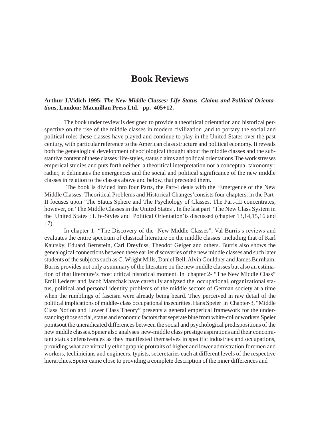# **Book Reviews**

# **Arthur J.Vidich 1995:** *The New Middle Classes: Life-Status Claims and Political Orientation***s, London: Macmillan Press Ltd. pp. 405+12.**

The book under review is designed to provide a theoritical orientation and historical perspective on the rise of the middle classes in modern civilization ,and to portary the social and political roles these classes have played and continue to play in the United States over the past century, with particular reference to the American class structure and political economy. It reveals both the genealogical development of sociological thought about the middle classes and the substantive content of these classes 'life-styles, status claims and political orientations.The work stresses emperical studies and puts forth neither a theoritical interpretation nor a conceptual taxonomy ; rather, it delineates the emergences and the social and political significance of the new middle classes in relation to the classes above and below, that preceded them.

 The book is divided into four Parts, the Part-I deals with the 'Emergence of the New Middle Classes: Theoritical Problems and Historical Changes'consists four chapters. in the Part-II focuses upon 'The Status Sphere and The Psychology of Classes. The Part-III concentrates, however, on 'The Middle Classes in the United States'. In the last part 'The New Class System in the United States : Life-Styles and Political Orientation'is discussed (chapter 13,14,15,16 and 17).

In chapter 1- "The Discovery of the New Middle Classes", Val Burris's reviews and evaluates the entire spectrum of classical literature on the middle classes including that of Karl Kautsky, Eduard Bernstein, Carl Dreyfuss, Theodor Geiger and others. Burris also shows the genealogical connections between these earlier discoveries of the new middle classes and such later students of the subjects such as C. Wright Mills, Daniel Bell, Alvin Gouldner and James Burnham. Burris provides not only a summary of the literature on the new middle classes but also an estimation of that literature's most critical historical moment. In chapter 2- "The New Middle Class" Emil Lederer and Jacob Marschak have carefully analyzed the occupational, organizational status, political and personal identity problems of the middle sectors of German society at a time when the rumblings of fascism were already being heard. They perceived in raw detail of the political implications of middle- class occupational insecurities. Hans Speier in Chapter-3, "Middle Class Notion and Lower Class Theory" presents a general emperical framework for the understanding those social, status and economic factors that seperate blue from white-collor workers.Speier pointsout the uneradicated differences between the social and psychological predispositions of the new middle classes.Speier also analyses new-middle class prestige aspirations and their concomitant status defensivences as they manifested themselves in specific industries and occupations, providing what are virtually ethnographic protraits of higher and lower admistration,foremen and workers, techinicians and engineers, typists, seceretaries each at different levels of the respective hierarchies.Speier came close to providing a complete description of the inner differences and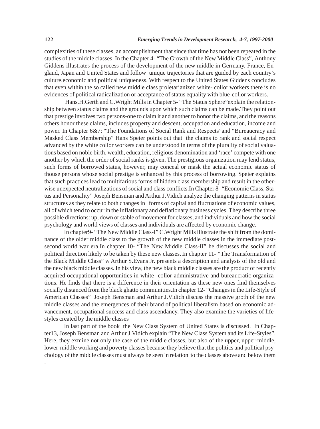complexities of these classes, an accomplishment that since that time has not been repeated in the studies of the middle classes. In the Chapter 4- "The Growth of the New Middle Class", Anthony Giddens illustrates the process of the development of the new middle in Germany, France, England, Japan and United States and follow unique trajectories that are guided by each country's culture,economic and political uniqueness. With respect to the United States Giddens concludes that even within the so called new middle class proletarianized white- collor workers there is no evidences of political radicalization or acceptance of status equality with blue-collor workers.

 Hans.H.Gerth and C.Wright Mills in Chapter 5- "The Status Sphere"explain the relationship between status claims and the grounds upon which such claims can be made.They point out that prestige involves two persons-one to claim it and another to honor the claims, and the reasons others honor these claims, includes property and descent, occupation and education, income and power. In Chapter 6&7: "The Foundations of Social Rank and Respects"and "Bureaucracy and Masked Class Membership" Hans Speier points out that the claims to rank and social respect advanced by the white collor workers can be understood in terms of the plurality of social valuations based on noble birth, wealth, education, religious denomination and 'race' compete with one another by which the order of social ranks is given. The prestigious organization may lend status, such forms of borrowed status, however, may conceal or mask the actual economic status of thouse persons whose social prestige is enhanced by this process of borrowing. Speier explains that such practices lead to multifarious forms of hidden class membership and result in the otherwise unexpected neutralizations of social and class conflicts.In Chapter 8- "Economic Class, Status and Personality" Joseph Bensman and Arthur J.Vidich analyze the changing patterns in status structures as they relate to both changes in forms of capital and fluctuations of economic values, all of which tend to occur in the inflationary and deflationary business cycles. They describe three possible directions: up, down or stable of movement for classes, and individuals and how the social psychology and world views of classes and individuals are affected by economic change.

In chapter9- "The New Middle Class-I" C.Wright Mills illustrate the shift from the dominance of the older middle class to the growth of the new middle classes in the immediate postsecond world war era.In chapter 10- "The New Middle Class-II" he discusses the social and political direction likely to be taken by these new classes. In chapter 11- "The Transformation of the Black Middle Class" w Arthur S.Evans Jr. presents a description and analysis of the old and the new black middle classes. In his view, the new black middle classes are the product of recently acquired occupational opportunities in white -collor administrative and bureaucratic organizations. He finds that there is a difference in their orientation as these new ones find themselves socially distanced from the black ghatto communities.In chapter 12- "Changes in the Life-Style of American Classes" Joseph Bensman and Arthur J.Vidich discuss the massive groth of the new middle classes and the emergences of their brand of political liberalism based on economic advancement, occupational success and class ascendancy. They also examine the varieties of lifestyles created by the middle classes

In last part of the book the New Class System of United States is discussed. In Chapter13, Joseph Bensman and Arthur J.Vidich explain "The New Class System and its Life-Styles". Here, they exmine not only the case of the middle classes, but also of the upper, upper-middle, lower-middle working and poverty classes because they believe that the politics and political psychology of the middle classes must always be seen in relation to the classes above and below them

.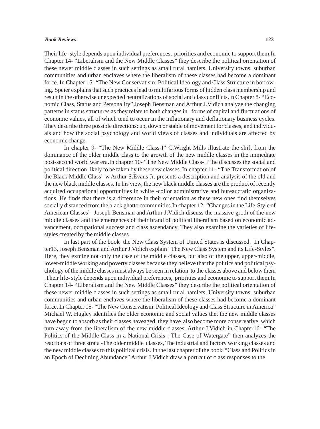#### *Book Reviews* **123**

Their life- style depends upon individual preferences, priorities and economic to support them.In Chapter 14- "Liberalism and the New Middle Classes" they describe the political orientation of these newer middle classes in such settings as small rural hamlets, University towns, suburban communities and urban enclaves where the liberalism of these classes had become a dominant force. In Chapter 15- "The New Conservatism: Political Ideology and Class Structure in borrowing. Speier explains that such practices lead to multifarious forms of hidden class membership and result in the otherwise unexpected neutralizations of social and class conflicts.In Chapter 8- "Economic Class, Status and Personality" Joseph Bensman and Arthur J.Vidich analyze the changing patterns in status structures as they relate to both changes in forms of capital and fluctuations of economic values, all of which tend to occur in the inflationary and deflationary business cycles. They describe three possible directions: up, down or stable of movement for classes, and individuals and how the social psychology and world views of classes and individuals are affected by economic change.

In chapter 9- "The New Middle Class-I" C.Wright Mills illustrate the shift from the dominance of the older middle class to the growth of the new middle classes in the immediate post-second world war era.In chapter 10- "The New Middle Class-II" he discusses the social and political direction likely to be taken by these new classes. In chapter 11- "The Transformation of the Black Middle Class" w Arthur S.Evans Jr. presents a description and analysis of the old and the new black middle classes. In his view, the new black middle classes are the product of recently acquired occupational opportunities in white -collor administrative and bureaucratic organizations. He finds that there is a difference in their orientation as these new ones find themselves socially distanced from the black ghatto communities.In chapter 12- "Changes in the Life-Style of American Classes" Joseph Bensman and Arthur J.Vidich discuss the massive groth of the new middle classes and the emergences of their brand of political liberalism based on economic advancement, occupational success and class ascendancy. They also examine the varieties of lifestyles created by the middle classes

In last part of the book the New Class System of United States is discussed. In Chapter13, Joseph Bensman and Arthur J.Vidich explain "The New Class System and its Life-Styles". Here, they exmine not only the case of the middle classes, but also of the upper, upper-middle, lower-middle working and poverty classes because they believe that the politics and political psychology of the middle classes must always be seen in relation to the classes above and below them .Their life- style depends upon individual preferences, priorities and economic to support them.In Chapter 14- "Liberalism and the New Middle Classes" they describe the political orientation of these newer middle classes in such settings as small rural hamlets, University towns, suburban communities and urban enclaves where the liberalism of these classes had become a dominant force. In Chapter 15- "The New Conservatism: Political Ideology and Class Structure in America" Michael W. Hugley identifies the older economic and social values thet the new middle classes have begun to absorb as their classes haveaged, they have also become more conservative, which turn away from the liberalism of the new middle classes. Arthur J.Vidich in Chapter16- "The Politics of the Middle Class in a National Crisis : The Case of Watergate" then analyzes the reactions of three strata -The older middle classes, The industrial and factory working classes and the new middle classes to this political crisis. In the last chapter of the book "Class and Politics in an Epoch of Declining Abundance" Arthur J.Vidich draw a portrait of class responses to the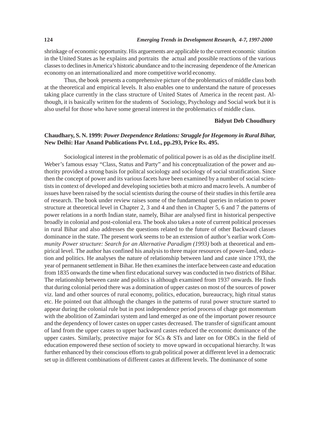shrinkage of economic opportunity. His arguements are applicable to the current economic sitution in the United States as he explains and portraits the actual and possible reactions of the various classes to declines in America's historic abundance and to the increasing dependence of the American economy on an internationalized and more competitive world economy.

Thus, the book presents a comprehensive picture of the problematics of middle class both at the theoretical and empirical levels. It also enables one to understand the nature of processes taking place currently in the class structure of United States of America in the recent past. Although, it is basically written for the students of Sociology, Psychology and Social work but it is also useful for those who have some general interest in the problematics of middle class.

## **Bidyut Deb Choudhury**

# **Chaudhary, S. N. 1999:** *Power Deependence Relations: Struggle for Hegemony in Rural Bihar,* **New Delhi: Har Anand Publications Pvt. Ltd., pp.293, Price Rs. 495.**

Sociological interest in the problematic of political power is as old as the discipline itself. Weber's famous essay "Class, Status and Party" and his conceptualization of the power and authority provided a strong basis for politcal sociology and sociology of social stratification. Since then the concept of power and its various facets have been examined by a number of social scientists in context of developed and developing societies both at micro and macro levels. A number of issues have been raised by the social scientists during the course of their studies in this fertile area of research. The book under review raises some of the fundamental queries in relation to power structure at theoretical level in Chapter 2, 3 and 4 and then in Chapter 5, 6 and 7 the patterns of power relations in a north Indian state, namely, Bihar are analysed first in historical perspective broadly in colonial and post-colonial era. The book also takes a note of current political processes in rural Bihar and also addresses the questions related to the future of other Backward classes dominance in the state. The present work seems to be an extension of author's earliar work *Community Power structure: Search for an Alternative Paradigm (1993)* both at theoretical and empirical level. The author has confined his analysis to three major resources of power-land, education and politics. He analyses the nature of relationship between land and caste since 1793, the year of permanent settlement in Bihar. He then examines the interface between caste and education from 1835 onwards the time when first educational survey was conducted in two districts of Bihar. The relationship between caste and politics is although examined from 1937 onwards. He finds that during colonial period there was a domination of upper castes on most of the sources of power viz. land and other sources of rural economy, politics, education, bureaucracy, high ritual status etc. He pointed out that although the changes in the patterns of rural power structure started to appear during the colonial rule but in post independence period process of chage got momentum with the abolition of Zamindari system and land emerged as one of the important power resource and the dependency of lower castes on upper castes decreased. The transfer of significant amount of land from the upper castes to upper backward castes reduced the economic dominance of the upper castes. Similarly, protective major for  $SCs \& STs$  and later on for OBCs in the field of education empowered these section of society to move upward in occupational hierarchy. It was further enhanced by their conscious efforts to grab political power at different level in a democratic set up in different combinations of different castes at different levels. The dominance of some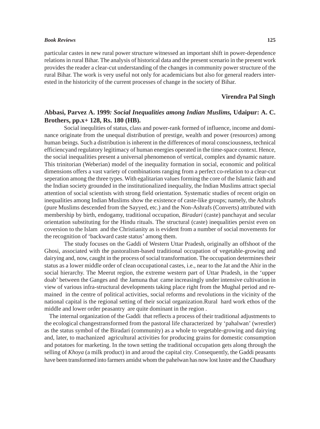#### *Book Reviews* **125**

particular castes in new rural power structure witnessed an important shift in power-dependence relations in rural Bihar. The analysis of historical data and the present scenario in the present work provides the reader a clear-cut understanding of the changes in community power structure of the rural Bihar. The work is very useful not only for academicians but also for general readers interested in the historicity of the current processes of change in the society of Bihar.

# **Virendra Pal Singh**

# **Abbasi, Parvez A. 1999***: Social Inequalities among Indian Muslims,* **Udaipur: A. C. Brothers, pp.x+ 128, Rs. 180 (HB).**

Social inequlities of status, class and power-rank formed of influence, income and dominance originate from the unequal distribution of prestige, wealth and power (resources) among human beings. Such a distribution is inherent in the differences of moral consciousness, technical efficiencyand regulatory legitimacy of human energies operated in the time-space context. Hence, the social inequalities present a universal phenomenon of vertical, complex and dynamic nature. This trinitorian (Weberian) model of the inequality formation in social, economic and political dimensions offers a vast variety of combinations ranging from a perfect co-relation to a clear-cut seperation among the three types. With egalitarian values forming the core of the Islamic faith and the Indian society grounded in the institutionalized inequality, the Indian Muslims attract special attention of social scientists with strong field orientation. Systematic studies of recent origin on inequalities among Indian Muslims show the existence of caste-like groups; namely, the Ashrafs (pure Muslims descended from the Sayyed, etc.) and the Non-Ashrafs (Converts) attributed with membership by birth, endogamy, traditional occupation, *Biradari* (caste) panchayat and secular orientation substituting for the Hindu rituals. The structural (caste) inequalities persist even on coversion to the Islam and the Christianity as is evident from a number of social movements for the recognition of 'backward caste status' among them.

The study focuses on the Gaddi of Western Uttar Pradesh, originally an offshoot of the Ghosi, associated with the pastoralism-based traditional occupation of vegetable-growing and dairying and, now, caught in the process of social transformation. The occupation determines their status as a lower middle order of clean occupational castes, i.e., near to the Jat and the Ahir in the social hierarchy. The Meerut region, the extreme western part of Uttar Pradesh, in the 'upper doab' between the Ganges and the Jamuna that came increasingly under intensive cultivation in view of various infra-structural developments taking place right from the Mughal period and remained in the centre of political activities, social reforms and revolutions in the vicinity of the national capital is the regional setting of their social organization.Rural hard work ethos of the middle and lower order peasantry are quite dominant in the region .

 The internal organization of the Gaddi that reflects a process of their traditional adjustments to the ecological changestransformed from the pastoral life characterized by 'pahalwan' (wrestler) as the status symbol of the Biradari (community) as a whole to vegetable-growing and dairying and, later, to machanized agricultural activities for producing grains for domestic consumption and potatoes for marketing. In the town setting the traditional occupation gets along through the selling of *Khoya* (a milk product) in and aroud the capital city. Consequently, the Gaddi peasants have been transformed into farmers amidst whom the pahelwan has now lost lustre and the Chaudhary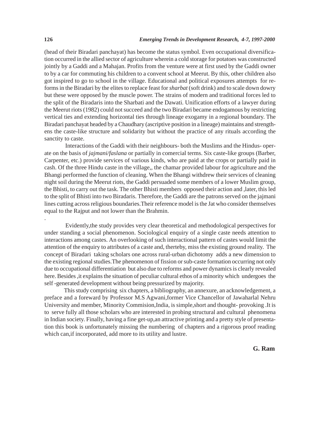(head of their Biradari panchayat) has become the status symbol. Even occupational diversification occurred in the allied sector of agriculture wherein a cold storage for potatoes was constructed jointly by a Gaddi and a Mahajan. Profits from the venture were at first used by the Gaddi owner to by a car for commuting his children to a convent school at Meerut. By this, other children also got inspired to go to school in the village. Educational and political exposures attempts for reforms in the Biradari by the elites to replace feast for *sharbat* (soft drink) and to scale down dowry but these were opposed by the muscle power. The strains of modern and traditional forces led to the split of the Biradaris into the Sharbati and the Dawati. Unification efforts of a lawyer during the Meerut riots (1982) could not succeed and the two Biradari became endogamous by restricting vertical ties and extending horizontal ties through lineage exogamy in a regional boundary. The Biradari panchayat headed by a Chaudhary (ascriptive position in a lineage) maintains and strengthens the caste-like structure and solidarity but without the practice of any rituals according the sanctity to caste.

 Interactions of the Gaddi with their neighbours- both the Muslims and the Hindus- operate on the basis of *jajmani/faslana* or partially in comercial terms. Six caste-like groups (Barber, Carpenter, etc.) provide services of various kinds, who are paid at the crops or partially paid in cash. Of the three Hindu caste in the village,, the chamar provided labour for agriculture and the Bhangi performed the function of cleaning. When the Bhangi withdrew their services of cleaning night soil during the Meerut riots, the Gaddi persuaded some members of a lower Muslim group, the Bhisti, to carry out the task. The other Bhisti members opposed their action and ,later, this led to the split of Bhisti into two Biradaris. Therefore, the Gaddi are the patrons served on the jajmani lines cutting across religious boundaries.Their reference model is the Jat who consider themselves equal to the Rajput and not lower than the Brahmin.

 Evidently,the study provides very clear theoretical and methodological perspectives for under standing a social phenomenon. Sociological enquiry of a single caste needs attention to interactions among castes. An overlooking of such interactional pattern of castes would limit the attention of the enquiry to attributes of a caste and, therteby, miss the existing ground reality. The concept of Biradari taking scholars one across rural-urban dichotomy adds a new dimension to the existing regional studies.The phenomenon of fission or sub-caste formation occurring not only due to occupational differentiation but also due to reforms and power dynamics is clearly revealed here. Besides ,it explains the situation of peculiar cultural ethos of a minority which undergoes the self -generated development without being pressurized by majority.

This study comprising six chapters, a bibliography, an annexure, an acknowledgement, a preface and a foreward by Professor M.S Agwani,former Vice Chancellor of Jawaharlal Nehru University and member, Minority Commision,India, is simple,short and thought- provoking .It is to serve fully all those scholars who are interested in probing structural and cultural phenomena in Indian society. Finally, having a fine get-up,an attractive printing and a pretty style of presentation this book is unfortunately missing the numbering of chapters and a rigorous proof reading which can,if incorporated, add more to its utility and lustre.

.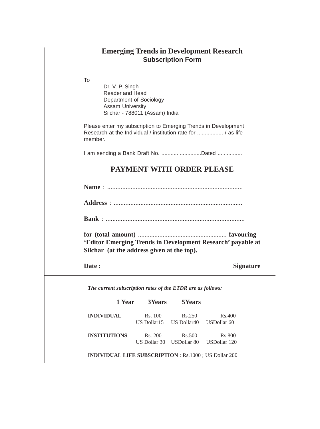# **Emerging Trends in Development Research Subscription Form**

To

Dr. V. P. Singh Reader and Head Department of Sociology Assam University Silchar - 788011 (Assam) India

Please enter my subscription to Emerging Trends in Development Research at the Individual / institution rate for ................. / as life member.

I am sending a Bank Draft No. .............................Dated ................

# **PAYMENT WITH ORDER PLEASE**

**Name** : .................................................................................

**Address** : .............................................................................

**Bank** : ...................................................................................

**for (total amount)** ...................................................... **favouring 'Editor Emerging Trends in Development Research' payable at Silchar (at the address given at the top).**

**Date :** Signature

*The current subscription rates of the ETDR are as follows:*

| 1 Year              | <b>3Years</b> | 5Years                                          |        |
|---------------------|---------------|-------------------------------------------------|--------|
| <b>INDIVIDUAL</b>   | Rs. 100       | Rs.250<br>US Dollar15 US Dollar40 USDollar 60   | Rs.400 |
| <b>INSTITUTIONS</b> | Rs. 200       | Rs.500<br>US Dollar 30 USDollar 80 USDollar 120 | Rs.800 |

**INDIVIDUAL LIFE SUBSCRIPTION** : Rs.1000 ; US Dollar 200